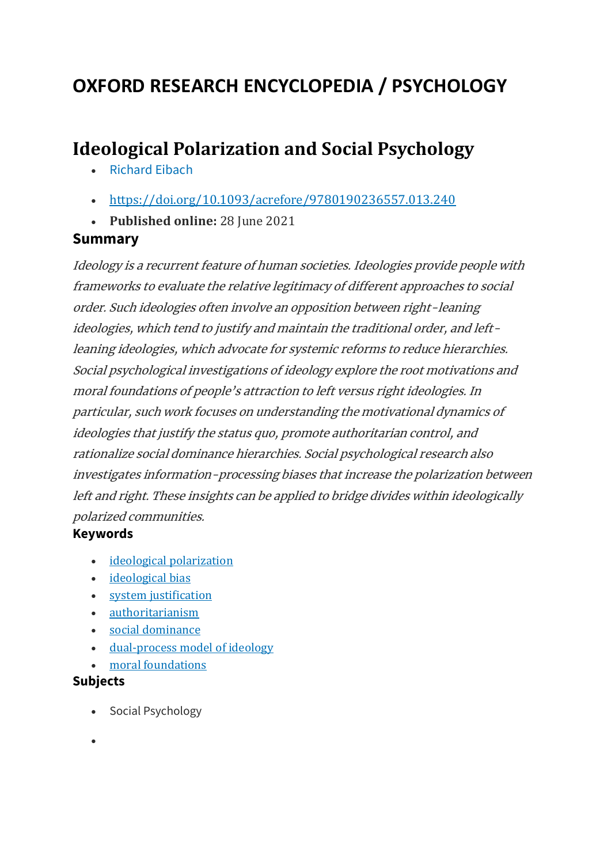### **OXFORD RESEARCH ENCYCLOPEDIA / PSYCHOLOGY**

### **Ideological Polarization and Social Psychology**

- [Richard](https://oxfordre.com/psychology/view/10.1093/acrefore/9780190236557.001.0001/acrefore-9780190236557-e-240?utm_content=relatedarticles2&utm_source=adestra&utm_medium=email&utm_term=Researcher%20SocSci-Law-Psych&utm_campaign=oupac-campaign%3A%201430502204924832381) Eibach
- <https://doi.org/10.1093/acrefore/9780190236557.013.240>
- **Published online:** 28 June 2021

#### **Summary**

Ideology is a recurrent feature of human societies. Ideologies provide people with frameworks to evaluate the relative legitimacy of different approaches to social order. Such ideologies often involve an opposition between right-leaning ideologies, which tend to justify and maintain the traditional order, and leftleaning ideologies, which advocate for systemic reforms to reduce hierarchies. Social psychological investigations of ideology explore the root motivations and moral foundations of people's attraction to left versus right ideologies. In particular, such work focuses on understanding the motivational dynamics of ideologies that justify the status quo, promote authoritarian control, and rationalize social dominance hierarchies. Social psychological research also investigates information-processing biases that increase the polarization between left and right. These insights can be applied to bridge divides within ideologically polarized communities.

#### **Keywords**

- ideological [polarization](https://oxfordre.com/psychology/search?btog=chap&f_0=keyword&q_0=ideological%20polarization)
- [ideological](https://oxfordre.com/psychology/search?btog=chap&f_0=keyword&q_0=ideological%20bias) bias
- system [justification](https://oxfordre.com/psychology/search?btog=chap&f_0=keyword&q_0=system%20justification)
- [authoritarianism](https://oxfordre.com/psychology/search?btog=chap&f_0=keyword&q_0=authoritarianism)
- social [dominance](https://oxfordre.com/psychology/search?btog=chap&f_0=keyword&q_0=social%20dominance)
- [dual-process](https://oxfordre.com/psychology/search?btog=chap&f_0=keyword&q_0=dual-process%20model%20of%20ideology) model of ideology
- moral [foundations](https://oxfordre.com/psychology/search?btog=chap&f_0=keyword&q_0=moral%20foundations)

#### **Subjects**

- Social Psychology
- •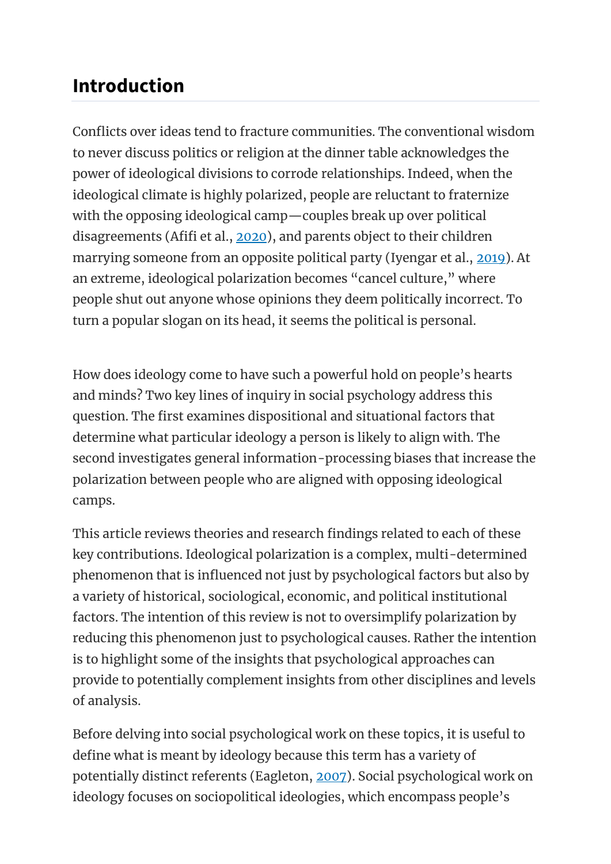## **Introduction**

Conflicts over ideas tend to fracture communities. The conventional wisdom to never discuss politics or religion at the dinner table acknowledges the power of ideological divisions to corrode relationships. Indeed, when the ideological climate is highly polarized, people are reluctant to fraternize with the opposing ideological camp—couples break up over political disagreements (Afifi et al., [2020\)](https://oxfordre.com/psychology/view/10.1093/acrefore/9780190236557.001.0001/acrefore-9780190236557-e-240?utm_content=relatedarticles2&utm_source=adestra&utm_medium=email&utm_term=Researcher%20SocSci-Law-Psych&utm_campaign=oupac-campaign%3A%201430502204924832381#acrefore-9780190236557-e-240-bibItem-0002), and parents object to their children marrying someone from an opposite political party (Iyengar et al., [2019\)](https://oxfordre.com/psychology/view/10.1093/acrefore/9780190236557.001.0001/acrefore-9780190236557-e-240?utm_content=relatedarticles2&utm_source=adestra&utm_medium=email&utm_term=Researcher%20SocSci-Law-Psych&utm_campaign=oupac-campaign%3A%201430502204924832381#acrefore-9780190236557-e-240-bibItem-0058). At an extreme, ideological polarization becomes "cancel culture," where people shut out anyone whose opinions they deem politically incorrect. To turn a popular slogan on its head, it seems the political is personal.

How does ideology come to have such a powerful hold on people's hearts and minds? Two key lines of inquiry in social psychology address this question. The first examines dispositional and situational factors that determine what particular ideology a person is likely to align with. The second investigates general information-processing biases that increase the polarization between people who are aligned with opposing ideological camps.

This article reviews theories and research findings related to each of these key contributions. Ideological polarization is a complex, multi-determined phenomenon that is influenced not just by psychological factors but also by a variety of historical, sociological, economic, and political institutional factors. The intention of this review is not to oversimplify polarization by reducing this phenomenon just to psychological causes. Rather the intention is to highlight some of the insights that psychological approaches can provide to potentially complement insights from other disciplines and levels of analysis.

Before delving into social psychological work on these topics, it is useful to define what is meant by ideology because this term has a variety of potentially distinct referents (Eagleton, [2007\)](https://oxfordre.com/psychology/view/10.1093/acrefore/9780190236557.001.0001/acrefore-9780190236557-e-240?utm_content=relatedarticles2&utm_source=adestra&utm_medium=email&utm_term=Researcher%20SocSci-Law-Psych&utm_campaign=oupac-campaign%3A%201430502204924832381#acrefore-9780190236557-e-240-bibItem-0023). Social psychological work on ideology focuses on sociopolitical ideologies, which encompass people's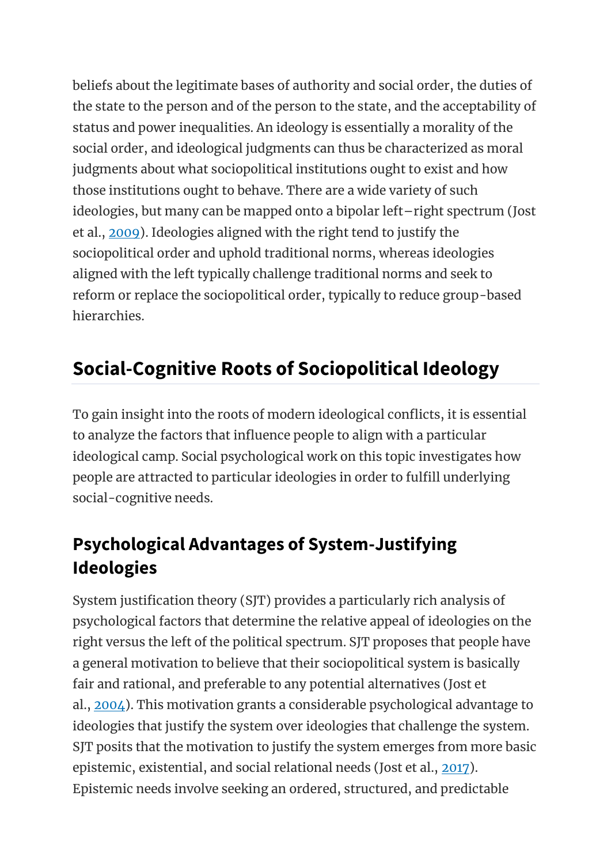beliefs about the legitimate bases of authority and social order, the duties of the state to the person and of the person to the state, and the acceptability of status and power inequalities. An ideology is essentially a morality of the social order, and ideological judgments can thus be characterized as moral judgments about what sociopolitical institutions ought to exist and how those institutions ought to behave. There are a wide variety of such ideologies, but many can be mapped onto a bipolar left–right spectrum (Jost et al., [2009\)](https://oxfordre.com/psychology/view/10.1093/acrefore/9780190236557.001.0001/acrefore-9780190236557-e-240?utm_content=relatedarticles2&utm_source=adestra&utm_medium=email&utm_term=Researcher%20SocSci-Law-Psych&utm_campaign=oupac-campaign%3A%201430502204924832381#acrefore-9780190236557-e-240-bibItem-0063). Ideologies aligned with the right tend to justify the sociopolitical order and uphold traditional norms, whereas ideologies aligned with the left typically challenge traditional norms and seek to reform or replace the sociopolitical order, typically to reduce group-based hierarchies.

# **Social-Cognitive Roots of Sociopolitical Ideology**

To gain insight into the roots of modern ideological conflicts, it is essential to analyze the factors that influence people to align with a particular ideological camp. Social psychological work on this topic investigates how people are attracted to particular ideologies in order to fulfill underlying social-cognitive needs.

### **Psychological Advantages of System-Justifying Ideologies**

System justification theory (SJT) provides a particularly rich analysis of psychological factors that determine the relative appeal of ideologies on the right versus the left of the political spectrum. SJT proposes that people have a general motivation to believe that their sociopolitical system is basically fair and rational, and preferable to any potential alternatives (Jost et al., [2004\)](https://oxfordre.com/psychology/view/10.1093/acrefore/9780190236557.001.0001/acrefore-9780190236557-e-240?utm_content=relatedarticles2&utm_source=adestra&utm_medium=email&utm_term=Researcher%20SocSci-Law-Psych&utm_campaign=oupac-campaign%3A%201430502204924832381#acrefore-9780190236557-e-240-bibItem-0061). This motivation grants a considerable psychological advantage to ideologies that justify the system over ideologies that challenge the system. SJT posits that the motivation to justify the system emerges from more basic epistemic, existential, and social relational needs (Jost et al., [2017\)](https://oxfordre.com/psychology/view/10.1093/acrefore/9780190236557.001.0001/acrefore-9780190236557-e-240?utm_content=relatedarticles2&utm_source=adestra&utm_medium=email&utm_term=Researcher%20SocSci-Law-Psych&utm_campaign=oupac-campaign%3A%201430502204924832381#acrefore-9780190236557-e-240-bibItem-0062). Epistemic needs involve seeking an ordered, structured, and predictable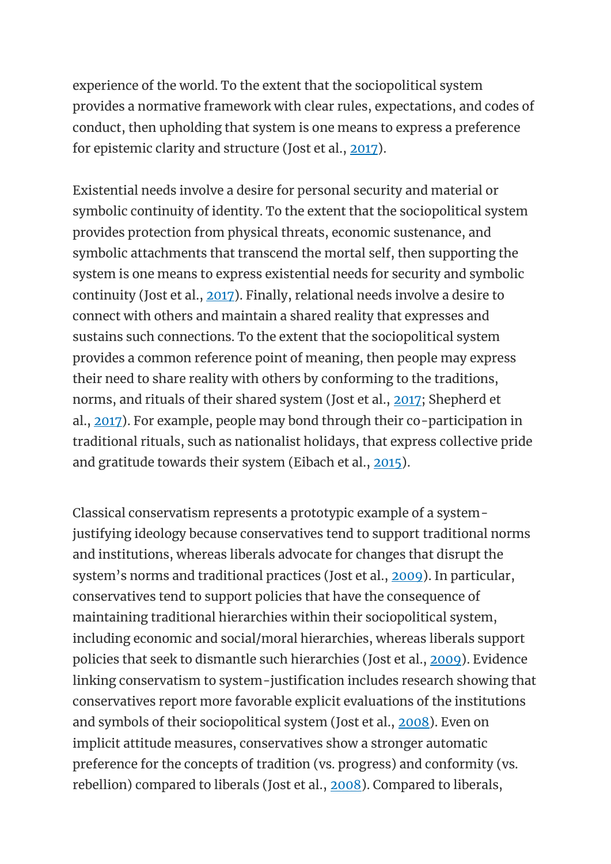experience of the world. To the extent that the sociopolitical system provides a normative framework with clear rules, expectations, and codes of conduct, then upholding that system is one means to express a preference for epistemic clarity and structure (Jost et al., [2017\)](https://oxfordre.com/psychology/view/10.1093/acrefore/9780190236557.001.0001/acrefore-9780190236557-e-240?utm_content=relatedarticles2&utm_source=adestra&utm_medium=email&utm_term=Researcher%20SocSci-Law-Psych&utm_campaign=oupac-campaign%3A%201430502204924832381#acrefore-9780190236557-e-240-bibItem-0062).

Existential needs involve a desire for personal security and material or symbolic continuity of identity. To the extent that the sociopolitical system provides protection from physical threats, economic sustenance, and symbolic attachments that transcend the mortal self, then supporting the system is one means to express existential needs for security and symbolic continuity (Jost et al., [2017\)](https://oxfordre.com/psychology/view/10.1093/acrefore/9780190236557.001.0001/acrefore-9780190236557-e-240?utm_content=relatedarticles2&utm_source=adestra&utm_medium=email&utm_term=Researcher%20SocSci-Law-Psych&utm_campaign=oupac-campaign%3A%201430502204924832381#acrefore-9780190236557-e-240-bibItem-0062). Finally, relational needs involve a desire to connect with others and maintain a shared reality that expresses and sustains such connections. To the extent that the sociopolitical system provides a common reference point of meaning, then people may express their need to share reality with others by conforming to the traditions, norms, and rituals of their shared system (Jost et al., [2017;](https://oxfordre.com/psychology/view/10.1093/acrefore/9780190236557.001.0001/acrefore-9780190236557-e-240?utm_content=relatedarticles2&utm_source=adestra&utm_medium=email&utm_term=Researcher%20SocSci-Law-Psych&utm_campaign=oupac-campaign%3A%201430502204924832381#acrefore-9780190236557-e-240-bibItem-0062) Shepherd et al., [2017\)](https://oxfordre.com/psychology/view/10.1093/acrefore/9780190236557.001.0001/acrefore-9780190236557-e-240?utm_content=relatedarticles2&utm_source=adestra&utm_medium=email&utm_term=Researcher%20SocSci-Law-Psych&utm_campaign=oupac-campaign%3A%201430502204924832381#acrefore-9780190236557-e-240-bibItem-0105). For example, people may bond through their co-participation in traditional rituals, such as nationalist holidays, that express collective pride and gratitude towards their system (Eibach et al., [2015\)](https://oxfordre.com/psychology/view/10.1093/acrefore/9780190236557.001.0001/acrefore-9780190236557-e-240?utm_content=relatedarticles2&utm_source=adestra&utm_medium=email&utm_term=Researcher%20SocSci-Law-Psych&utm_campaign=oupac-campaign%3A%201430502204924832381#acrefore-9780190236557-e-240-bibItem-0027).

Classical conservatism represents a prototypic example of a systemjustifying ideology because conservatives tend to support traditional norms and institutions, whereas liberals advocate for changes that disrupt the system's norms and traditional practices (Jost et al., [2009\)](https://oxfordre.com/psychology/view/10.1093/acrefore/9780190236557.001.0001/acrefore-9780190236557-e-240?utm_content=relatedarticles2&utm_source=adestra&utm_medium=email&utm_term=Researcher%20SocSci-Law-Psych&utm_campaign=oupac-campaign%3A%201430502204924832381#acrefore-9780190236557-e-240-bibItem-0063). In particular, conservatives tend to support policies that have the consequence of maintaining traditional hierarchies within their sociopolitical system, including economic and social/moral hierarchies, whereas liberals support policies that seek to dismantle such hierarchies (Jost et al., [2009\)](https://oxfordre.com/psychology/view/10.1093/acrefore/9780190236557.001.0001/acrefore-9780190236557-e-240?utm_content=relatedarticles2&utm_source=adestra&utm_medium=email&utm_term=Researcher%20SocSci-Law-Psych&utm_campaign=oupac-campaign%3A%201430502204924832381#acrefore-9780190236557-e-240-bibItem-0063). Evidence linking conservatism to system-justification includes research showing that conservatives report more favorable explicit evaluations of the institutions and symbols of their sociopolitical system (Jost et al., [2008\)](https://oxfordre.com/psychology/view/10.1093/acrefore/9780190236557.001.0001/acrefore-9780190236557-e-240?utm_content=relatedarticles2&utm_source=adestra&utm_medium=email&utm_term=Researcher%20SocSci-Law-Psych&utm_campaign=oupac-campaign%3A%201430502204924832381#acrefore-9780190236557-e-240-bibItem-0069). Even on implicit attitude measures, conservatives show a stronger automatic preference for the concepts of tradition (vs. progress) and conformity (vs. rebellion) compared to liberals (Jost et al., [2008\)](https://oxfordre.com/psychology/view/10.1093/acrefore/9780190236557.001.0001/acrefore-9780190236557-e-240?utm_content=relatedarticles2&utm_source=adestra&utm_medium=email&utm_term=Researcher%20SocSci-Law-Psych&utm_campaign=oupac-campaign%3A%201430502204924832381#acrefore-9780190236557-e-240-bibItem-0069). Compared to liberals,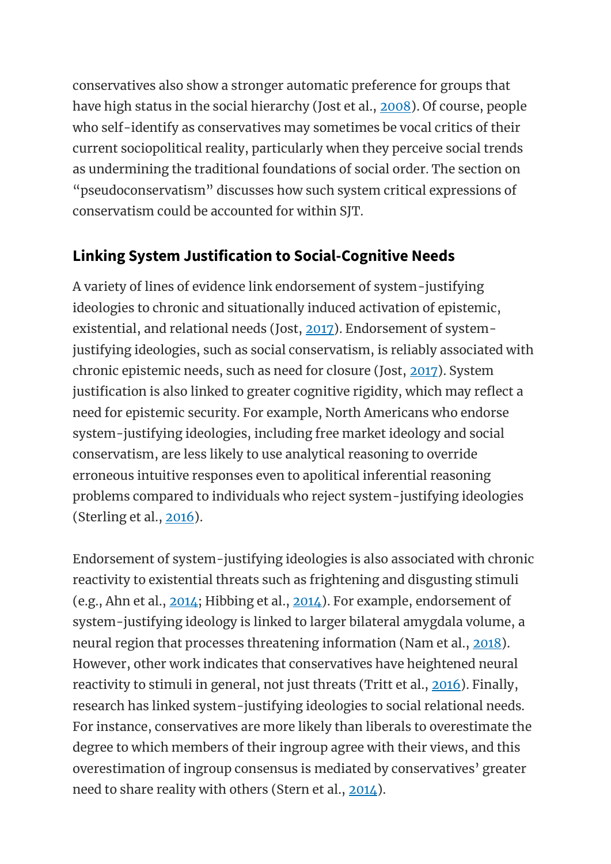conservatives also show a stronger automatic preference for groups that have high status in the social hierarchy (Jost et al., [2008\)](https://oxfordre.com/psychology/view/10.1093/acrefore/9780190236557.001.0001/acrefore-9780190236557-e-240?utm_content=relatedarticles2&utm_source=adestra&utm_medium=email&utm_term=Researcher%20SocSci-Law-Psych&utm_campaign=oupac-campaign%3A%201430502204924832381#acrefore-9780190236557-e-240-bibItem-0069). Of course, people who self-identify as conservatives may sometimes be vocal critics of their current sociopolitical reality, particularly when they perceive social trends as undermining the traditional foundations of social order. The section on "pseudoconservatism" discusses how such system critical expressions of conservatism could be accounted for within SJT.

#### **Linking System Justification to Social-Cognitive Needs**

A variety of lines of evidence link endorsement of system-justifying ideologies to chronic and situationally induced activation of epistemic, existential, and relational needs (Jost, [2017\)](https://oxfordre.com/psychology/view/10.1093/acrefore/9780190236557.001.0001/acrefore-9780190236557-e-240?utm_content=relatedarticles2&utm_source=adestra&utm_medium=email&utm_term=Researcher%20SocSci-Law-Psych&utm_campaign=oupac-campaign%3A%201430502204924832381#acrefore-9780190236557-e-240-bibItem-0060). Endorsement of systemjustifying ideologies, such as social conservatism, is reliably associated with chronic epistemic needs, such as need for closure (Jost, [2017\)](https://oxfordre.com/psychology/view/10.1093/acrefore/9780190236557.001.0001/acrefore-9780190236557-e-240?utm_content=relatedarticles2&utm_source=adestra&utm_medium=email&utm_term=Researcher%20SocSci-Law-Psych&utm_campaign=oupac-campaign%3A%201430502204924832381#acrefore-9780190236557-e-240-bibItem-0060). System justification is also linked to greater cognitive rigidity, which may reflect a need for epistemic security. For example, North Americans who endorse system-justifying ideologies, including free market ideology and social conservatism, are less likely to use analytical reasoning to override erroneous intuitive responses even to apolitical inferential reasoning problems compared to individuals who reject system-justifying ideologies (Sterling et al., [2016\)](https://oxfordre.com/psychology/view/10.1093/acrefore/9780190236557.001.0001/acrefore-9780190236557-e-240?utm_content=relatedarticles2&utm_source=adestra&utm_medium=email&utm_term=Researcher%20SocSci-Law-Psych&utm_campaign=oupac-campaign%3A%201430502204924832381#acrefore-9780190236557-e-240-bibItem-0115).

Endorsement of system-justifying ideologies is also associated with chronic reactivity to existential threats such as frightening and disgusting stimuli (e.g., Ahn et al., [2014;](https://oxfordre.com/psychology/view/10.1093/acrefore/9780190236557.001.0001/acrefore-9780190236557-e-240?utm_content=relatedarticles2&utm_source=adestra&utm_medium=email&utm_term=Researcher%20SocSci-Law-Psych&utm_campaign=oupac-campaign%3A%201430502204924832381#acrefore-9780190236557-e-240-bibItem-0003) Hibbing et al., [2014\)](https://oxfordre.com/psychology/view/10.1093/acrefore/9780190236557.001.0001/acrefore-9780190236557-e-240?utm_content=relatedarticles2&utm_source=adestra&utm_medium=email&utm_term=Researcher%20SocSci-Law-Psych&utm_campaign=oupac-campaign%3A%201430502204924832381#acrefore-9780190236557-e-240-bibItem-0049). For example, endorsement of system-justifying ideology is linked to larger bilateral amygdala volume, a neural region that processes threatening information (Nam et al., [2018\)](https://oxfordre.com/psychology/view/10.1093/acrefore/9780190236557.001.0001/acrefore-9780190236557-e-240?utm_content=relatedarticles2&utm_source=adestra&utm_medium=email&utm_term=Researcher%20SocSci-Law-Psych&utm_campaign=oupac-campaign%3A%201430502204924832381#acrefore-9780190236557-e-240-bibItem-0093). However, other work indicates that conservatives have heightened neural reactivity to stimuli in general, not just threats (Tritt et al., [2016\)](https://oxfordre.com/psychology/view/10.1093/acrefore/9780190236557.001.0001/acrefore-9780190236557-e-240?utm_content=relatedarticles2&utm_source=adestra&utm_medium=email&utm_term=Researcher%20SocSci-Law-Psych&utm_campaign=oupac-campaign%3A%201430502204924832381#acrefore-9780190236557-e-240-bibItem-0123). Finally, research has linked system-justifying ideologies to social relational needs. For instance, conservatives are more likely than liberals to overestimate the degree to which members of their ingroup agree with their views, and this overestimation of ingroup consensus is mediated by conservatives' greater need to share reality with others (Stern et al., [2014\)](https://oxfordre.com/psychology/view/10.1093/acrefore/9780190236557.001.0001/acrefore-9780190236557-e-240?utm_content=relatedarticles2&utm_source=adestra&utm_medium=email&utm_term=Researcher%20SocSci-Law-Psych&utm_campaign=oupac-campaign%3A%201430502204924832381#acrefore-9780190236557-e-240-bibItem-0116).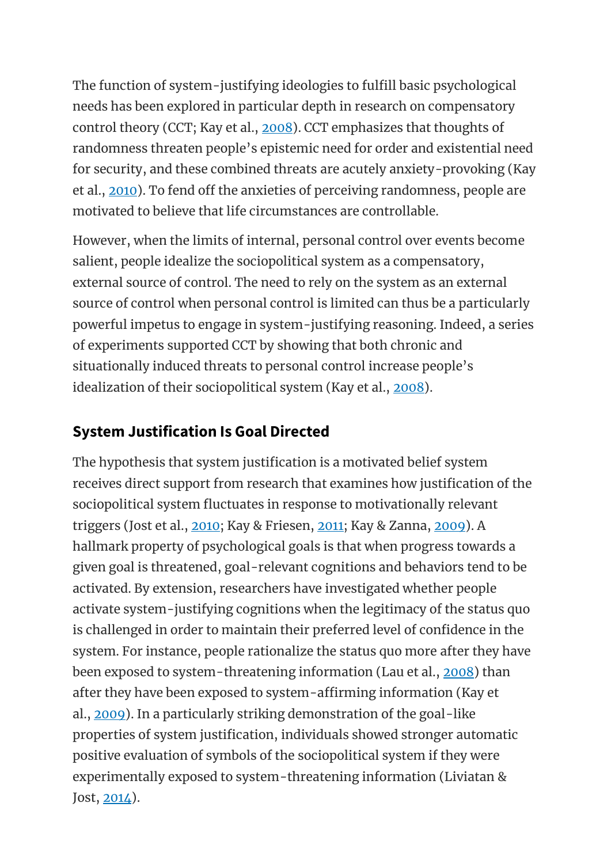The function of system-justifying ideologies to fulfill basic psychological needs has been explored in particular depth in research on compensatory control theory (CCT; Kay et al., [2008\)](https://oxfordre.com/psychology/view/10.1093/acrefore/9780190236557.001.0001/acrefore-9780190236557-e-240?utm_content=relatedarticles2&utm_source=adestra&utm_medium=email&utm_term=Researcher%20SocSci-Law-Psych&utm_campaign=oupac-campaign%3A%201430502204924832381#acrefore-9780190236557-e-240-bibItem-0072). CCT emphasizes that thoughts of randomness threaten people's epistemic need for order and existential need for security, and these combined threats are acutely anxiety-provoking (Kay et al., [2010\)](https://oxfordre.com/psychology/view/10.1093/acrefore/9780190236557.001.0001/acrefore-9780190236557-e-240?utm_content=relatedarticles2&utm_source=adestra&utm_medium=email&utm_term=Researcher%20SocSci-Law-Psych&utm_campaign=oupac-campaign%3A%201430502204924832381#acrefore-9780190236557-e-240-bibItem-0075). To fend off the anxieties of perceiving randomness, people are motivated to believe that life circumstances are controllable.

However, when the limits of internal, personal control over events become salient, people idealize the sociopolitical system as a compensatory, external source of control. The need to rely on the system as an external source of control when personal control is limited can thus be a particularly powerful impetus to engage in system-justifying reasoning. Indeed, a series of experiments supported CCT by showing that both chronic and situationally induced threats to personal control increase people's idealization of their sociopolitical system (Kay et al., [2008\)](https://oxfordre.com/psychology/view/10.1093/acrefore/9780190236557.001.0001/acrefore-9780190236557-e-240?utm_content=relatedarticles2&utm_source=adestra&utm_medium=email&utm_term=Researcher%20SocSci-Law-Psych&utm_campaign=oupac-campaign%3A%201430502204924832381#acrefore-9780190236557-e-240-bibItem-0072).

#### **System Justification Is Goal Directed**

The hypothesis that system justification is a motivated belief system receives direct support from research that examines how justification of the sociopolitical system fluctuates in response to motivationally relevant triggers (Jost et al., [2010;](https://oxfordre.com/psychology/view/10.1093/acrefore/9780190236557.001.0001/acrefore-9780190236557-e-240?utm_content=relatedarticles2&utm_source=adestra&utm_medium=email&utm_term=Researcher%20SocSci-Law-Psych&utm_campaign=oupac-campaign%3A%201430502204924832381#acrefore-9780190236557-e-240-bibItem-0068) Kay & Friesen, [2011;](https://oxfordre.com/psychology/view/10.1093/acrefore/9780190236557.001.0001/acrefore-9780190236557-e-240?utm_content=relatedarticles2&utm_source=adestra&utm_medium=email&utm_term=Researcher%20SocSci-Law-Psych&utm_campaign=oupac-campaign%3A%201430502204924832381#acrefore-9780190236557-e-240-bibItem-0071) Kay & Zanna, [2009\)](https://oxfordre.com/psychology/view/10.1093/acrefore/9780190236557.001.0001/acrefore-9780190236557-e-240?utm_content=relatedarticles2&utm_source=adestra&utm_medium=email&utm_term=Researcher%20SocSci-Law-Psych&utm_campaign=oupac-campaign%3A%201430502204924832381#acrefore-9780190236557-e-240-bibItem-0076). A hallmark property of psychological goals is that when progress towards a given goal is threatened, goal-relevant cognitions and behaviors tend to be activated. By extension, researchers have investigated whether people activate system-justifying cognitions when the legitimacy of the status quo is challenged in order to maintain their preferred level of confidence in the system. For instance, people rationalize the status quo more after they have been exposed to system-threatening information (Lau et al., [2008\)](https://oxfordre.com/psychology/view/10.1093/acrefore/9780190236557.001.0001/acrefore-9780190236557-e-240?utm_content=relatedarticles2&utm_source=adestra&utm_medium=email&utm_term=Researcher%20SocSci-Law-Psych&utm_campaign=oupac-campaign%3A%201430502204924832381#acrefore-9780190236557-e-240-bibItem-0080) than after they have been exposed to system-affirming information (Kay et al., [2009\)](https://oxfordre.com/psychology/view/10.1093/acrefore/9780190236557.001.0001/acrefore-9780190236557-e-240?utm_content=relatedarticles2&utm_source=adestra&utm_medium=email&utm_term=Researcher%20SocSci-Law-Psych&utm_campaign=oupac-campaign%3A%201430502204924832381#acrefore-9780190236557-e-240-bibItem-0073). In a particularly striking demonstration of the goal-like properties of system justification, individuals showed stronger automatic positive evaluation of symbols of the sociopolitical system if they were experimentally exposed to system-threatening information (Liviatan &  $Jost, 2014$ .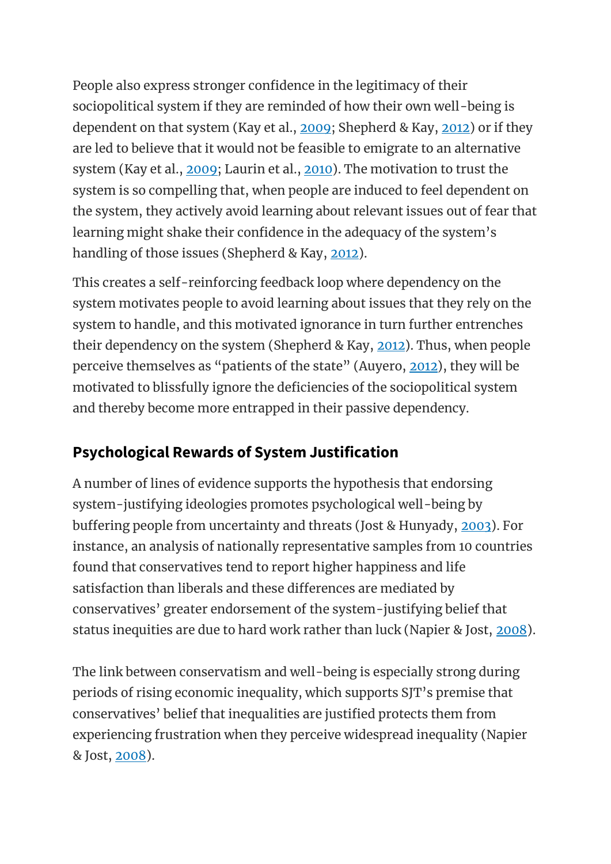People also express stronger confidence in the legitimacy of their sociopolitical system if they are reminded of how their own well-being is dependent on that system (Kay et al., [2009;](https://oxfordre.com/psychology/view/10.1093/acrefore/9780190236557.001.0001/acrefore-9780190236557-e-240?utm_content=relatedarticles2&utm_source=adestra&utm_medium=email&utm_term=Researcher%20SocSci-Law-Psych&utm_campaign=oupac-campaign%3A%201430502204924832381#acrefore-9780190236557-e-240-bibItem-0073) Shepherd & Kay, [2012\)](https://oxfordre.com/psychology/view/10.1093/acrefore/9780190236557.001.0001/acrefore-9780190236557-e-240?utm_content=relatedarticles2&utm_source=adestra&utm_medium=email&utm_term=Researcher%20SocSci-Law-Psych&utm_campaign=oupac-campaign%3A%201430502204924832381#acrefore-9780190236557-e-240-bibItem-0106) or if they are led to believe that it would not be feasible to emigrate to an alternative system (Kay et al., [2009;](https://oxfordre.com/psychology/view/10.1093/acrefore/9780190236557.001.0001/acrefore-9780190236557-e-240?utm_content=relatedarticles2&utm_source=adestra&utm_medium=email&utm_term=Researcher%20SocSci-Law-Psych&utm_campaign=oupac-campaign%3A%201430502204924832381#acrefore-9780190236557-e-240-bibItem-0073) Laurin et al., [2010\)](https://oxfordre.com/psychology/view/10.1093/acrefore/9780190236557.001.0001/acrefore-9780190236557-e-240?utm_content=relatedarticles2&utm_source=adestra&utm_medium=email&utm_term=Researcher%20SocSci-Law-Psych&utm_campaign=oupac-campaign%3A%201430502204924832381#acrefore-9780190236557-e-240-bibItem-0082). The motivation to trust the system is so compelling that, when people are induced to feel dependent on the system, they actively avoid learning about relevant issues out of fear that learning might shake their confidence in the adequacy of the system's handling of those issues (Shepherd & Kay, [2012\)](https://oxfordre.com/psychology/view/10.1093/acrefore/9780190236557.001.0001/acrefore-9780190236557-e-240?utm_content=relatedarticles2&utm_source=adestra&utm_medium=email&utm_term=Researcher%20SocSci-Law-Psych&utm_campaign=oupac-campaign%3A%201430502204924832381#acrefore-9780190236557-e-240-bibItem-0106).

This creates a self-reinforcing feedback loop where dependency on the system motivates people to avoid learning about issues that they rely on the system to handle, and this motivated ignorance in turn further entrenches their dependency on the system (Shepherd & Kay, [2012\)](https://oxfordre.com/psychology/view/10.1093/acrefore/9780190236557.001.0001/acrefore-9780190236557-e-240?utm_content=relatedarticles2&utm_source=adestra&utm_medium=email&utm_term=Researcher%20SocSci-Law-Psych&utm_campaign=oupac-campaign%3A%201430502204924832381#acrefore-9780190236557-e-240-bibItem-0106). Thus, when people perceive themselves as "patients of the state" (Auyero, [2012\)](https://oxfordre.com/psychology/view/10.1093/acrefore/9780190236557.001.0001/acrefore-9780190236557-e-240?utm_content=relatedarticles2&utm_source=adestra&utm_medium=email&utm_term=Researcher%20SocSci-Law-Psych&utm_campaign=oupac-campaign%3A%201430502204924832381#acrefore-9780190236557-e-240-bibItem-0007), they will be motivated to blissfully ignore the deficiencies of the sociopolitical system and thereby become more entrapped in their passive dependency.

### **Psychological Rewards of System Justification**

A number of lines of evidence supports the hypothesis that endorsing system-justifying ideologies promotes psychological well-being by buffering people from uncertainty and threats (Jost & Hunyady, [2003\)](https://oxfordre.com/psychology/view/10.1093/acrefore/9780190236557.001.0001/acrefore-9780190236557-e-240?utm_content=relatedarticles2&utm_source=adestra&utm_medium=email&utm_term=Researcher%20SocSci-Law-Psych&utm_campaign=oupac-campaign%3A%201430502204924832381#acrefore-9780190236557-e-240-bibItem-0064). For instance, an analysis of nationally representative samples from 10 countries found that conservatives tend to report higher happiness and life satisfaction than liberals and these differences are mediated by conservatives' greater endorsement of the system-justifying belief that status inequities are due to hard work rather than luck (Napier & Jost, [2008\)](https://oxfordre.com/psychology/view/10.1093/acrefore/9780190236557.001.0001/acrefore-9780190236557-e-240?utm_content=relatedarticles2&utm_source=adestra&utm_medium=email&utm_term=Researcher%20SocSci-Law-Psych&utm_campaign=oupac-campaign%3A%201430502204924832381#acrefore-9780190236557-e-240-bibItem-0094).

The link between conservatism and well-being is especially strong during periods of rising economic inequality, which supports SJT's premise that conservatives' belief that inequalities are justified protects them from experiencing frustration when they perceive widespread inequality (Napier & Jost, [2008\)](https://oxfordre.com/psychology/view/10.1093/acrefore/9780190236557.001.0001/acrefore-9780190236557-e-240?utm_content=relatedarticles2&utm_source=adestra&utm_medium=email&utm_term=Researcher%20SocSci-Law-Psych&utm_campaign=oupac-campaign%3A%201430502204924832381#acrefore-9780190236557-e-240-bibItem-0094).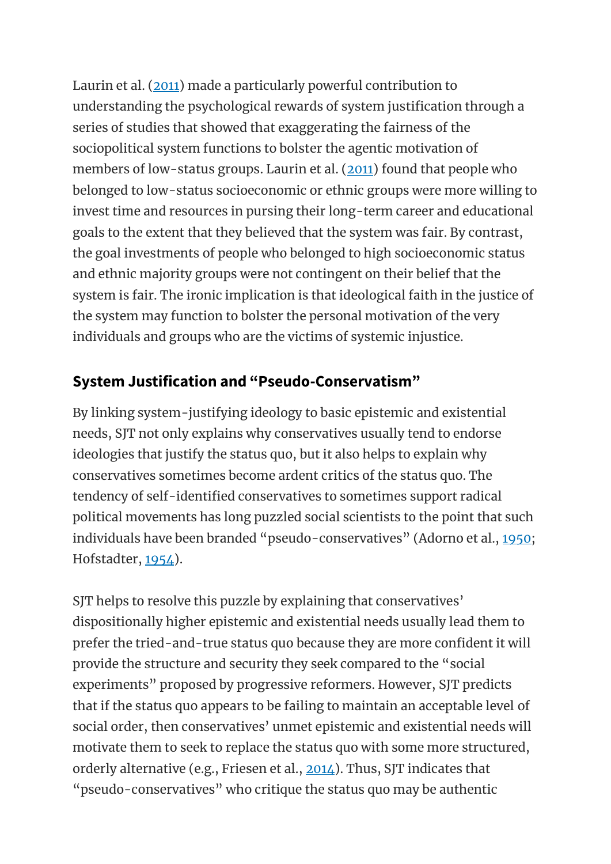Laurin et al. [\(2011\)](https://oxfordre.com/psychology/view/10.1093/acrefore/9780190236557.001.0001/acrefore-9780190236557-e-240?utm_content=relatedarticles2&utm_source=adestra&utm_medium=email&utm_term=Researcher%20SocSci-Law-Psych&utm_campaign=oupac-campaign%3A%201430502204924832381#acrefore-9780190236557-e-240-bibItem-0081) made a particularly powerful contribution to understanding the psychological rewards of system justification through a series of studies that showed that exaggerating the fairness of the sociopolitical system functions to bolster the agentic motivation of members of low-status groups. Laurin et al. [\(2011\)](https://oxfordre.com/psychology/view/10.1093/acrefore/9780190236557.001.0001/acrefore-9780190236557-e-240?utm_content=relatedarticles2&utm_source=adestra&utm_medium=email&utm_term=Researcher%20SocSci-Law-Psych&utm_campaign=oupac-campaign%3A%201430502204924832381#acrefore-9780190236557-e-240-bibItem-0081) found that people who belonged to low-status socioeconomic or ethnic groups were more willing to invest time and resources in pursing their long-term career and educational goals to the extent that they believed that the system was fair. By contrast, the goal investments of people who belonged to high socioeconomic status and ethnic majority groups were not contingent on their belief that the system is fair. The ironic implication is that ideological faith in the justice of the system may function to bolster the personal motivation of the very individuals and groups who are the victims of systemic injustice.

#### **System Justification and "Pseudo-Conservatism"**

By linking system-justifying ideology to basic epistemic and existential needs, SJT not only explains why conservatives usually tend to endorse ideologies that justify the status quo, but it also helps to explain why conservatives sometimes become ardent critics of the status quo. The tendency of self-identified conservatives to sometimes support radical political movements has long puzzled social scientists to the point that such individuals have been branded "pseudo-conservatives" (Adorno et al., [1950;](https://oxfordre.com/psychology/view/10.1093/acrefore/9780190236557.001.0001/acrefore-9780190236557-e-240?utm_content=relatedarticles2&utm_source=adestra&utm_medium=email&utm_term=Researcher%20SocSci-Law-Psych&utm_campaign=oupac-campaign%3A%201430502204924832381#acrefore-9780190236557-e-240-bibItem-0001) Hofstadter, [1954\)](https://oxfordre.com/psychology/view/10.1093/acrefore/9780190236557.001.0001/acrefore-9780190236557-e-240?utm_content=relatedarticles2&utm_source=adestra&utm_medium=email&utm_term=Researcher%20SocSci-Law-Psych&utm_campaign=oupac-campaign%3A%201430502204924832381#acrefore-9780190236557-e-240-bibItem-0050).

SJT helps to resolve this puzzle by explaining that conservatives' dispositionally higher epistemic and existential needs usually lead them to prefer the tried-and-true status quo because they are more confident it will provide the structure and security they seek compared to the "social experiments" proposed by progressive reformers. However, SJT predicts that if the status quo appears to be failing to maintain an acceptable level of social order, then conservatives' unmet epistemic and existential needs will motivate them to seek to replace the status quo with some more structured, orderly alternative (e.g., Friesen et al., [2014\)](https://oxfordre.com/psychology/view/10.1093/acrefore/9780190236557.001.0001/acrefore-9780190236557-e-240?utm_content=relatedarticles2&utm_source=adestra&utm_medium=email&utm_term=Researcher%20SocSci-Law-Psych&utm_campaign=oupac-campaign%3A%201430502204924832381#acrefore-9780190236557-e-240-bibItem-0032). Thus, SJT indicates that "pseudo-conservatives" who critique the status quo may be authentic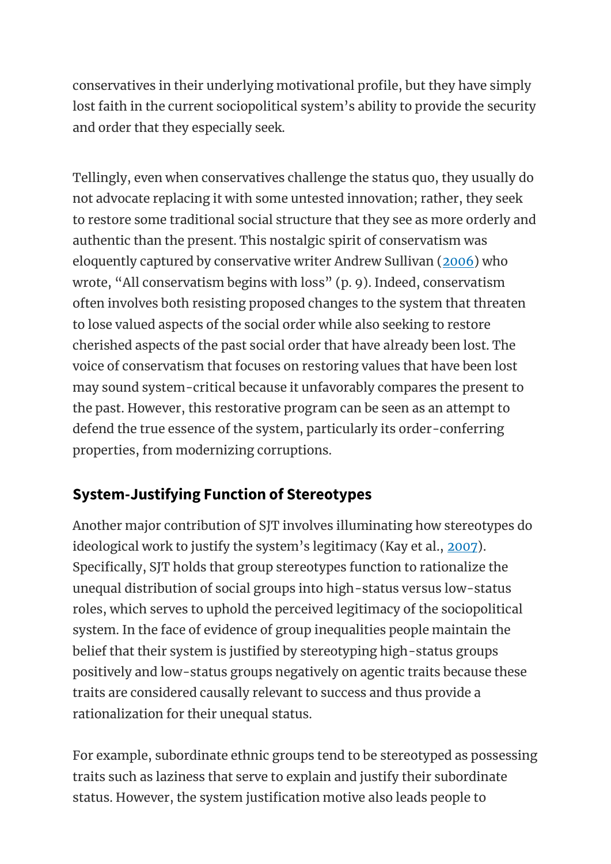conservatives in their underlying motivational profile, but they have simply lost faith in the current sociopolitical system's ability to provide the security and order that they especially seek.

Tellingly, even when conservatives challenge the status quo, they usually do not advocate replacing it with some untested innovation; rather, they seek to restore some traditional social structure that they see as more orderly and authentic than the present. This nostalgic spirit of conservatism was eloquently captured by conservative writer Andrew Sullivan [\(2006\)](https://oxfordre.com/psychology/view/10.1093/acrefore/9780190236557.001.0001/acrefore-9780190236557-e-240?utm_content=relatedarticles2&utm_source=adestra&utm_medium=email&utm_term=Researcher%20SocSci-Law-Psych&utm_campaign=oupac-campaign%3A%201430502204924832381#acrefore-9780190236557-e-240-bibItem-0118) who wrote, "All conservatism begins with loss" (p. 9). Indeed, conservatism often involves both resisting proposed changes to the system that threaten to lose valued aspects of the social order while also seeking to restore cherished aspects of the past social order that have already been lost. The voice of conservatism that focuses on restoring values that have been lost may sound system-critical because it unfavorably compares the present to the past. However, this restorative program can be seen as an attempt to defend the true essence of the system, particularly its order-conferring properties, from modernizing corruptions.

### **System-Justifying Function of Stereotypes**

Another major contribution of SJT involves illuminating how stereotypes do ideological work to justify the system's legitimacy (Kay et al., [2007\)](https://oxfordre.com/psychology/view/10.1093/acrefore/9780190236557.001.0001/acrefore-9780190236557-e-240?utm_content=relatedarticles2&utm_source=adestra&utm_medium=email&utm_term=Researcher%20SocSci-Law-Psych&utm_campaign=oupac-campaign%3A%201430502204924832381#acrefore-9780190236557-e-240-bibItem-0074). Specifically, SJT holds that group stereotypes function to rationalize the unequal distribution of social groups into high-status versus low-status roles, which serves to uphold the perceived legitimacy of the sociopolitical system. In the face of evidence of group inequalities people maintain the belief that their system is justified by stereotyping high-status groups positively and low-status groups negatively on agentic traits because these traits are considered causally relevant to success and thus provide a rationalization for their unequal status.

For example, subordinate ethnic groups tend to be stereotyped as possessing traits such as laziness that serve to explain and justify their subordinate status. However, the system justification motive also leads people to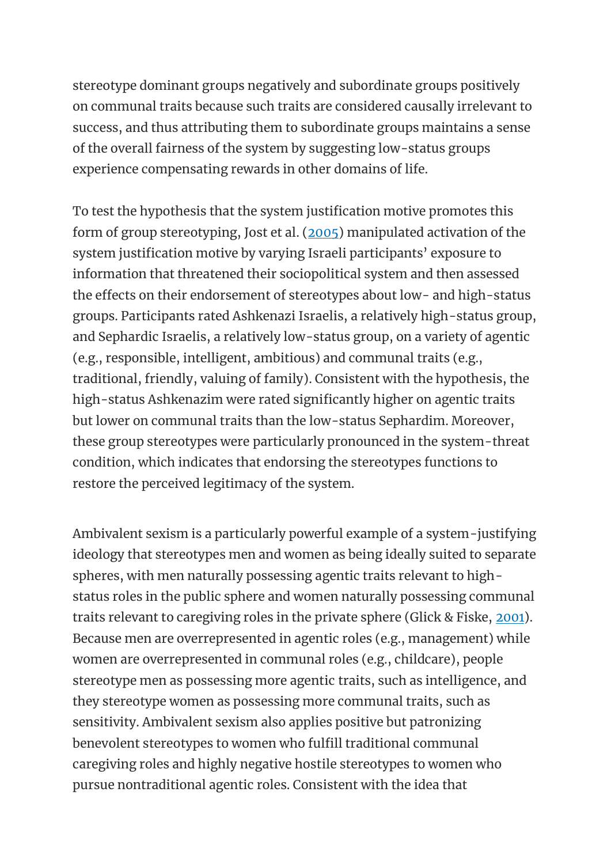stereotype dominant groups negatively and subordinate groups positively on communal traits because such traits are considered causally irrelevant to success, and thus attributing them to subordinate groups maintains a sense of the overall fairness of the system by suggesting low-status groups experience compensating rewards in other domains of life.

To test the hypothesis that the system justification motive promotes this form of group stereotyping, Jost et al. [\(2005\)](https://oxfordre.com/psychology/view/10.1093/acrefore/9780190236557.001.0001/acrefore-9780190236557-e-240?utm_content=relatedarticles2&utm_source=adestra&utm_medium=email&utm_term=Researcher%20SocSci-Law-Psych&utm_campaign=oupac-campaign%3A%201430502204924832381#acrefore-9780190236557-e-240-bibItem-0067) manipulated activation of the system justification motive by varying Israeli participants' exposure to information that threatened their sociopolitical system and then assessed the effects on their endorsement of stereotypes about low- and high-status groups. Participants rated Ashkenazi Israelis, a relatively high-status group, and Sephardic Israelis, a relatively low-status group, on a variety of agentic (e.g., responsible, intelligent, ambitious) and communal traits (e.g., traditional, friendly, valuing of family). Consistent with the hypothesis, the high-status Ashkenazim were rated significantly higher on agentic traits but lower on communal traits than the low-status Sephardim. Moreover, these group stereotypes were particularly pronounced in the system-threat condition, which indicates that endorsing the stereotypes functions to restore the perceived legitimacy of the system.

Ambivalent sexism is a particularly powerful example of a system-justifying ideology that stereotypes men and women as being ideally suited to separate spheres, with men naturally possessing agentic traits relevant to highstatus roles in the public sphere and women naturally possessing communal traits relevant to caregiving roles in the private sphere (Glick & Fiske, [2001\)](https://oxfordre.com/psychology/view/10.1093/acrefore/9780190236557.001.0001/acrefore-9780190236557-e-240?utm_content=relatedarticles2&utm_source=adestra&utm_medium=email&utm_term=Researcher%20SocSci-Law-Psych&utm_campaign=oupac-campaign%3A%201430502204924832381#acrefore-9780190236557-e-240-bibItem-0037). Because men are overrepresented in agentic roles (e.g., management) while women are overrepresented in communal roles (e.g., childcare), people stereotype men as possessing more agentic traits, such as intelligence, and they stereotype women as possessing more communal traits, such as sensitivity. Ambivalent sexism also applies positive but patronizing benevolent stereotypes to women who fulfill traditional communal caregiving roles and highly negative hostile stereotypes to women who pursue nontraditional agentic roles. Consistent with the idea that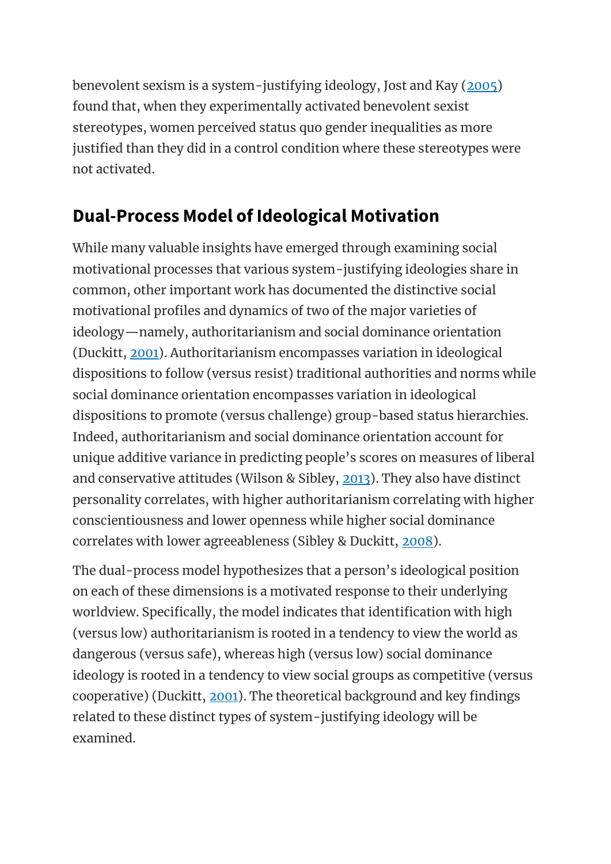benevolent sexism is a system-justifying ideology, Jost and Kay [\(2005\)](https://oxfordre.com/psychology/view/10.1093/acrefore/9780190236557.001.0001/acrefore-9780190236557-e-240?utm_content=relatedarticles2&utm_source=adestra&utm_medium=email&utm_term=Researcher%20SocSci-Law-Psych&utm_campaign=oupac-campaign%3A%201430502204924832381#acrefore-9780190236557-e-240-bibItem-0066) found that, when they experimentally activated benevolent sexist stereotypes, women perceived status quo gender inequalities as more justified than they did in a control condition where these stereotypes were not activated.

### **Dual-Process Model of Ideological Motivation**

While many valuable insights have emerged through examining social motivational processes that various system-justifying ideologies share in common, other important work has documented the distinctive social motivational profiles and dynamics of two of the major varieties of ideology—namely, authoritarianism and social dominance orientation (Duckitt, [2001\)](https://oxfordre.com/psychology/view/10.1093/acrefore/9780190236557.001.0001/acrefore-9780190236557-e-240?utm_content=relatedarticles2&utm_source=adestra&utm_medium=email&utm_term=Researcher%20SocSci-Law-Psych&utm_campaign=oupac-campaign%3A%201430502204924832381#acrefore-9780190236557-e-240-bibItem-0020). Authoritarianism encompasses variation in ideological dispositions to follow (versus resist) traditional authorities and norms while social dominance orientation encompasses variation in ideological dispositions to promote (versus challenge) group-based status hierarchies. Indeed, authoritarianism and social dominance orientation account for unique additive variance in predicting people's scores on measures of liberal and conservative attitudes (Wilson & Sibley, [2013\)](https://oxfordre.com/psychology/view/10.1093/acrefore/9780190236557.001.0001/acrefore-9780190236557-e-240?utm_content=relatedarticles2&utm_source=adestra&utm_medium=email&utm_term=Researcher%20SocSci-Law-Psych&utm_campaign=oupac-campaign%3A%201430502204924832381#acrefore-9780190236557-e-240-bibItem-0131). They also have distinct personality correlates, with higher authoritarianism correlating with higher conscientiousness and lower openness while higher social dominance correlates with lower agreeableness (Sibley & Duckitt, [2008\)](https://oxfordre.com/psychology/view/10.1093/acrefore/9780190236557.001.0001/acrefore-9780190236557-e-240?utm_content=relatedarticles2&utm_source=adestra&utm_medium=email&utm_term=Researcher%20SocSci-Law-Psych&utm_campaign=oupac-campaign%3A%201430502204924832381#acrefore-9780190236557-e-240-bibItem-0107).

The dual-process model hypothesizes that a person's ideological position on each of these dimensions is a motivated response to their underlying worldview. Specifically, the model indicates that identification with high (versus low) authoritarianism is rooted in a tendency to view the world as dangerous (versus safe), whereas high (versus low) social dominance ideology is rooted in a tendency to view social groups as competitive (versus cooperative) (Duckitt, [2001\)](https://oxfordre.com/psychology/view/10.1093/acrefore/9780190236557.001.0001/acrefore-9780190236557-e-240?utm_content=relatedarticles2&utm_source=adestra&utm_medium=email&utm_term=Researcher%20SocSci-Law-Psych&utm_campaign=oupac-campaign%3A%201430502204924832381#acrefore-9780190236557-e-240-bibItem-0020). The theoretical background and key findings related to these distinct types of system-justifying ideology will be examined.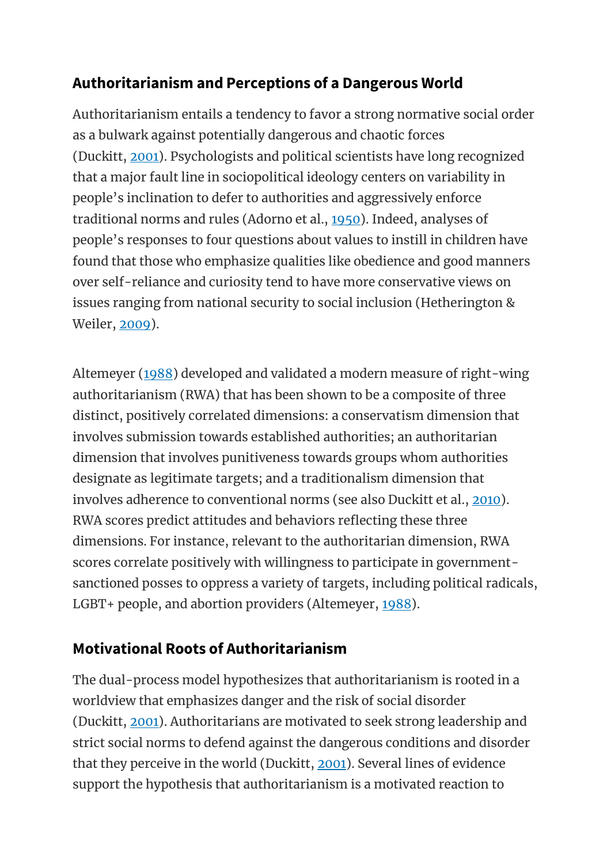#### **Authoritarianism and Perceptions of a Dangerous World**

Authoritarianism entails a tendency to favor a strong normative social order as a bulwark against potentially dangerous and chaotic forces (Duckitt, [2001\)](https://oxfordre.com/psychology/view/10.1093/acrefore/9780190236557.001.0001/acrefore-9780190236557-e-240?utm_content=relatedarticles2&utm_source=adestra&utm_medium=email&utm_term=Researcher%20SocSci-Law-Psych&utm_campaign=oupac-campaign%3A%201430502204924832381#acrefore-9780190236557-e-240-bibItem-0020). Psychologists and political scientists have long recognized that a major fault line in sociopolitical ideology centers on variability in people's inclination to defer to authorities and aggressively enforce traditional norms and rules (Adorno et al., [1950\)](https://oxfordre.com/psychology/view/10.1093/acrefore/9780190236557.001.0001/acrefore-9780190236557-e-240?utm_content=relatedarticles2&utm_source=adestra&utm_medium=email&utm_term=Researcher%20SocSci-Law-Psych&utm_campaign=oupac-campaign%3A%201430502204924832381#acrefore-9780190236557-e-240-bibItem-0001). Indeed, analyses of people's responses to four questions about values to instill in children have found that those who emphasize qualities like obedience and good manners over self-reliance and curiosity tend to have more conservative views on issues ranging from national security to social inclusion (Hetherington & Weiler, [2009\)](https://oxfordre.com/psychology/view/10.1093/acrefore/9780190236557.001.0001/acrefore-9780190236557-e-240?utm_content=relatedarticles2&utm_source=adestra&utm_medium=email&utm_term=Researcher%20SocSci-Law-Psych&utm_campaign=oupac-campaign%3A%201430502204924832381#acrefore-9780190236557-e-240-bibItem-0048).

Altemeyer [\(1988\)](https://oxfordre.com/psychology/view/10.1093/acrefore/9780190236557.001.0001/acrefore-9780190236557-e-240?utm_content=relatedarticles2&utm_source=adestra&utm_medium=email&utm_term=Researcher%20SocSci-Law-Psych&utm_campaign=oupac-campaign%3A%201430502204924832381#acrefore-9780190236557-e-240-bibItem-0005) developed and validated a modern measure of right-wing authoritarianism (RWA) that has been shown to be a composite of three distinct, positively correlated dimensions: a conservatism dimension that involves submission towards established authorities; an authoritarian dimension that involves punitiveness towards groups whom authorities designate as legitimate targets; and a traditionalism dimension that involves adherence to conventional norms (see also Duckitt et al., [2010\)](https://oxfordre.com/psychology/view/10.1093/acrefore/9780190236557.001.0001/acrefore-9780190236557-e-240?utm_content=relatedarticles2&utm_source=adestra&utm_medium=email&utm_term=Researcher%20SocSci-Law-Psych&utm_campaign=oupac-campaign%3A%201430502204924832381#acrefore-9780190236557-e-240-bibItem-0021). RWA scores predict attitudes and behaviors reflecting these three dimensions. For instance, relevant to the authoritarian dimension, RWA scores correlate positively with willingness to participate in governmentsanctioned posses to oppress a variety of targets, including political radicals, LGBT+ people, and abortion providers (Altemeyer, [1988\)](https://oxfordre.com/psychology/view/10.1093/acrefore/9780190236557.001.0001/acrefore-9780190236557-e-240?utm_content=relatedarticles2&utm_source=adestra&utm_medium=email&utm_term=Researcher%20SocSci-Law-Psych&utm_campaign=oupac-campaign%3A%201430502204924832381#acrefore-9780190236557-e-240-bibItem-0005).

### **Motivational Roots of Authoritarianism**

The dual-process model hypothesizes that authoritarianism is rooted in a worldview that emphasizes danger and the risk of social disorder (Duckitt, [2001\)](https://oxfordre.com/psychology/view/10.1093/acrefore/9780190236557.001.0001/acrefore-9780190236557-e-240?utm_content=relatedarticles2&utm_source=adestra&utm_medium=email&utm_term=Researcher%20SocSci-Law-Psych&utm_campaign=oupac-campaign%3A%201430502204924832381#acrefore-9780190236557-e-240-bibItem-0020). Authoritarians are motivated to seek strong leadership and strict social norms to defend against the dangerous conditions and disorder that they perceive in the world (Duckitt, [2001\)](https://oxfordre.com/psychology/view/10.1093/acrefore/9780190236557.001.0001/acrefore-9780190236557-e-240?utm_content=relatedarticles2&utm_source=adestra&utm_medium=email&utm_term=Researcher%20SocSci-Law-Psych&utm_campaign=oupac-campaign%3A%201430502204924832381#acrefore-9780190236557-e-240-bibItem-0020). Several lines of evidence support the hypothesis that authoritarianism is a motivated reaction to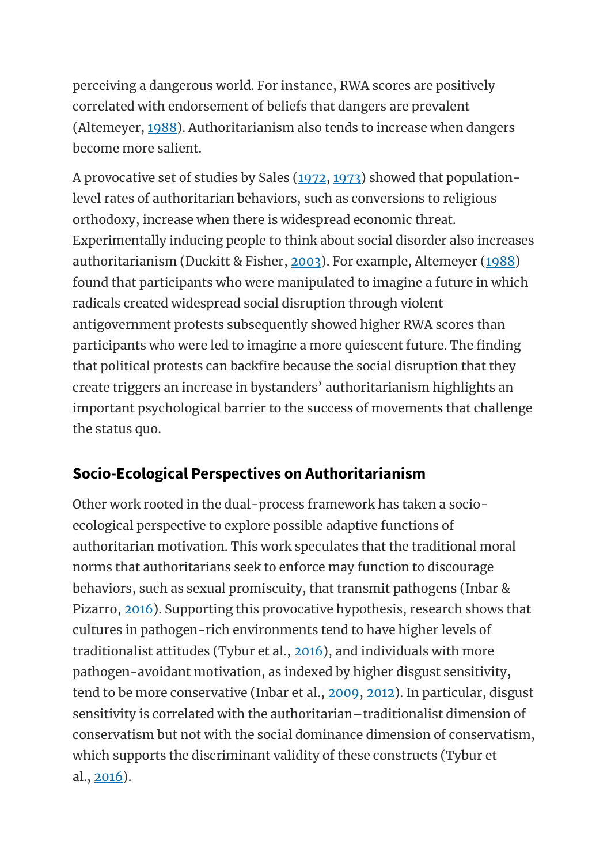perceiving a dangerous world. For instance, RWA scores are positively correlated with endorsement of beliefs that dangers are prevalent (Altemeyer, [1988\)](https://oxfordre.com/psychology/view/10.1093/acrefore/9780190236557.001.0001/acrefore-9780190236557-e-240?utm_content=relatedarticles2&utm_source=adestra&utm_medium=email&utm_term=Researcher%20SocSci-Law-Psych&utm_campaign=oupac-campaign%3A%201430502204924832381#acrefore-9780190236557-e-240-bibItem-0005). Authoritarianism also tends to increase when dangers become more salient.

A provocative set of studies by Sales [\(1972,](https://oxfordre.com/psychology/view/10.1093/acrefore/9780190236557.001.0001/acrefore-9780190236557-e-240?utm_content=relatedarticles2&utm_source=adestra&utm_medium=email&utm_term=Researcher%20SocSci-Law-Psych&utm_campaign=oupac-campaign%3A%201430502204924832381#acrefore-9780190236557-e-240-bibItem-0100) [1973\)](https://oxfordre.com/psychology/view/10.1093/acrefore/9780190236557.001.0001/acrefore-9780190236557-e-240?utm_content=relatedarticles2&utm_source=adestra&utm_medium=email&utm_term=Researcher%20SocSci-Law-Psych&utm_campaign=oupac-campaign%3A%201430502204924832381#acrefore-9780190236557-e-240-bibItem-0101) showed that populationlevel rates of authoritarian behaviors, such as conversions to religious orthodoxy, increase when there is widespread economic threat. Experimentally inducing people to think about social disorder also increases authoritarianism (Duckitt & Fisher, [2003\)](https://oxfordre.com/psychology/view/10.1093/acrefore/9780190236557.001.0001/acrefore-9780190236557-e-240?utm_content=relatedarticles2&utm_source=adestra&utm_medium=email&utm_term=Researcher%20SocSci-Law-Psych&utm_campaign=oupac-campaign%3A%201430502204924832381#acrefore-9780190236557-e-240-bibItem-0022). For example, Altemeyer [\(1988\)](https://oxfordre.com/psychology/view/10.1093/acrefore/9780190236557.001.0001/acrefore-9780190236557-e-240?utm_content=relatedarticles2&utm_source=adestra&utm_medium=email&utm_term=Researcher%20SocSci-Law-Psych&utm_campaign=oupac-campaign%3A%201430502204924832381#acrefore-9780190236557-e-240-bibItem-0005) found that participants who were manipulated to imagine a future in which radicals created widespread social disruption through violent antigovernment protests subsequently showed higher RWA scores than participants who were led to imagine a more quiescent future. The finding that political protests can backfire because the social disruption that they create triggers an increase in bystanders' authoritarianism highlights an important psychological barrier to the success of movements that challenge the status quo.

### **Socio-Ecological Perspectives on Authoritarianism**

Other work rooted in the dual-process framework has taken a socioecological perspective to explore possible adaptive functions of authoritarian motivation. This work speculates that the traditional moral norms that authoritarians seek to enforce may function to discourage behaviors, such as sexual promiscuity, that transmit pathogens (Inbar & Pizarro, [2016\)](https://oxfordre.com/psychology/view/10.1093/acrefore/9780190236557.001.0001/acrefore-9780190236557-e-240?utm_content=relatedarticles2&utm_source=adestra&utm_medium=email&utm_term=Researcher%20SocSci-Law-Psych&utm_campaign=oupac-campaign%3A%201430502204924832381#acrefore-9780190236557-e-240-bibItem-0055). Supporting this provocative hypothesis, research shows that cultures in pathogen-rich environments tend to have higher levels of traditionalist attitudes (Tybur et al., [2016\)](https://oxfordre.com/psychology/view/10.1093/acrefore/9780190236557.001.0001/acrefore-9780190236557-e-240?utm_content=relatedarticles2&utm_source=adestra&utm_medium=email&utm_term=Researcher%20SocSci-Law-Psych&utm_campaign=oupac-campaign%3A%201430502204924832381#acrefore-9780190236557-e-240-bibItem-0124), and individuals with more pathogen-avoidant motivation, as indexed by higher disgust sensitivity, tend to be more conservative (Inbar et al., [2009,](https://oxfordre.com/psychology/view/10.1093/acrefore/9780190236557.001.0001/acrefore-9780190236557-e-240?utm_content=relatedarticles2&utm_source=adestra&utm_medium=email&utm_term=Researcher%20SocSci-Law-Psych&utm_campaign=oupac-campaign%3A%201430502204924832381#acrefore-9780190236557-e-240-bibItem-0056) [2012\)](https://oxfordre.com/psychology/view/10.1093/acrefore/9780190236557.001.0001/acrefore-9780190236557-e-240?utm_content=relatedarticles2&utm_source=adestra&utm_medium=email&utm_term=Researcher%20SocSci-Law-Psych&utm_campaign=oupac-campaign%3A%201430502204924832381#acrefore-9780190236557-e-240-bibItem-0057). In particular, disgust sensitivity is correlated with the authoritarian–traditionalist dimension of conservatism but not with the social dominance dimension of conservatism, which supports the discriminant validity of these constructs (Tybur et al., [2016\)](https://oxfordre.com/psychology/view/10.1093/acrefore/9780190236557.001.0001/acrefore-9780190236557-e-240?utm_content=relatedarticles2&utm_source=adestra&utm_medium=email&utm_term=Researcher%20SocSci-Law-Psych&utm_campaign=oupac-campaign%3A%201430502204924832381#acrefore-9780190236557-e-240-bibItem-0124).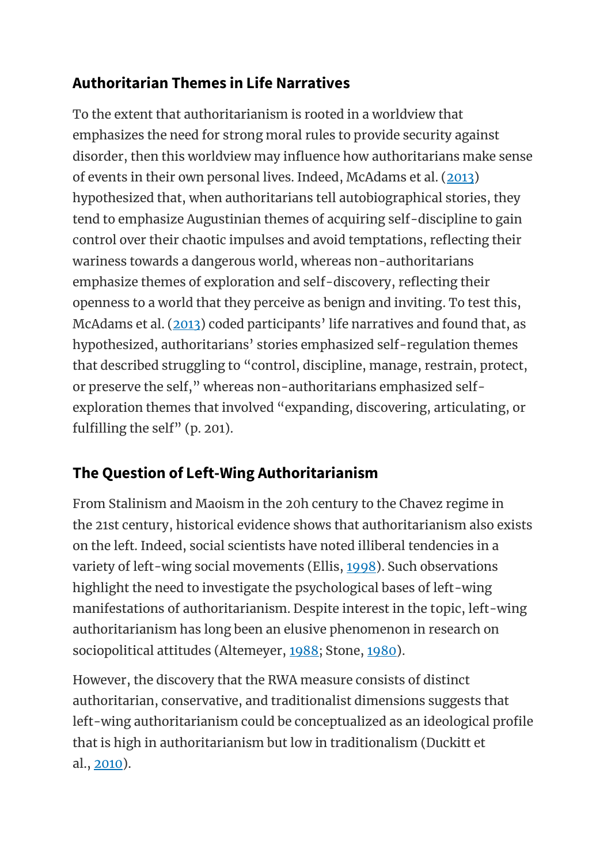#### **Authoritarian Themes in Life Narratives**

To the extent that authoritarianism is rooted in a worldview that emphasizes the need for strong moral rules to provide security against disorder, then this worldview may influence how authoritarians make sense of events in their own personal lives. Indeed, McAdams et al. [\(2013\)](https://oxfordre.com/psychology/view/10.1093/acrefore/9780190236557.001.0001/acrefore-9780190236557-e-240?utm_content=relatedarticles2&utm_source=adestra&utm_medium=email&utm_term=Researcher%20SocSci-Law-Psych&utm_campaign=oupac-campaign%3A%201430502204924832381#acrefore-9780190236557-e-240-bibItem-0089) hypothesized that, when authoritarians tell autobiographical stories, they tend to emphasize Augustinian themes of acquiring self-discipline to gain control over their chaotic impulses and avoid temptations, reflecting their wariness towards a dangerous world, whereas non-authoritarians emphasize themes of exploration and self-discovery, reflecting their openness to a world that they perceive as benign and inviting. To test this, McAdams et al. [\(2013](https://oxfordre.com/psychology/view/10.1093/acrefore/9780190236557.001.0001/acrefore-9780190236557-e-240?utm_content=relatedarticles2&utm_source=adestra&utm_medium=email&utm_term=Researcher%20SocSci-Law-Psych&utm_campaign=oupac-campaign%3A%201430502204924832381#acrefore-9780190236557-e-240-bibItem-0089)) coded participants' life narratives and found that, as hypothesized, authoritarians' stories emphasized self-regulation themes that described struggling to "control, discipline, manage, restrain, protect, or preserve the self," whereas non-authoritarians emphasized selfexploration themes that involved "expanding, discovering, articulating, or fulfilling the self" (p. 201).

### **The Question of Left-Wing Authoritarianism**

From Stalinism and Maoism in the 20h century to the Chavez regime in the 21st century, historical evidence shows that authoritarianism also exists on the left. Indeed, social scientists have noted illiberal tendencies in a variety of left-wing social movements (Ellis, [1998\)](https://oxfordre.com/psychology/view/10.1093/acrefore/9780190236557.001.0001/acrefore-9780190236557-e-240?utm_content=relatedarticles2&utm_source=adestra&utm_medium=email&utm_term=Researcher%20SocSci-Law-Psych&utm_campaign=oupac-campaign%3A%201430502204924832381#acrefore-9780190236557-e-240-bibItem-0028). Such observations highlight the need to investigate the psychological bases of left-wing manifestations of authoritarianism. Despite interest in the topic, left-wing authoritarianism has long been an elusive phenomenon in research on sociopolitical attitudes (Altemeyer, [1988;](https://oxfordre.com/psychology/view/10.1093/acrefore/9780190236557.001.0001/acrefore-9780190236557-e-240?utm_content=relatedarticles2&utm_source=adestra&utm_medium=email&utm_term=Researcher%20SocSci-Law-Psych&utm_campaign=oupac-campaign%3A%201430502204924832381#acrefore-9780190236557-e-240-bibItem-0005) Stone, [1980\)](https://oxfordre.com/psychology/view/10.1093/acrefore/9780190236557.001.0001/acrefore-9780190236557-e-240?utm_content=relatedarticles2&utm_source=adestra&utm_medium=email&utm_term=Researcher%20SocSci-Law-Psych&utm_campaign=oupac-campaign%3A%201430502204924832381#acrefore-9780190236557-e-240-bibItem-0117).

However, the discovery that the RWA measure consists of distinct authoritarian, conservative, and traditionalist dimensions suggests that left-wing authoritarianism could be conceptualized as an ideological profile that is high in authoritarianism but low in traditionalism (Duckitt et al., [2010\)](https://oxfordre.com/psychology/view/10.1093/acrefore/9780190236557.001.0001/acrefore-9780190236557-e-240?utm_content=relatedarticles2&utm_source=adestra&utm_medium=email&utm_term=Researcher%20SocSci-Law-Psych&utm_campaign=oupac-campaign%3A%201430502204924832381#acrefore-9780190236557-e-240-bibItem-0021).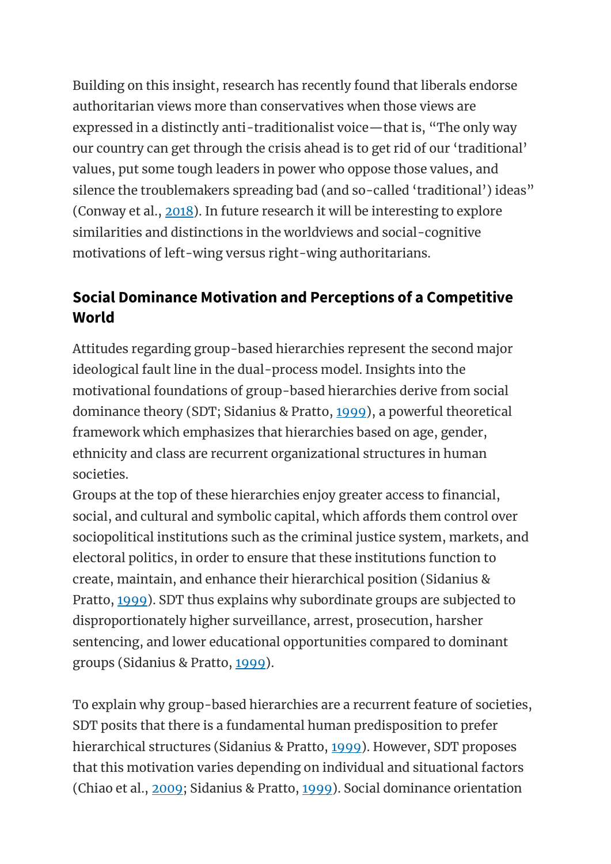Building on this insight, research has recently found that liberals endorse authoritarian views more than conservatives when those views are expressed in a distinctly anti-traditionalist voice—that is, "The only way our country can get through the crisis ahead is to get rid of our 'traditional' values, put some tough leaders in power who oppose those values, and silence the troublemakers spreading bad (and so-called 'traditional') ideas" (Conway et al., [2018\)](https://oxfordre.com/psychology/view/10.1093/acrefore/9780190236557.001.0001/acrefore-9780190236557-e-240?utm_content=relatedarticles2&utm_source=adestra&utm_medium=email&utm_term=Researcher%20SocSci-Law-Psych&utm_campaign=oupac-campaign%3A%201430502204924832381#acrefore-9780190236557-e-240-bibItem-0014). In future research it will be interesting to explore similarities and distinctions in the worldviews and social-cognitive motivations of left-wing versus right-wing authoritarians.

#### **Social Dominance Motivation and Perceptions of a Competitive World**

Attitudes regarding group-based hierarchies represent the second major ideological fault line in the dual-process model. Insights into the motivational foundations of group-based hierarchies derive from social dominance theory (SDT; Sidanius & Pratto, [1999\)](https://oxfordre.com/psychology/view/10.1093/acrefore/9780190236557.001.0001/acrefore-9780190236557-e-240?utm_content=relatedarticles2&utm_source=adestra&utm_medium=email&utm_term=Researcher%20SocSci-Law-Psych&utm_campaign=oupac-campaign%3A%201430502204924832381#acrefore-9780190236557-e-240-bibItem-0109), a powerful theoretical framework which emphasizes that hierarchies based on age, gender, ethnicity and class are recurrent organizational structures in human societies.

Groups at the top of these hierarchies enjoy greater access to financial, social, and cultural and symbolic capital, which affords them control over sociopolitical institutions such as the criminal justice system, markets, and electoral politics, in order to ensure that these institutions function to create, maintain, and enhance their hierarchical position (Sidanius & Pratto, [1999\)](https://oxfordre.com/psychology/view/10.1093/acrefore/9780190236557.001.0001/acrefore-9780190236557-e-240?utm_content=relatedarticles2&utm_source=adestra&utm_medium=email&utm_term=Researcher%20SocSci-Law-Psych&utm_campaign=oupac-campaign%3A%201430502204924832381#acrefore-9780190236557-e-240-bibItem-0109). SDT thus explains why subordinate groups are subjected to disproportionately higher surveillance, arrest, prosecution, harsher sentencing, and lower educational opportunities compared to dominant groups (Sidanius & Pratto, [1999\)](https://oxfordre.com/psychology/view/10.1093/acrefore/9780190236557.001.0001/acrefore-9780190236557-e-240?utm_content=relatedarticles2&utm_source=adestra&utm_medium=email&utm_term=Researcher%20SocSci-Law-Psych&utm_campaign=oupac-campaign%3A%201430502204924832381#acrefore-9780190236557-e-240-bibItem-0109).

To explain why group-based hierarchies are a recurrent feature of societies, SDT posits that there is a fundamental human predisposition to prefer hierarchical structures (Sidanius & Pratto, [1999\)](https://oxfordre.com/psychology/view/10.1093/acrefore/9780190236557.001.0001/acrefore-9780190236557-e-240?utm_content=relatedarticles2&utm_source=adestra&utm_medium=email&utm_term=Researcher%20SocSci-Law-Psych&utm_campaign=oupac-campaign%3A%201430502204924832381#acrefore-9780190236557-e-240-bibItem-0109). However, SDT proposes that this motivation varies depending on individual and situational factors (Chiao et al., [2009;](https://oxfordre.com/psychology/view/10.1093/acrefore/9780190236557.001.0001/acrefore-9780190236557-e-240?utm_content=relatedarticles2&utm_source=adestra&utm_medium=email&utm_term=Researcher%20SocSci-Law-Psych&utm_campaign=oupac-campaign%3A%201430502204924832381#acrefore-9780190236557-e-240-bibItem-0012) Sidanius & Pratto, [1999\)](https://oxfordre.com/psychology/view/10.1093/acrefore/9780190236557.001.0001/acrefore-9780190236557-e-240?utm_content=relatedarticles2&utm_source=adestra&utm_medium=email&utm_term=Researcher%20SocSci-Law-Psych&utm_campaign=oupac-campaign%3A%201430502204924832381#acrefore-9780190236557-e-240-bibItem-0109). Social dominance orientation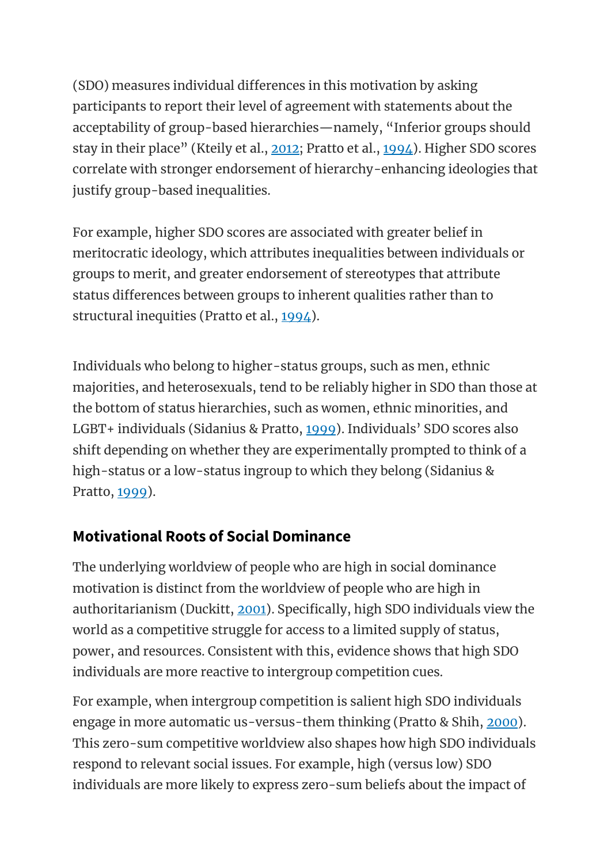(SDO) measures individual differences in this motivation by asking participants to report their level of agreement with statements about the acceptability of group-based hierarchies—namely, "Inferior groups should stay in their place" (Kteily et al., [2012;](https://oxfordre.com/psychology/view/10.1093/acrefore/9780190236557.001.0001/acrefore-9780190236557-e-240?utm_content=relatedarticles2&utm_source=adestra&utm_medium=email&utm_term=Researcher%20SocSci-Law-Psych&utm_campaign=oupac-campaign%3A%201430502204924832381#acrefore-9780190236557-e-240-bibItem-0078) Pratto et al., [1994\)](https://oxfordre.com/psychology/view/10.1093/acrefore/9780190236557.001.0001/acrefore-9780190236557-e-240?utm_content=relatedarticles2&utm_source=adestra&utm_medium=email&utm_term=Researcher%20SocSci-Law-Psych&utm_campaign=oupac-campaign%3A%201430502204924832381#acrefore-9780190236557-e-240-bibItem-0099). Higher SDO scores correlate with stronger endorsement of hierarchy-enhancing ideologies that justify group-based inequalities.

For example, higher SDO scores are associated with greater belief in meritocratic ideology, which attributes inequalities between individuals or groups to merit, and greater endorsement of stereotypes that attribute status differences between groups to inherent qualities rather than to structural inequities (Pratto et al., [1994\)](https://oxfordre.com/psychology/view/10.1093/acrefore/9780190236557.001.0001/acrefore-9780190236557-e-240?utm_content=relatedarticles2&utm_source=adestra&utm_medium=email&utm_term=Researcher%20SocSci-Law-Psych&utm_campaign=oupac-campaign%3A%201430502204924832381#acrefore-9780190236557-e-240-bibItem-0099).

Individuals who belong to higher-status groups, such as men, ethnic majorities, and heterosexuals, tend to be reliably higher in SDO than those at the bottom of status hierarchies, such as women, ethnic minorities, and LGBT+ individuals (Sidanius & Pratto, [1999](https://oxfordre.com/psychology/view/10.1093/acrefore/9780190236557.001.0001/acrefore-9780190236557-e-240?utm_content=relatedarticles2&utm_source=adestra&utm_medium=email&utm_term=Researcher%20SocSci-Law-Psych&utm_campaign=oupac-campaign%3A%201430502204924832381#acrefore-9780190236557-e-240-bibItem-0109)). Individuals' SDO scores also shift depending on whether they are experimentally prompted to think of a high-status or a low-status ingroup to which they belong (Sidanius & Pratto, [1999\)](https://oxfordre.com/psychology/view/10.1093/acrefore/9780190236557.001.0001/acrefore-9780190236557-e-240?utm_content=relatedarticles2&utm_source=adestra&utm_medium=email&utm_term=Researcher%20SocSci-Law-Psych&utm_campaign=oupac-campaign%3A%201430502204924832381#acrefore-9780190236557-e-240-bibItem-0109).

### **Motivational Roots of Social Dominance**

The underlying worldview of people who are high in social dominance motivation is distinct from the worldview of people who are high in authoritarianism (Duckitt, [2001\)](https://oxfordre.com/psychology/view/10.1093/acrefore/9780190236557.001.0001/acrefore-9780190236557-e-240?utm_content=relatedarticles2&utm_source=adestra&utm_medium=email&utm_term=Researcher%20SocSci-Law-Psych&utm_campaign=oupac-campaign%3A%201430502204924832381#acrefore-9780190236557-e-240-bibItem-0020). Specifically, high SDO individuals view the world as a competitive struggle for access to a limited supply of status, power, and resources. Consistent with this, evidence shows that high SDO individuals are more reactive to intergroup competition cues.

For example, when intergroup competition is salient high SDO individuals engage in more automatic us-versus-them thinking (Pratto & Shih, [2000\)](https://oxfordre.com/psychology/view/10.1093/acrefore/9780190236557.001.0001/acrefore-9780190236557-e-240?utm_content=relatedarticles2&utm_source=adestra&utm_medium=email&utm_term=Researcher%20SocSci-Law-Psych&utm_campaign=oupac-campaign%3A%201430502204924832381#acrefore-9780190236557-e-240-bibItem-0098). This zero-sum competitive worldview also shapes how high SDO individuals respond to relevant social issues. For example, high (versus low) SDO individuals are more likely to express zero-sum beliefs about the impact of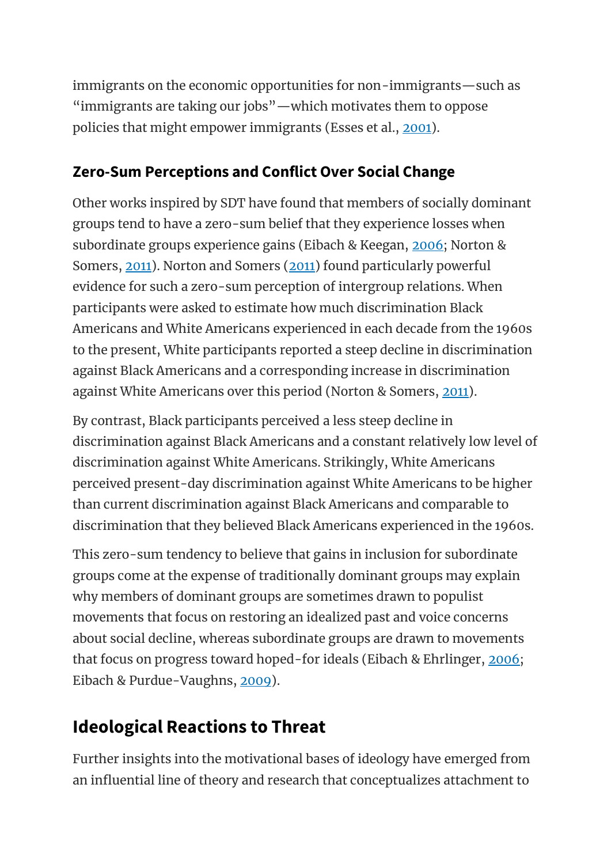immigrants on the economic opportunities for non-immigrants—such as "immigrants are taking our jobs"—which motivates them to oppose policies that might empower immigrants (Esses et al., [2001\)](https://oxfordre.com/psychology/view/10.1093/acrefore/9780190236557.001.0001/acrefore-9780190236557-e-240?utm_content=relatedarticles2&utm_source=adestra&utm_medium=email&utm_term=Researcher%20SocSci-Law-Psych&utm_campaign=oupac-campaign%3A%201430502204924832381#acrefore-9780190236557-e-240-bibItem-0029).

#### **Zero-Sum Perceptions and Conflict Over Social Change**

Other works inspired by SDT have found that members of socially dominant groups tend to have a zero-sum belief that they experience losses when subordinate groups experience gains (Eibach & Keegan, [2006;](https://oxfordre.com/psychology/view/10.1093/acrefore/9780190236557.001.0001/acrefore-9780190236557-e-240?utm_content=relatedarticles2&utm_source=adestra&utm_medium=email&utm_term=Researcher%20SocSci-Law-Psych&utm_campaign=oupac-campaign%3A%201430502204924832381#acrefore-9780190236557-e-240-bibItem-0025) Norton & Somers, [2011\)](https://oxfordre.com/psychology/view/10.1093/acrefore/9780190236557.001.0001/acrefore-9780190236557-e-240?utm_content=relatedarticles2&utm_source=adestra&utm_medium=email&utm_term=Researcher%20SocSci-Law-Psych&utm_campaign=oupac-campaign%3A%201430502204924832381#acrefore-9780190236557-e-240-bibItem-0096). Norton and Somers [\(2011\)](https://oxfordre.com/psychology/view/10.1093/acrefore/9780190236557.001.0001/acrefore-9780190236557-e-240?utm_content=relatedarticles2&utm_source=adestra&utm_medium=email&utm_term=Researcher%20SocSci-Law-Psych&utm_campaign=oupac-campaign%3A%201430502204924832381#acrefore-9780190236557-e-240-bibItem-0096) found particularly powerful evidence for such a zero-sum perception of intergroup relations. When participants were asked to estimate how much discrimination Black Americans and White Americans experienced in each decade from the 1960s to the present, White participants reported a steep decline in discrimination against Black Americans and a corresponding increase in discrimination against White Americans over this period (Norton & Somers, [2011\)](https://oxfordre.com/psychology/view/10.1093/acrefore/9780190236557.001.0001/acrefore-9780190236557-e-240?utm_content=relatedarticles2&utm_source=adestra&utm_medium=email&utm_term=Researcher%20SocSci-Law-Psych&utm_campaign=oupac-campaign%3A%201430502204924832381#acrefore-9780190236557-e-240-bibItem-0096).

By contrast, Black participants perceived a less steep decline in discrimination against Black Americans and a constant relatively low level of discrimination against White Americans. Strikingly, White Americans perceived present-day discrimination against White Americans to be higher than current discrimination against Black Americans and comparable to discrimination that they believed Black Americans experienced in the 1960s.

This zero-sum tendency to believe that gains in inclusion for subordinate groups come at the expense of traditionally dominant groups may explain why members of dominant groups are sometimes drawn to populist movements that focus on restoring an idealized past and voice concerns about social decline, whereas subordinate groups are drawn to movements that focus on progress toward hoped-for ideals (Eibach & Ehrlinger, [2006;](https://oxfordre.com/psychology/view/10.1093/acrefore/9780190236557.001.0001/acrefore-9780190236557-e-240?utm_content=relatedarticles2&utm_source=adestra&utm_medium=email&utm_term=Researcher%20SocSci-Law-Psych&utm_campaign=oupac-campaign%3A%201430502204924832381#acrefore-9780190236557-e-240-bibItem-0024) Eibach & Purdue-Vaughns, [2009\)](https://oxfordre.com/psychology/view/10.1093/acrefore/9780190236557.001.0001/acrefore-9780190236557-e-240?utm_content=relatedarticles2&utm_source=adestra&utm_medium=email&utm_term=Researcher%20SocSci-Law-Psych&utm_campaign=oupac-campaign%3A%201430502204924832381#acrefore-9780190236557-e-240-bibItem-0026).

### **Ideological Reactions to Threat**

Further insights into the motivational bases of ideology have emerged from an influential line of theory and research that conceptualizes attachment to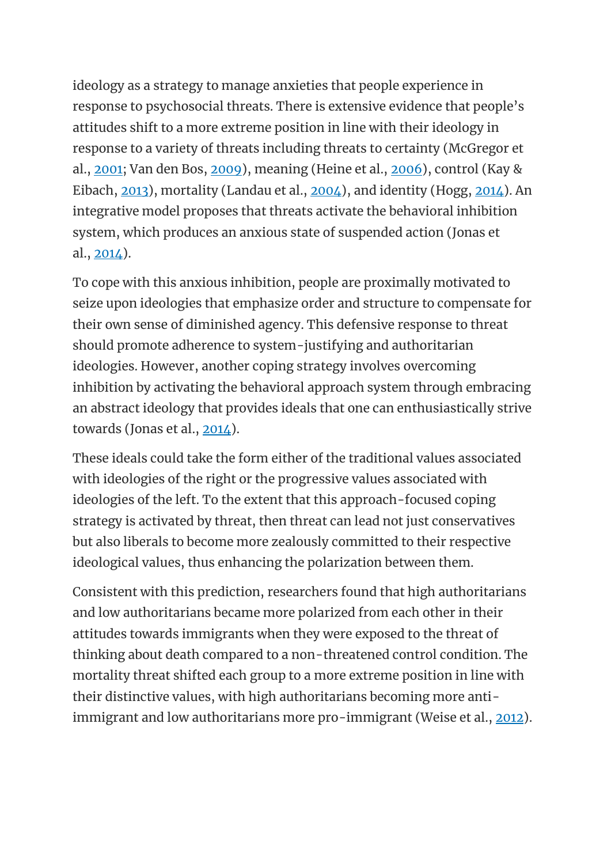ideology as a strategy to manage anxieties that people experience in response to psychosocial threats. There is extensive evidence that people's attitudes shift to a more extreme position in line with their ideology in response to a variety of threats including threats to certainty (McGregor et al., [2001;](https://oxfordre.com/psychology/view/10.1093/acrefore/9780190236557.001.0001/acrefore-9780190236557-e-240?utm_content=relatedarticles2&utm_source=adestra&utm_medium=email&utm_term=Researcher%20SocSci-Law-Psych&utm_campaign=oupac-campaign%3A%201430502204924832381#acrefore-9780190236557-e-240-bibItem-0090) Van den Bos, [2009\)](https://oxfordre.com/psychology/view/10.1093/acrefore/9780190236557.001.0001/acrefore-9780190236557-e-240?utm_content=relatedarticles2&utm_source=adestra&utm_medium=email&utm_term=Researcher%20SocSci-Law-Psych&utm_campaign=oupac-campaign%3A%201430502204924832381#acrefore-9780190236557-e-240-bibItem-0126), meaning (Heine et al., [2006\)](https://oxfordre.com/psychology/view/10.1093/acrefore/9780190236557.001.0001/acrefore-9780190236557-e-240?utm_content=relatedarticles2&utm_source=adestra&utm_medium=email&utm_term=Researcher%20SocSci-Law-Psych&utm_campaign=oupac-campaign%3A%201430502204924832381#acrefore-9780190236557-e-240-bibItem-0046), control (Kay & Eibach, [2013\)](https://oxfordre.com/psychology/view/10.1093/acrefore/9780190236557.001.0001/acrefore-9780190236557-e-240?utm_content=relatedarticles2&utm_source=adestra&utm_medium=email&utm_term=Researcher%20SocSci-Law-Psych&utm_campaign=oupac-campaign%3A%201430502204924832381#acrefore-9780190236557-e-240-bibItem-0070), mortality (Landau et al., [2004\)](https://oxfordre.com/psychology/view/10.1093/acrefore/9780190236557.001.0001/acrefore-9780190236557-e-240?utm_content=relatedarticles2&utm_source=adestra&utm_medium=email&utm_term=Researcher%20SocSci-Law-Psych&utm_campaign=oupac-campaign%3A%201430502204924832381#acrefore-9780190236557-e-240-bibItem-0079), and identity (Hogg, [2014\)](https://oxfordre.com/psychology/view/10.1093/acrefore/9780190236557.001.0001/acrefore-9780190236557-e-240?utm_content=relatedarticles2&utm_source=adestra&utm_medium=email&utm_term=Researcher%20SocSci-Law-Psych&utm_campaign=oupac-campaign%3A%201430502204924832381#acrefore-9780190236557-e-240-bibItem-0051). An integrative model proposes that threats activate the behavioral inhibition system, which produces an anxious state of suspended action (Jonas et al.,  $2014$ ).

To cope with this anxious inhibition, people are proximally motivated to seize upon ideologies that emphasize order and structure to compensate for their own sense of diminished agency. This defensive response to threat should promote adherence to system-justifying and authoritarian ideologies. However, another coping strategy involves overcoming inhibition by activating the behavioral approach system through embracing an abstract ideology that provides ideals that one can enthusiastically strive towards (Jonas et al., [2014\)](https://oxfordre.com/psychology/view/10.1093/acrefore/9780190236557.001.0001/acrefore-9780190236557-e-240?utm_content=relatedarticles2&utm_source=adestra&utm_medium=email&utm_term=Researcher%20SocSci-Law-Psych&utm_campaign=oupac-campaign%3A%201430502204924832381#acrefore-9780190236557-e-240-bibItem-0059).

These ideals could take the form either of the traditional values associated with ideologies of the right or the progressive values associated with ideologies of the left. To the extent that this approach-focused coping strategy is activated by threat, then threat can lead not just conservatives but also liberals to become more zealously committed to their respective ideological values, thus enhancing the polarization between them.

Consistent with this prediction, researchers found that high authoritarians and low authoritarians became more polarized from each other in their attitudes towards immigrants when they were exposed to the threat of thinking about death compared to a non-threatened control condition. The mortality threat shifted each group to a more extreme position in line with their distinctive values, with high authoritarians becoming more anti-immigrant and low authoritarians more pro-immigrant (Weise et al., [2012\)](https://oxfordre.com/psychology/view/10.1093/acrefore/9780190236557.001.0001/acrefore-9780190236557-e-240?utm_content=relatedarticles2&utm_source=adestra&utm_medium=email&utm_term=Researcher%20SocSci-Law-Psych&utm_campaign=oupac-campaign%3A%201430502204924832381#acrefore-9780190236557-e-240-bibItem-0128).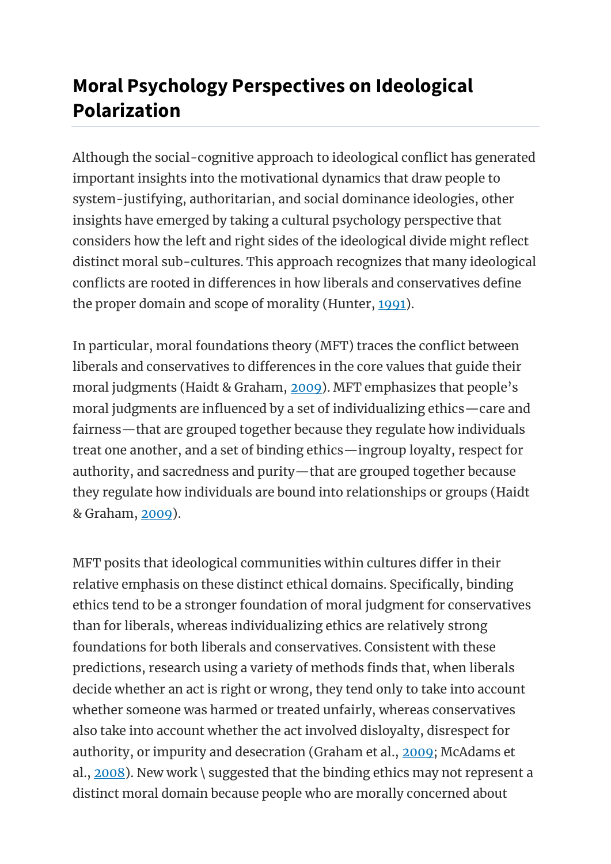# **Moral Psychology Perspectives on Ideological Polarization**

Although the social-cognitive approach to ideological conflict has generated important insights into the motivational dynamics that draw people to system-justifying, authoritarian, and social dominance ideologies, other insights have emerged by taking a cultural psychology perspective that considers how the left and right sides of the ideological divide might reflect distinct moral sub-cultures. This approach recognizes that many ideological conflicts are rooted in differences in how liberals and conservatives define the proper domain and scope of morality (Hunter, [1991\)](https://oxfordre.com/psychology/view/10.1093/acrefore/9780190236557.001.0001/acrefore-9780190236557-e-240?utm_content=relatedarticles2&utm_source=adestra&utm_medium=email&utm_term=Researcher%20SocSci-Law-Psych&utm_campaign=oupac-campaign%3A%201430502204924832381#acrefore-9780190236557-e-240-bibItem-0052).

In particular, moral foundations theory (MFT) traces the conflict between liberals and conservatives to differences in the core values that guide their moral judgments (Haidt & Graham, [2009\)](https://oxfordre.com/psychology/view/10.1093/acrefore/9780190236557.001.0001/acrefore-9780190236557-e-240?utm_content=relatedarticles2&utm_source=adestra&utm_medium=email&utm_term=Researcher%20SocSci-Law-Psych&utm_campaign=oupac-campaign%3A%201430502204924832381#acrefore-9780190236557-e-240-bibItem-0043). MFT emphasizes that people's moral judgments are influenced by a set of individualizing ethics—care and fairness—that are grouped together because they regulate how individuals treat one another, and a set of binding ethics—ingroup loyalty, respect for authority, and sacredness and purity—that are grouped together because they regulate how individuals are bound into relationships or groups (Haidt & Graham, [2009\)](https://oxfordre.com/psychology/view/10.1093/acrefore/9780190236557.001.0001/acrefore-9780190236557-e-240?utm_content=relatedarticles2&utm_source=adestra&utm_medium=email&utm_term=Researcher%20SocSci-Law-Psych&utm_campaign=oupac-campaign%3A%201430502204924832381#acrefore-9780190236557-e-240-bibItem-0043).

MFT posits that ideological communities within cultures differ in their relative emphasis on these distinct ethical domains. Specifically, binding ethics tend to be a stronger foundation of moral judgment for conservatives than for liberals, whereas individualizing ethics are relatively strong foundations for both liberals and conservatives. Consistent with these predictions, research using a variety of methods finds that, when liberals decide whether an act is right or wrong, they tend only to take into account whether someone was harmed or treated unfairly, whereas conservatives also take into account whether the act involved disloyalty, disrespect for authority, or impurity and desecration (Graham et al., [2009;](https://oxfordre.com/psychology/view/10.1093/acrefore/9780190236557.001.0001/acrefore-9780190236557-e-240?utm_content=relatedarticles2&utm_source=adestra&utm_medium=email&utm_term=Researcher%20SocSci-Law-Psych&utm_campaign=oupac-campaign%3A%201430502204924832381#acrefore-9780190236557-e-240-bibItem-0038) McAdams et al., [2008\)](https://oxfordre.com/psychology/view/10.1093/acrefore/9780190236557.001.0001/acrefore-9780190236557-e-240?utm_content=relatedarticles2&utm_source=adestra&utm_medium=email&utm_term=Researcher%20SocSci-Law-Psych&utm_campaign=oupac-campaign%3A%201430502204924832381#acrefore-9780190236557-e-240-bibItem-0088). New work \ suggested that the binding ethics may not represent a distinct moral domain because people who are morally concerned about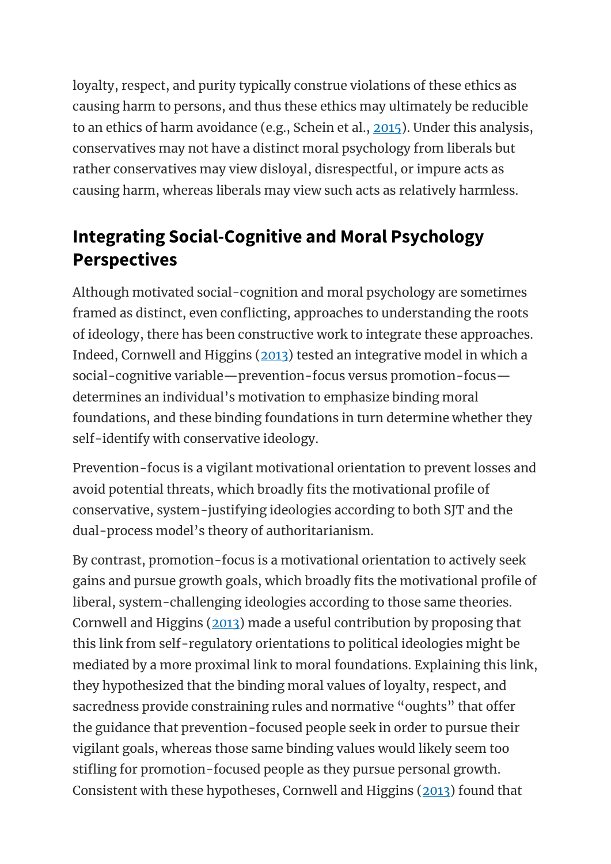loyalty, respect, and purity typically construe violations of these ethics as causing harm to persons, and thus these ethics may ultimately be reducible to an ethics of harm avoidance (e.g., Schein et al., [2015\)](https://oxfordre.com/psychology/view/10.1093/acrefore/9780190236557.001.0001/acrefore-9780190236557-e-240?utm_content=relatedarticles2&utm_source=adestra&utm_medium=email&utm_term=Researcher%20SocSci-Law-Psych&utm_campaign=oupac-campaign%3A%201430502204924832381#acrefore-9780190236557-e-240-bibItem-0103). Under this analysis, conservatives may not have a distinct moral psychology from liberals but rather conservatives may view disloyal, disrespectful, or impure acts as causing harm, whereas liberals may view such acts as relatively harmless.

### **Integrating Social-Cognitive and Moral Psychology Perspectives**

Although motivated social-cognition and moral psychology are sometimes framed as distinct, even conflicting, approaches to understanding the roots of ideology, there has been constructive work to integrate these approaches. Indeed, Cornwell and Higgins [\(2013\)](https://oxfordre.com/psychology/view/10.1093/acrefore/9780190236557.001.0001/acrefore-9780190236557-e-240?utm_content=relatedarticles2&utm_source=adestra&utm_medium=email&utm_term=Researcher%20SocSci-Law-Psych&utm_campaign=oupac-campaign%3A%201430502204924832381#acrefore-9780190236557-e-240-bibItem-0015) tested an integrative model in which a social-cognitive variable—prevention-focus versus promotion-focus determines an individual's motivation to emphasize binding moral foundations, and these binding foundations in turn determine whether they self-identify with conservative ideology.

Prevention-focus is a vigilant motivational orientation to prevent losses and avoid potential threats, which broadly fits the motivational profile of conservative, system-justifying ideologies according to both SJT and the dual-process model's theory of authoritarianism.

By contrast, promotion-focus is a motivational orientation to actively seek gains and pursue growth goals, which broadly fits the motivational profile of liberal, system-challenging ideologies according to those same theories. Cornwell and Higgins [\(2013\)](https://oxfordre.com/psychology/view/10.1093/acrefore/9780190236557.001.0001/acrefore-9780190236557-e-240?utm_content=relatedarticles2&utm_source=adestra&utm_medium=email&utm_term=Researcher%20SocSci-Law-Psych&utm_campaign=oupac-campaign%3A%201430502204924832381#acrefore-9780190236557-e-240-bibItem-0015) made a useful contribution by proposing that this link from self-regulatory orientations to political ideologies might be mediated by a more proximal link to moral foundations. Explaining this link, they hypothesized that the binding moral values of loyalty, respect, and sacredness provide constraining rules and normative "oughts" that offer the guidance that prevention-focused people seek in order to pursue their vigilant goals, whereas those same binding values would likely seem too stifling for promotion-focused people as they pursue personal growth. Consistent with these hypotheses, Cornwell and Higgins [\(2013\)](https://oxfordre.com/psychology/view/10.1093/acrefore/9780190236557.001.0001/acrefore-9780190236557-e-240?utm_content=relatedarticles2&utm_source=adestra&utm_medium=email&utm_term=Researcher%20SocSci-Law-Psych&utm_campaign=oupac-campaign%3A%201430502204924832381#acrefore-9780190236557-e-240-bibItem-0015) found that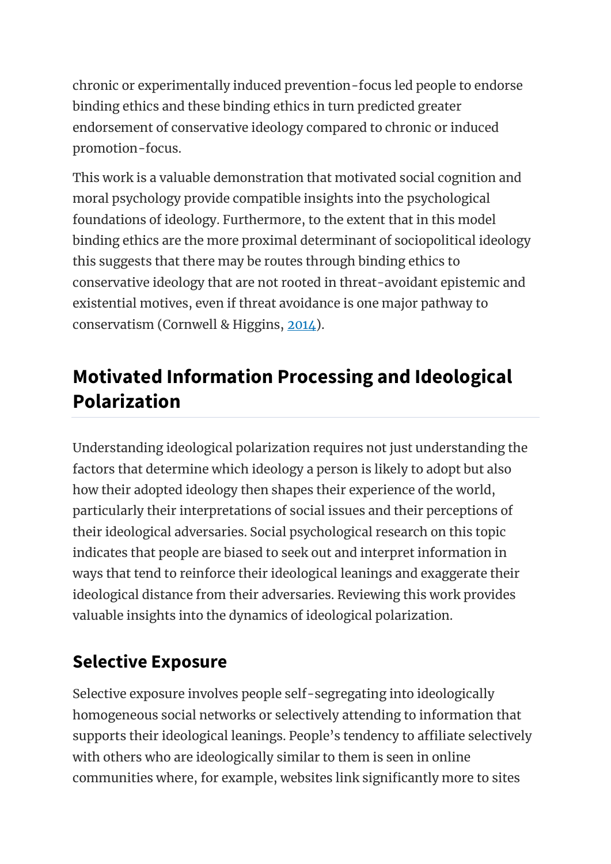chronic or experimentally induced prevention-focus led people to endorse binding ethics and these binding ethics in turn predicted greater endorsement of conservative ideology compared to chronic or induced promotion-focus.

This work is a valuable demonstration that motivated social cognition and moral psychology provide compatible insights into the psychological foundations of ideology. Furthermore, to the extent that in this model binding ethics are the more proximal determinant of sociopolitical ideology this suggests that there may be routes through binding ethics to conservative ideology that are not rooted in threat-avoidant epistemic and existential motives, even if threat avoidance is one major pathway to conservatism (Cornwell & Higgins, [2014\)](https://oxfordre.com/psychology/view/10.1093/acrefore/9780190236557.001.0001/acrefore-9780190236557-e-240?utm_content=relatedarticles2&utm_source=adestra&utm_medium=email&utm_term=Researcher%20SocSci-Law-Psych&utm_campaign=oupac-campaign%3A%201430502204924832381#acrefore-9780190236557-e-240-bibItem-0016).

# **Motivated Information Processing and Ideological Polarization**

Understanding ideological polarization requires not just understanding the factors that determine which ideology a person is likely to adopt but also how their adopted ideology then shapes their experience of the world, particularly their interpretations of social issues and their perceptions of their ideological adversaries. Social psychological research on this topic indicates that people are biased to seek out and interpret information in ways that tend to reinforce their ideological leanings and exaggerate their ideological distance from their adversaries. Reviewing this work provides valuable insights into the dynamics of ideological polarization.

### **Selective Exposure**

Selective exposure involves people self-segregating into ideologically homogeneous social networks or selectively attending to information that supports their ideological leanings. People's tendency to affiliate selectively with others who are ideologically similar to them is seen in online communities where, for example, websites link significantly more to sites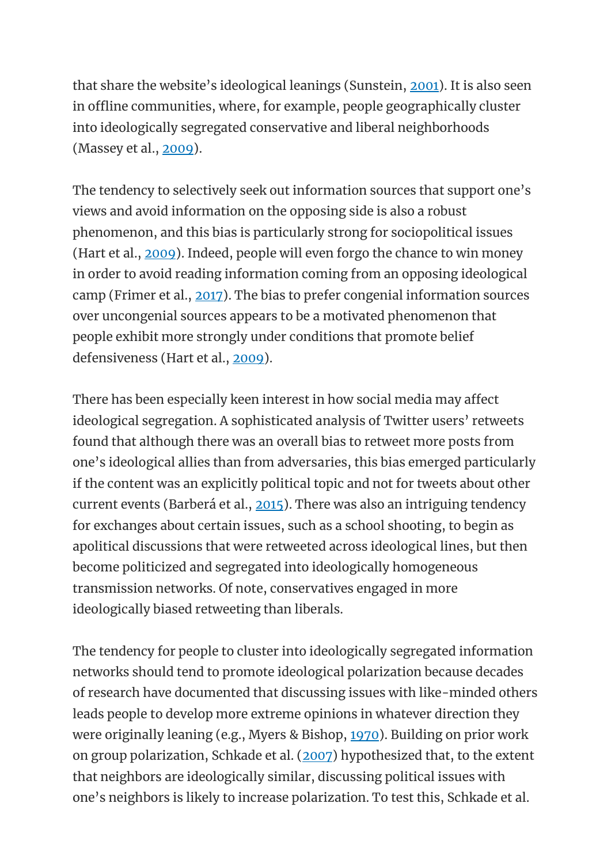that share the website's ideological leanings (Sunstein, [2001\)](https://oxfordre.com/psychology/view/10.1093/acrefore/9780190236557.001.0001/acrefore-9780190236557-e-240?utm_content=relatedarticles2&utm_source=adestra&utm_medium=email&utm_term=Researcher%20SocSci-Law-Psych&utm_campaign=oupac-campaign%3A%201430502204924832381#acrefore-9780190236557-e-240-bibItem-0119). It is also seen in offline communities, where, for example, people geographically cluster into ideologically segregated conservative and liberal neighborhoods (Massey et al., [2009\)](https://oxfordre.com/psychology/view/10.1093/acrefore/9780190236557.001.0001/acrefore-9780190236557-e-240?utm_content=relatedarticles2&utm_source=adestra&utm_medium=email&utm_term=Researcher%20SocSci-Law-Psych&utm_campaign=oupac-campaign%3A%201430502204924832381#acrefore-9780190236557-e-240-bibItem-0087).

The tendency to selectively seek out information sources that support one's views and avoid information on the opposing side is also a robust phenomenon, and this bias is particularly strong for sociopolitical issues (Hart et al., [2009\)](https://oxfordre.com/psychology/view/10.1093/acrefore/9780190236557.001.0001/acrefore-9780190236557-e-240?utm_content=relatedarticles2&utm_source=adestra&utm_medium=email&utm_term=Researcher%20SocSci-Law-Psych&utm_campaign=oupac-campaign%3A%201430502204924832381#acrefore-9780190236557-e-240-bibItem-0045). Indeed, people will even forgo the chance to win money in order to avoid reading information coming from an opposing ideological camp (Frimer et al., [2017\)](https://oxfordre.com/psychology/view/10.1093/acrefore/9780190236557.001.0001/acrefore-9780190236557-e-240?utm_content=relatedarticles2&utm_source=adestra&utm_medium=email&utm_term=Researcher%20SocSci-Law-Psych&utm_campaign=oupac-campaign%3A%201430502204924832381#acrefore-9780190236557-e-240-bibItem-0034). The bias to prefer congenial information sources over uncongenial sources appears to be a motivated phenomenon that people exhibit more strongly under conditions that promote belief defensiveness (Hart et al., [2009\)](https://oxfordre.com/psychology/view/10.1093/acrefore/9780190236557.001.0001/acrefore-9780190236557-e-240?utm_content=relatedarticles2&utm_source=adestra&utm_medium=email&utm_term=Researcher%20SocSci-Law-Psych&utm_campaign=oupac-campaign%3A%201430502204924832381#acrefore-9780190236557-e-240-bibItem-0045).

There has been especially keen interest in how social media may affect ideological segregation. A sophisticated analysis of Twitter users' retweets found that although there was an overall bias to retweet more posts from one's ideological allies than from adversaries, this bias emerged particularly if the content was an explicitly political topic and not for tweets about other current events (Barberá et al., [2015\)](https://oxfordre.com/psychology/view/10.1093/acrefore/9780190236557.001.0001/acrefore-9780190236557-e-240?utm_content=relatedarticles2&utm_source=adestra&utm_medium=email&utm_term=Researcher%20SocSci-Law-Psych&utm_campaign=oupac-campaign%3A%201430502204924832381#acrefore-9780190236557-e-240-bibItem-0009). There was also an intriguing tendency for exchanges about certain issues, such as a school shooting, to begin as apolitical discussions that were retweeted across ideological lines, but then become politicized and segregated into ideologically homogeneous transmission networks. Of note, conservatives engaged in more ideologically biased retweeting than liberals.

The tendency for people to cluster into ideologically segregated information networks should tend to promote ideological polarization because decades of research have documented that discussing issues with like-minded others leads people to develop more extreme opinions in whatever direction they were originally leaning (e.g., Myers & Bishop, [1970\)](https://oxfordre.com/psychology/view/10.1093/acrefore/9780190236557.001.0001/acrefore-9780190236557-e-240?utm_content=relatedarticles2&utm_source=adestra&utm_medium=email&utm_term=Researcher%20SocSci-Law-Psych&utm_campaign=oupac-campaign%3A%201430502204924832381#acrefore-9780190236557-e-240-bibItem-0091). Building on prior work on group polarization, Schkade et al. [\(2007\)](https://oxfordre.com/psychology/view/10.1093/acrefore/9780190236557.001.0001/acrefore-9780190236557-e-240?utm_content=relatedarticles2&utm_source=adestra&utm_medium=email&utm_term=Researcher%20SocSci-Law-Psych&utm_campaign=oupac-campaign%3A%201430502204924832381#acrefore-9780190236557-e-240-bibItem-0104) hypothesized that, to the extent that neighbors are ideologically similar, discussing political issues with one's neighbors is likely to increase polarization. To test this, Schkade et al.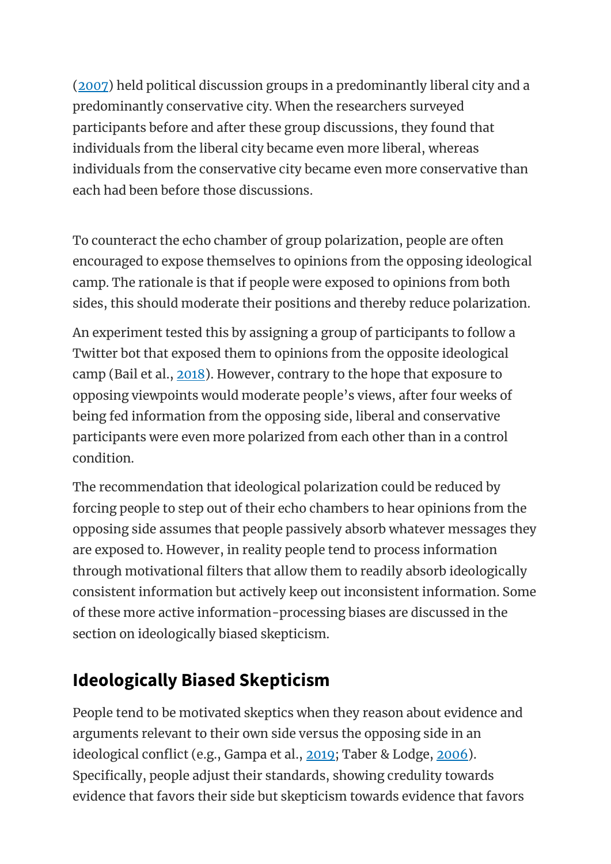[\(2007\)](https://oxfordre.com/psychology/view/10.1093/acrefore/9780190236557.001.0001/acrefore-9780190236557-e-240?utm_content=relatedarticles2&utm_source=adestra&utm_medium=email&utm_term=Researcher%20SocSci-Law-Psych&utm_campaign=oupac-campaign%3A%201430502204924832381#acrefore-9780190236557-e-240-bibItem-0104) held political discussion groups in a predominantly liberal city and a predominantly conservative city. When the researchers surveyed participants before and after these group discussions, they found that individuals from the liberal city became even more liberal, whereas individuals from the conservative city became even more conservative than each had been before those discussions.

To counteract the echo chamber of group polarization, people are often encouraged to expose themselves to opinions from the opposing ideological camp. The rationale is that if people were exposed to opinions from both sides, this should moderate their positions and thereby reduce polarization.

An experiment tested this by assigning a group of participants to follow a Twitter bot that exposed them to opinions from the opposite ideological camp (Bail et al., [2018\)](https://oxfordre.com/psychology/view/10.1093/acrefore/9780190236557.001.0001/acrefore-9780190236557-e-240?utm_content=relatedarticles2&utm_source=adestra&utm_medium=email&utm_term=Researcher%20SocSci-Law-Psych&utm_campaign=oupac-campaign%3A%201430502204924832381#acrefore-9780190236557-e-240-bibItem-0008). However, contrary to the hope that exposure to opposing viewpoints would moderate people's views, after four weeks of being fed information from the opposing side, liberal and conservative participants were even more polarized from each other than in a control condition.

The recommendation that ideological polarization could be reduced by forcing people to step out of their echo chambers to hear opinions from the opposing side assumes that people passively absorb whatever messages they are exposed to. However, in reality people tend to process information through motivational filters that allow them to readily absorb ideologically consistent information but actively keep out inconsistent information. Some of these more active information-processing biases are discussed in the section on ideologically biased skepticism.

### **Ideologically Biased Skepticism**

People tend to be motivated skeptics when they reason about evidence and arguments relevant to their own side versus the opposing side in an ideological conflict (e.g., Gampa et al., [2019;](https://oxfordre.com/psychology/view/10.1093/acrefore/9780190236557.001.0001/acrefore-9780190236557-e-240?utm_content=relatedarticles2&utm_source=adestra&utm_medium=email&utm_term=Researcher%20SocSci-Law-Psych&utm_campaign=oupac-campaign%3A%201430502204924832381#acrefore-9780190236557-e-240-bibItem-0035) Taber & Lodge, [2006\)](https://oxfordre.com/psychology/view/10.1093/acrefore/9780190236557.001.0001/acrefore-9780190236557-e-240?utm_content=relatedarticles2&utm_source=adestra&utm_medium=email&utm_term=Researcher%20SocSci-Law-Psych&utm_campaign=oupac-campaign%3A%201430502204924832381#acrefore-9780190236557-e-240-bibItem-0120). Specifically, people adjust their standards, showing credulity towards evidence that favors their side but skepticism towards evidence that favors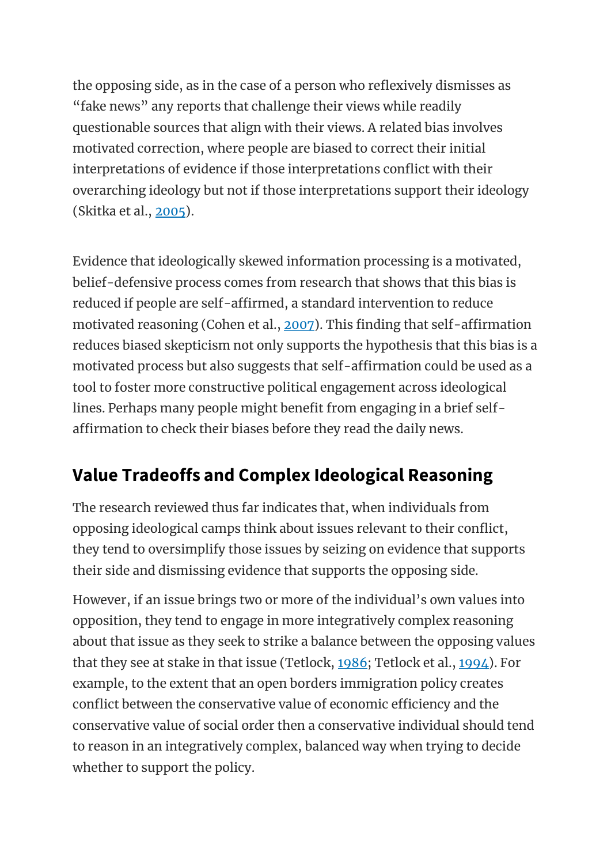the opposing side, as in the case of a person who reflexively dismisses as "fake news" any reports that challenge their views while readily questionable sources that align with their views. A related bias involves motivated correction, where people are biased to correct their initial interpretations of evidence if those interpretations conflict with their overarching ideology but not if those interpretations support their ideology (Skitka et al., [2005\)](https://oxfordre.com/psychology/view/10.1093/acrefore/9780190236557.001.0001/acrefore-9780190236557-e-240?utm_content=relatedarticles2&utm_source=adestra&utm_medium=email&utm_term=Researcher%20SocSci-Law-Psych&utm_campaign=oupac-campaign%3A%201430502204924832381#acrefore-9780190236557-e-240-bibItem-0111).

Evidence that ideologically skewed information processing is a motivated, belief-defensive process comes from research that shows that this bias is reduced if people are self-affirmed, a standard intervention to reduce motivated reasoning (Cohen et al., [2007\)](https://oxfordre.com/psychology/view/10.1093/acrefore/9780190236557.001.0001/acrefore-9780190236557-e-240?utm_content=relatedarticles2&utm_source=adestra&utm_medium=email&utm_term=Researcher%20SocSci-Law-Psych&utm_campaign=oupac-campaign%3A%201430502204924832381#acrefore-9780190236557-e-240-bibItem-0013). This finding that self-affirmation reduces biased skepticism not only supports the hypothesis that this bias is a motivated process but also suggests that self-affirmation could be used as a tool to foster more constructive political engagement across ideological lines. Perhaps many people might benefit from engaging in a brief selfaffirmation to check their biases before they read the daily news.

### **Value Tradeoffs and Complex Ideological Reasoning**

The research reviewed thus far indicates that, when individuals from opposing ideological camps think about issues relevant to their conflict, they tend to oversimplify those issues by seizing on evidence that supports their side and dismissing evidence that supports the opposing side.

However, if an issue brings two or more of the individual's own values into opposition, they tend to engage in more integratively complex reasoning about that issue as they seek to strike a balance between the opposing values that they see at stake in that issue (Tetlock, [1986;](https://oxfordre.com/psychology/view/10.1093/acrefore/9780190236557.001.0001/acrefore-9780190236557-e-240?utm_content=relatedarticles2&utm_source=adestra&utm_medium=email&utm_term=Researcher%20SocSci-Law-Psych&utm_campaign=oupac-campaign%3A%201430502204924832381#acrefore-9780190236557-e-240-bibItem-0121) Tetlock et al., [1994\)](https://oxfordre.com/psychology/view/10.1093/acrefore/9780190236557.001.0001/acrefore-9780190236557-e-240?utm_content=relatedarticles2&utm_source=adestra&utm_medium=email&utm_term=Researcher%20SocSci-Law-Psych&utm_campaign=oupac-campaign%3A%201430502204924832381#acrefore-9780190236557-e-240-bibItem-0122). For example, to the extent that an open borders immigration policy creates conflict between the conservative value of economic efficiency and the conservative value of social order then a conservative individual should tend to reason in an integratively complex, balanced way when trying to decide whether to support the policy.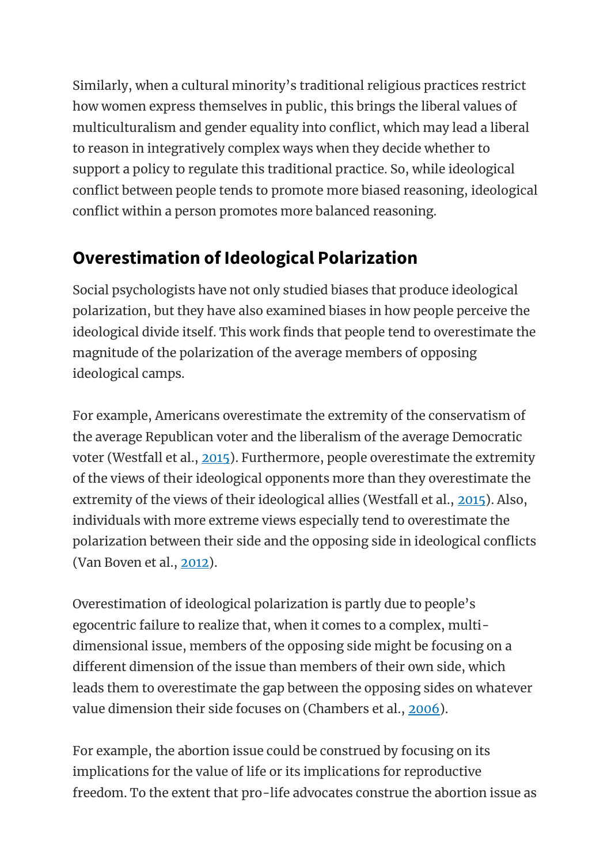Similarly, when a cultural minority's traditional religious practices restrict how women express themselves in public, this brings the liberal values of multiculturalism and gender equality into conflict, which may lead a liberal to reason in integratively complex ways when they decide whether to support a policy to regulate this traditional practice. So, while ideological conflict between people tends to promote more biased reasoning, ideological conflict within a person promotes more balanced reasoning.

### **Overestimation of Ideological Polarization**

Social psychologists have not only studied biases that produce ideological polarization, but they have also examined biases in how people perceive the ideological divide itself. This work finds that people tend to overestimate the magnitude of the polarization of the average members of opposing ideological camps.

For example, Americans overestimate the extremity of the conservatism of the average Republican voter and the liberalism of the average Democratic voter (Westfall et al., [2015\)](https://oxfordre.com/psychology/view/10.1093/acrefore/9780190236557.001.0001/acrefore-9780190236557-e-240?utm_content=relatedarticles2&utm_source=adestra&utm_medium=email&utm_term=Researcher%20SocSci-Law-Psych&utm_campaign=oupac-campaign%3A%201430502204924832381#acrefore-9780190236557-e-240-bibItem-0129). Furthermore, people overestimate the extremity of the views of their ideological opponents more than they overestimate the extremity of the views of their ideological allies (Westfall et al., [2015\)](https://oxfordre.com/psychology/view/10.1093/acrefore/9780190236557.001.0001/acrefore-9780190236557-e-240?utm_content=relatedarticles2&utm_source=adestra&utm_medium=email&utm_term=Researcher%20SocSci-Law-Psych&utm_campaign=oupac-campaign%3A%201430502204924832381#acrefore-9780190236557-e-240-bibItem-0129). Also, individuals with more extreme views especially tend to overestimate the polarization between their side and the opposing side in ideological conflicts (Van Boven et al., [2012\)](https://oxfordre.com/psychology/view/10.1093/acrefore/9780190236557.001.0001/acrefore-9780190236557-e-240?utm_content=relatedarticles2&utm_source=adestra&utm_medium=email&utm_term=Researcher%20SocSci-Law-Psych&utm_campaign=oupac-campaign%3A%201430502204924832381#acrefore-9780190236557-e-240-bibItem-0125).

Overestimation of ideological polarization is partly due to people's egocentric failure to realize that, when it comes to a complex, multidimensional issue, members of the opposing side might be focusing on a different dimension of the issue than members of their own side, which leads them to overestimate the gap between the opposing sides on whatever value dimension their side focuses on (Chambers et al., [2006\)](https://oxfordre.com/psychology/view/10.1093/acrefore/9780190236557.001.0001/acrefore-9780190236557-e-240?utm_content=relatedarticles2&utm_source=adestra&utm_medium=email&utm_term=Researcher%20SocSci-Law-Psych&utm_campaign=oupac-campaign%3A%201430502204924832381#acrefore-9780190236557-e-240-bibItem-0011).

For example, the abortion issue could be construed by focusing on its implications for the value of life or its implications for reproductive freedom. To the extent that pro-life advocates construe the abortion issue as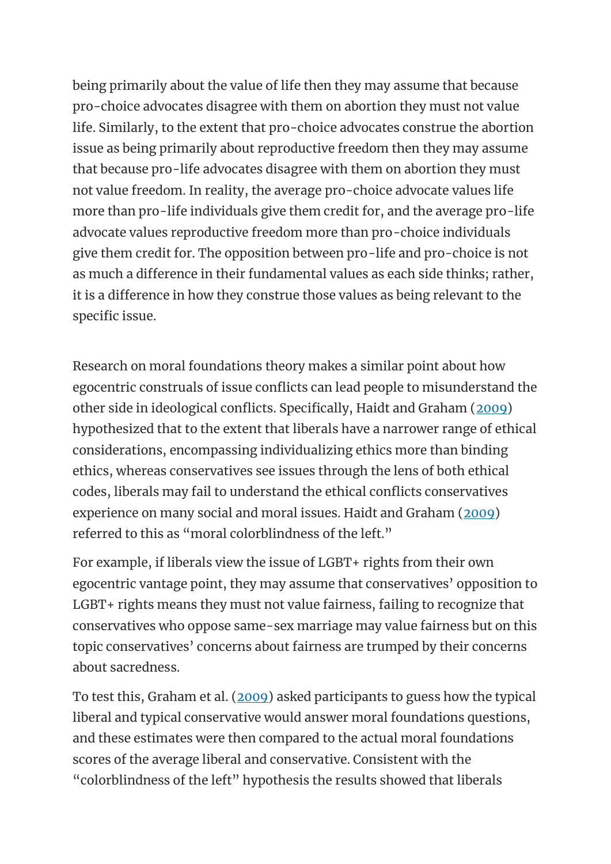being primarily about the value of life then they may assume that because pro-choice advocates disagree with them on abortion they must not value life. Similarly, to the extent that pro-choice advocates construe the abortion issue as being primarily about reproductive freedom then they may assume that because pro-life advocates disagree with them on abortion they must not value freedom. In reality, the average pro-choice advocate values life more than pro-life individuals give them credit for, and the average pro-life advocate values reproductive freedom more than pro-choice individuals give them credit for. The opposition between pro-life and pro-choice is not as much a difference in their fundamental values as each side thinks; rather, it is a difference in how they construe those values as being relevant to the specific issue.

Research on moral foundations theory makes a similar point about how egocentric construals of issue conflicts can lead people to misunderstand the other side in ideological conflicts. Specifically, Haidt and Graham [\(2009\)](https://oxfordre.com/psychology/view/10.1093/acrefore/9780190236557.001.0001/acrefore-9780190236557-e-240?utm_content=relatedarticles2&utm_source=adestra&utm_medium=email&utm_term=Researcher%20SocSci-Law-Psych&utm_campaign=oupac-campaign%3A%201430502204924832381#acrefore-9780190236557-e-240-bibItem-0043) hypothesized that to the extent that liberals have a narrower range of ethical considerations, encompassing individualizing ethics more than binding ethics, whereas conservatives see issues through the lens of both ethical codes, liberals may fail to understand the ethical conflicts conservatives experience on many social and moral issues. Haidt and Graham [\(2009\)](https://oxfordre.com/psychology/view/10.1093/acrefore/9780190236557.001.0001/acrefore-9780190236557-e-240?utm_content=relatedarticles2&utm_source=adestra&utm_medium=email&utm_term=Researcher%20SocSci-Law-Psych&utm_campaign=oupac-campaign%3A%201430502204924832381#acrefore-9780190236557-e-240-bibItem-0043) referred to this as "moral colorblindness of the left."

For example, if liberals view the issue of LGBT+ rights from their own egocentric vantage point, they may assume that conservatives' opposition to LGBT+ rights means they must not value fairness, failing to recognize that conservatives who oppose same-sex marriage may value fairness but on this topic conservatives' concerns about fairness are trumped by their concerns about sacredness.

To test this, Graham et al. [\(2009\)](https://oxfordre.com/psychology/view/10.1093/acrefore/9780190236557.001.0001/acrefore-9780190236557-e-240?utm_content=relatedarticles2&utm_source=adestra&utm_medium=email&utm_term=Researcher%20SocSci-Law-Psych&utm_campaign=oupac-campaign%3A%201430502204924832381#acrefore-9780190236557-e-240-bibItem-0038) asked participants to guess how the typical liberal and typical conservative would answer moral foundations questions, and these estimates were then compared to the actual moral foundations scores of the average liberal and conservative. Consistent with the "colorblindness of the left" hypothesis the results showed that liberals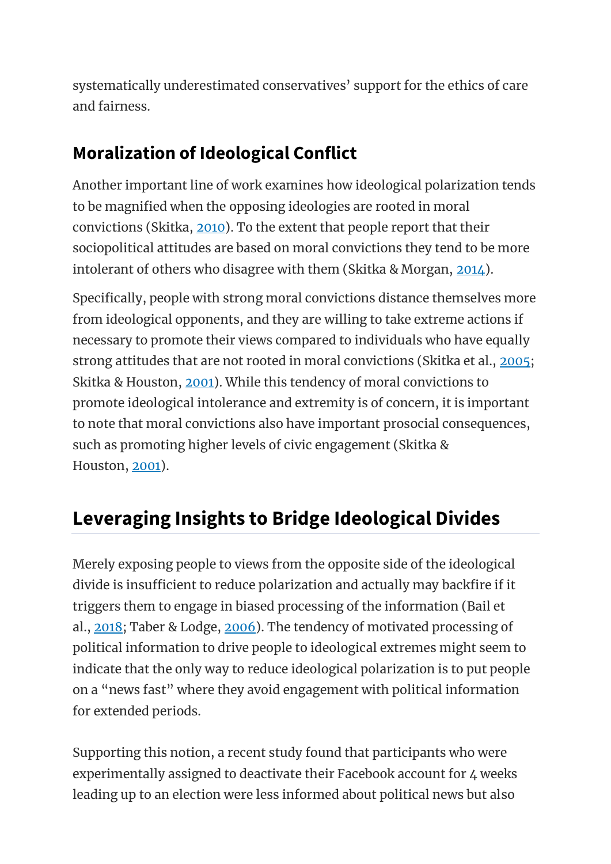systematically underestimated conservatives' support for the ethics of care and fairness.

### **Moralization of Ideological Conflict**

Another important line of work examines how ideological polarization tends to be magnified when the opposing ideologies are rooted in moral convictions (Skitka, [2010\)](https://oxfordre.com/psychology/view/10.1093/acrefore/9780190236557.001.0001/acrefore-9780190236557-e-240?utm_content=relatedarticles2&utm_source=adestra&utm_medium=email&utm_term=Researcher%20SocSci-Law-Psych&utm_campaign=oupac-campaign%3A%201430502204924832381#acrefore-9780190236557-e-240-bibItem-0110). To the extent that people report that their sociopolitical attitudes are based on moral convictions they tend to be more intolerant of others who disagree with them (Skitka & Morgan, [2014\)](https://oxfordre.com/psychology/view/10.1093/acrefore/9780190236557.001.0001/acrefore-9780190236557-e-240?utm_content=relatedarticles2&utm_source=adestra&utm_medium=email&utm_term=Researcher%20SocSci-Law-Psych&utm_campaign=oupac-campaign%3A%201430502204924832381#acrefore-9780190236557-e-240-bibItem-0113).

Specifically, people with strong moral convictions distance themselves more from ideological opponents, and they are willing to take extreme actions if necessary to promote their views compared to individuals who have equally strong attitudes that are not rooted in moral convictions (Skitka et al., [2005;](https://oxfordre.com/psychology/view/10.1093/acrefore/9780190236557.001.0001/acrefore-9780190236557-e-240?utm_content=relatedarticles2&utm_source=adestra&utm_medium=email&utm_term=Researcher%20SocSci-Law-Psych&utm_campaign=oupac-campaign%3A%201430502204924832381#acrefore-9780190236557-e-240-bibItem-0111) Skitka & Houston, [2001\)](https://oxfordre.com/psychology/view/10.1093/acrefore/9780190236557.001.0001/acrefore-9780190236557-e-240?utm_content=relatedarticles2&utm_source=adestra&utm_medium=email&utm_term=Researcher%20SocSci-Law-Psych&utm_campaign=oupac-campaign%3A%201430502204924832381#acrefore-9780190236557-e-240-bibItem-0112). While this tendency of moral convictions to promote ideological intolerance and extremity is of concern, it is important to note that moral convictions also have important prosocial consequences, such as promoting higher levels of civic engagement (Skitka & Houston, [2001\)](https://oxfordre.com/psychology/view/10.1093/acrefore/9780190236557.001.0001/acrefore-9780190236557-e-240?utm_content=relatedarticles2&utm_source=adestra&utm_medium=email&utm_term=Researcher%20SocSci-Law-Psych&utm_campaign=oupac-campaign%3A%201430502204924832381#acrefore-9780190236557-e-240-bibItem-0112).

# **Leveraging Insights to Bridge Ideological Divides**

Merely exposing people to views from the opposite side of the ideological divide is insufficient to reduce polarization and actually may backfire if it triggers them to engage in biased processing of the information (Bail et al., [2018;](https://oxfordre.com/psychology/view/10.1093/acrefore/9780190236557.001.0001/acrefore-9780190236557-e-240?utm_content=relatedarticles2&utm_source=adestra&utm_medium=email&utm_term=Researcher%20SocSci-Law-Psych&utm_campaign=oupac-campaign%3A%201430502204924832381#acrefore-9780190236557-e-240-bibItem-0008) Taber & Lodge, [2006\)](https://oxfordre.com/psychology/view/10.1093/acrefore/9780190236557.001.0001/acrefore-9780190236557-e-240?utm_content=relatedarticles2&utm_source=adestra&utm_medium=email&utm_term=Researcher%20SocSci-Law-Psych&utm_campaign=oupac-campaign%3A%201430502204924832381#acrefore-9780190236557-e-240-bibItem-0120). The tendency of motivated processing of political information to drive people to ideological extremes might seem to indicate that the only way to reduce ideological polarization is to put people on a "news fast" where they avoid engagement with political information for extended periods.

Supporting this notion, a recent study found that participants who were experimentally assigned to deactivate their Facebook account for 4 weeks leading up to an election were less informed about political news but also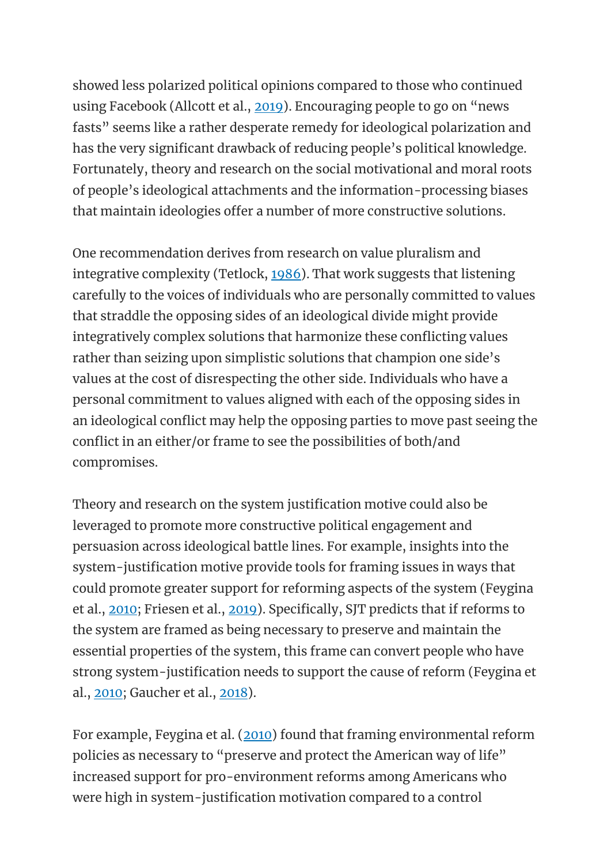showed less polarized political opinions compared to those who continued using Facebook (Allcott et al., [2019](https://oxfordre.com/psychology/view/10.1093/acrefore/9780190236557.001.0001/acrefore-9780190236557-e-240?utm_content=relatedarticles2&utm_source=adestra&utm_medium=email&utm_term=Researcher%20SocSci-Law-Psych&utm_campaign=oupac-campaign%3A%201430502204924832381#acrefore-9780190236557-e-240-bibItem-0004)). Encouraging people to go on "news fasts" seems like a rather desperate remedy for ideological polarization and has the very significant drawback of reducing people's political knowledge. Fortunately, theory and research on the social motivational and moral roots of people's ideological attachments and the information-processing biases that maintain ideologies offer a number of more constructive solutions.

One recommendation derives from research on value pluralism and integrative complexity (Tetlock, [1986\)](https://oxfordre.com/psychology/view/10.1093/acrefore/9780190236557.001.0001/acrefore-9780190236557-e-240?utm_content=relatedarticles2&utm_source=adestra&utm_medium=email&utm_term=Researcher%20SocSci-Law-Psych&utm_campaign=oupac-campaign%3A%201430502204924832381#acrefore-9780190236557-e-240-bibItem-0121). That work suggests that listening carefully to the voices of individuals who are personally committed to values that straddle the opposing sides of an ideological divide might provide integratively complex solutions that harmonize these conflicting values rather than seizing upon simplistic solutions that champion one side's values at the cost of disrespecting the other side. Individuals who have a personal commitment to values aligned with each of the opposing sides in an ideological conflict may help the opposing parties to move past seeing the conflict in an either/or frame to see the possibilities of both/and compromises.

Theory and research on the system justification motive could also be leveraged to promote more constructive political engagement and persuasion across ideological battle lines. For example, insights into the system-justification motive provide tools for framing issues in ways that could promote greater support for reforming aspects of the system (Feygina et al., [2010;](https://oxfordre.com/psychology/view/10.1093/acrefore/9780190236557.001.0001/acrefore-9780190236557-e-240?utm_content=relatedarticles2&utm_source=adestra&utm_medium=email&utm_term=Researcher%20SocSci-Law-Psych&utm_campaign=oupac-campaign%3A%201430502204924832381#acrefore-9780190236557-e-240-bibItem-0031) Friesen et al., [2019\)](https://oxfordre.com/psychology/view/10.1093/acrefore/9780190236557.001.0001/acrefore-9780190236557-e-240?utm_content=relatedarticles2&utm_source=adestra&utm_medium=email&utm_term=Researcher%20SocSci-Law-Psych&utm_campaign=oupac-campaign%3A%201430502204924832381#acrefore-9780190236557-e-240-bibItem-0033). Specifically, SJT predicts that if reforms to the system are framed as being necessary to preserve and maintain the essential properties of the system, this frame can convert people who have strong system-justification needs to support the cause of reform (Feygina et al., [2010;](https://oxfordre.com/psychology/view/10.1093/acrefore/9780190236557.001.0001/acrefore-9780190236557-e-240?utm_content=relatedarticles2&utm_source=adestra&utm_medium=email&utm_term=Researcher%20SocSci-Law-Psych&utm_campaign=oupac-campaign%3A%201430502204924832381#acrefore-9780190236557-e-240-bibItem-0031) Gaucher et al., [2018\)](https://oxfordre.com/psychology/view/10.1093/acrefore/9780190236557.001.0001/acrefore-9780190236557-e-240?utm_content=relatedarticles2&utm_source=adestra&utm_medium=email&utm_term=Researcher%20SocSci-Law-Psych&utm_campaign=oupac-campaign%3A%201430502204924832381#acrefore-9780190236557-e-240-bibItem-0036).

For example, Feygina et al. [\(2010\)](https://oxfordre.com/psychology/view/10.1093/acrefore/9780190236557.001.0001/acrefore-9780190236557-e-240?utm_content=relatedarticles2&utm_source=adestra&utm_medium=email&utm_term=Researcher%20SocSci-Law-Psych&utm_campaign=oupac-campaign%3A%201430502204924832381#acrefore-9780190236557-e-240-bibItem-0031) found that framing environmental reform policies as necessary to "preserve and protect the American way of life" increased support for pro-environment reforms among Americans who were high in system-justification motivation compared to a control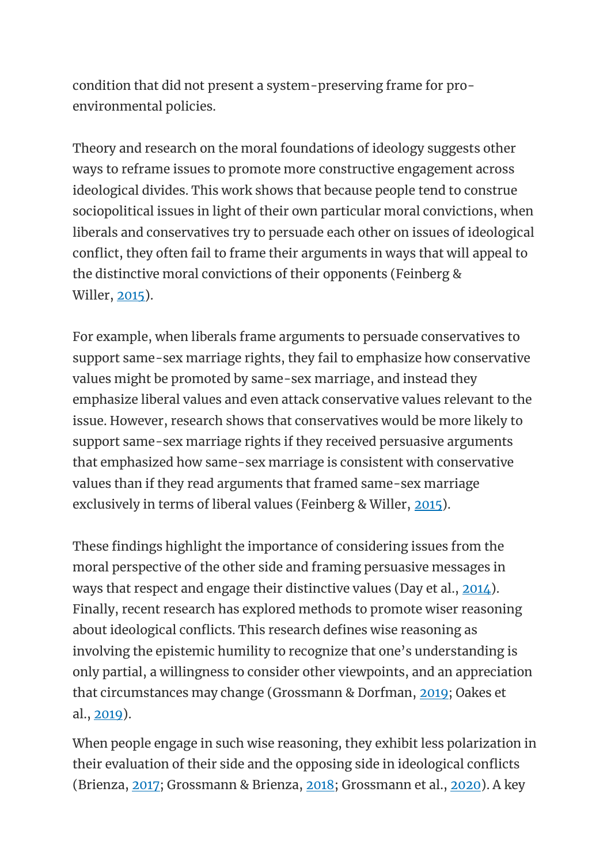condition that did not present a system-preserving frame for proenvironmental policies.

Theory and research on the moral foundations of ideology suggests other ways to reframe issues to promote more constructive engagement across ideological divides. This work shows that because people tend to construe sociopolitical issues in light of their own particular moral convictions, when liberals and conservatives try to persuade each other on issues of ideological conflict, they often fail to frame their arguments in ways that will appeal to the distinctive moral convictions of their opponents (Feinberg & Willer, [2015\)](https://oxfordre.com/psychology/view/10.1093/acrefore/9780190236557.001.0001/acrefore-9780190236557-e-240?utm_content=relatedarticles2&utm_source=adestra&utm_medium=email&utm_term=Researcher%20SocSci-Law-Psych&utm_campaign=oupac-campaign%3A%201430502204924832381#acrefore-9780190236557-e-240-bibItem-0030).

For example, when liberals frame arguments to persuade conservatives to support same-sex marriage rights, they fail to emphasize how conservative values might be promoted by same-sex marriage, and instead they emphasize liberal values and even attack conservative values relevant to the issue. However, research shows that conservatives would be more likely to support same-sex marriage rights if they received persuasive arguments that emphasized how same-sex marriage is consistent with conservative values than if they read arguments that framed same-sex marriage exclusively in terms of liberal values (Feinberg & Willer, [2015\)](https://oxfordre.com/psychology/view/10.1093/acrefore/9780190236557.001.0001/acrefore-9780190236557-e-240?utm_content=relatedarticles2&utm_source=adestra&utm_medium=email&utm_term=Researcher%20SocSci-Law-Psych&utm_campaign=oupac-campaign%3A%201430502204924832381#acrefore-9780190236557-e-240-bibItem-0030).

These findings highlight the importance of considering issues from the moral perspective of the other side and framing persuasive messages in ways that respect and engage their distinctive values (Day et al., [2014\)](https://oxfordre.com/psychology/view/10.1093/acrefore/9780190236557.001.0001/acrefore-9780190236557-e-240?utm_content=relatedarticles2&utm_source=adestra&utm_medium=email&utm_term=Researcher%20SocSci-Law-Psych&utm_campaign=oupac-campaign%3A%201430502204924832381#acrefore-9780190236557-e-240-bibItem-0017). Finally, recent research has explored methods to promote wiser reasoning about ideological conflicts. This research defines wise reasoning as involving the epistemic humility to recognize that one's understanding is only partial, a willingness to consider other viewpoints, and an appreciation that circumstances may change (Grossmann & Dorfman, [2019;](https://oxfordre.com/psychology/view/10.1093/acrefore/9780190236557.001.0001/acrefore-9780190236557-e-240?utm_content=relatedarticles2&utm_source=adestra&utm_medium=email&utm_term=Researcher%20SocSci-Law-Psych&utm_campaign=oupac-campaign%3A%201430502204924832381#acrefore-9780190236557-e-240-bibItem-0041) Oakes et al., [2019\)](https://oxfordre.com/psychology/view/10.1093/acrefore/9780190236557.001.0001/acrefore-9780190236557-e-240?utm_content=relatedarticles2&utm_source=adestra&utm_medium=email&utm_term=Researcher%20SocSci-Law-Psych&utm_campaign=oupac-campaign%3A%201430502204924832381#acrefore-9780190236557-e-240-bibItem-0097).

When people engage in such wise reasoning, they exhibit less polarization in their evaluation of their side and the opposing side in ideological conflicts (Brienza, [2017;](https://oxfordre.com/psychology/view/10.1093/acrefore/9780190236557.001.0001/acrefore-9780190236557-e-240?utm_content=relatedarticles2&utm_source=adestra&utm_medium=email&utm_term=Researcher%20SocSci-Law-Psych&utm_campaign=oupac-campaign%3A%201430502204924832381#acrefore-9780190236557-e-240-bibItem-0010) Grossmann & Brienza, [2018;](https://oxfordre.com/psychology/view/10.1093/acrefore/9780190236557.001.0001/acrefore-9780190236557-e-240?utm_content=relatedarticles2&utm_source=adestra&utm_medium=email&utm_term=Researcher%20SocSci-Law-Psych&utm_campaign=oupac-campaign%3A%201430502204924832381#acrefore-9780190236557-e-240-bibItem-0040) Grossmann et al., [2020\)](https://oxfordre.com/psychology/view/10.1093/acrefore/9780190236557.001.0001/acrefore-9780190236557-e-240?utm_content=relatedarticles2&utm_source=adestra&utm_medium=email&utm_term=Researcher%20SocSci-Law-Psych&utm_campaign=oupac-campaign%3A%201430502204924832381#acrefore-9780190236557-e-240-bibItem-0042). A key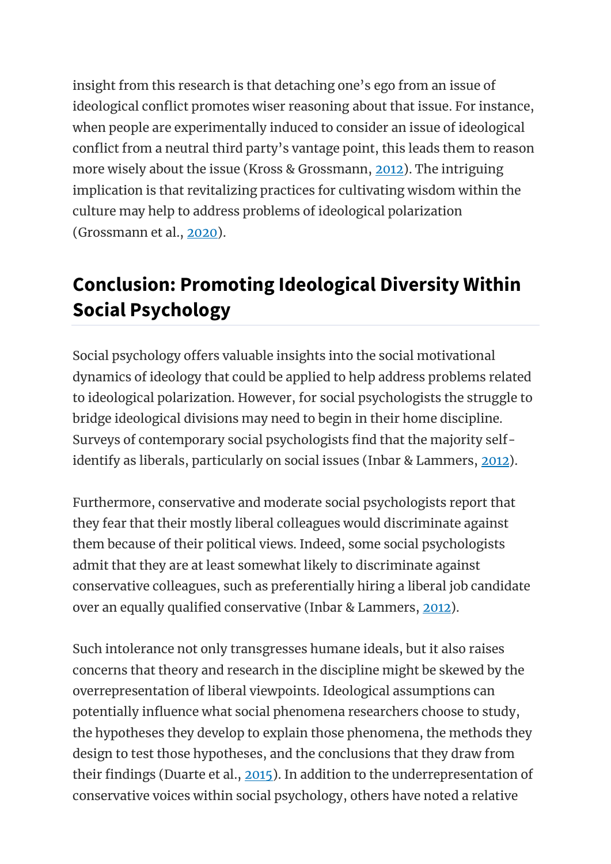insight from this research is that detaching one's ego from an issue of ideological conflict promotes wiser reasoning about that issue. For instance, when people are experimentally induced to consider an issue of ideological conflict from a neutral third party's vantage point, this leads them to reason more wisely about the issue (Kross & Grossmann, [2012\)](https://oxfordre.com/psychology/view/10.1093/acrefore/9780190236557.001.0001/acrefore-9780190236557-e-240?utm_content=relatedarticles2&utm_source=adestra&utm_medium=email&utm_term=Researcher%20SocSci-Law-Psych&utm_campaign=oupac-campaign%3A%201430502204924832381#acrefore-9780190236557-e-240-bibItem-0077). The intriguing implication is that revitalizing practices for cultivating wisdom within the culture may help to address problems of ideological polarization (Grossmann et al., [2020\)](https://oxfordre.com/psychology/view/10.1093/acrefore/9780190236557.001.0001/acrefore-9780190236557-e-240?utm_content=relatedarticles2&utm_source=adestra&utm_medium=email&utm_term=Researcher%20SocSci-Law-Psych&utm_campaign=oupac-campaign%3A%201430502204924832381#acrefore-9780190236557-e-240-bibItem-0042).

# **Conclusion: Promoting Ideological Diversity Within Social Psychology**

Social psychology offers valuable insights into the social motivational dynamics of ideology that could be applied to help address problems related to ideological polarization. However, for social psychologists the struggle to bridge ideological divisions may need to begin in their home discipline. Surveys of contemporary social psychologists find that the majority self-identify as liberals, particularly on social issues (Inbar & Lammers, [2012\)](https://oxfordre.com/psychology/view/10.1093/acrefore/9780190236557.001.0001/acrefore-9780190236557-e-240?utm_content=relatedarticles2&utm_source=adestra&utm_medium=email&utm_term=Researcher%20SocSci-Law-Psych&utm_campaign=oupac-campaign%3A%201430502204924832381#acrefore-9780190236557-e-240-bibItem-0053).

Furthermore, conservative and moderate social psychologists report that they fear that their mostly liberal colleagues would discriminate against them because of their political views. Indeed, some social psychologists admit that they are at least somewhat likely to discriminate against conservative colleagues, such as preferentially hiring a liberal job candidate over an equally qualified conservative (Inbar & Lammers, [2012\)](https://oxfordre.com/psychology/view/10.1093/acrefore/9780190236557.001.0001/acrefore-9780190236557-e-240?utm_content=relatedarticles2&utm_source=adestra&utm_medium=email&utm_term=Researcher%20SocSci-Law-Psych&utm_campaign=oupac-campaign%3A%201430502204924832381#acrefore-9780190236557-e-240-bibItem-0053).

Such intolerance not only transgresses humane ideals, but it also raises concerns that theory and research in the discipline might be skewed by the overrepresentation of liberal viewpoints. Ideological assumptions can potentially influence what social phenomena researchers choose to study, the hypotheses they develop to explain those phenomena, the methods they design to test those hypotheses, and the conclusions that they draw from their findings (Duarte et al., [2015\)](https://oxfordre.com/psychology/view/10.1093/acrefore/9780190236557.001.0001/acrefore-9780190236557-e-240?utm_content=relatedarticles2&utm_source=adestra&utm_medium=email&utm_term=Researcher%20SocSci-Law-Psych&utm_campaign=oupac-campaign%3A%201430502204924832381#acrefore-9780190236557-e-240-bibItem-0019). In addition to the underrepresentation of conservative voices within social psychology, others have noted a relative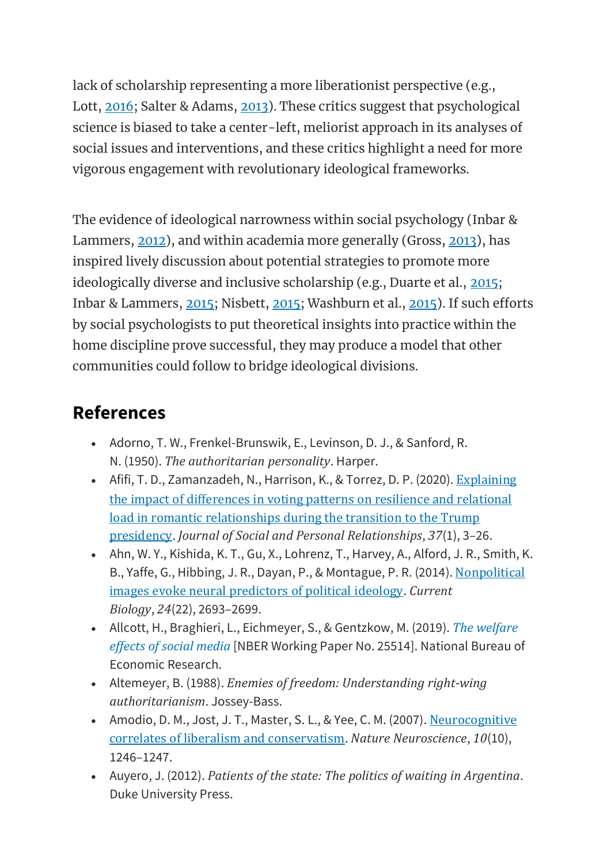lack of scholarship representing a more liberationist perspective (e.g., Lott, [2016;](https://oxfordre.com/psychology/view/10.1093/acrefore/9780190236557.001.0001/acrefore-9780190236557-e-240?utm_content=relatedarticles2&utm_source=adestra&utm_medium=email&utm_term=Researcher%20SocSci-Law-Psych&utm_campaign=oupac-campaign%3A%201430502204924832381#acrefore-9780190236557-e-240-bibItem-0086) Salter & Adams, [2013\)](https://oxfordre.com/psychology/view/10.1093/acrefore/9780190236557.001.0001/acrefore-9780190236557-e-240?utm_content=relatedarticles2&utm_source=adestra&utm_medium=email&utm_term=Researcher%20SocSci-Law-Psych&utm_campaign=oupac-campaign%3A%201430502204924832381#acrefore-9780190236557-e-240-bibItem-0102). These critics suggest that psychological science is biased to take a center-left, meliorist approach in its analyses of social issues and interventions, and these critics highlight a need for more vigorous engagement with revolutionary ideological frameworks.

The evidence of ideological narrowness within social psychology (Inbar & Lammers, [2012\)](https://oxfordre.com/psychology/view/10.1093/acrefore/9780190236557.001.0001/acrefore-9780190236557-e-240?utm_content=relatedarticles2&utm_source=adestra&utm_medium=email&utm_term=Researcher%20SocSci-Law-Psych&utm_campaign=oupac-campaign%3A%201430502204924832381#acrefore-9780190236557-e-240-bibItem-0053), and within academia more generally (Gross, [2013\)](https://oxfordre.com/psychology/view/10.1093/acrefore/9780190236557.001.0001/acrefore-9780190236557-e-240?utm_content=relatedarticles2&utm_source=adestra&utm_medium=email&utm_term=Researcher%20SocSci-Law-Psych&utm_campaign=oupac-campaign%3A%201430502204924832381#acrefore-9780190236557-e-240-bibItem-0039), has inspired lively discussion about potential strategies to promote more ideologically diverse and inclusive scholarship (e.g., Duarte et al., [2015;](https://oxfordre.com/psychology/view/10.1093/acrefore/9780190236557.001.0001/acrefore-9780190236557-e-240?utm_content=relatedarticles2&utm_source=adestra&utm_medium=email&utm_term=Researcher%20SocSci-Law-Psych&utm_campaign=oupac-campaign%3A%201430502204924832381#acrefore-9780190236557-e-240-bibItem-0019) Inbar & Lammers, [2015;](https://oxfordre.com/psychology/view/10.1093/acrefore/9780190236557.001.0001/acrefore-9780190236557-e-240?utm_content=relatedarticles2&utm_source=adestra&utm_medium=email&utm_term=Researcher%20SocSci-Law-Psych&utm_campaign=oupac-campaign%3A%201430502204924832381#acrefore-9780190236557-e-240-bibItem-0054) Nisbett, [2015;](https://oxfordre.com/psychology/view/10.1093/acrefore/9780190236557.001.0001/acrefore-9780190236557-e-240?utm_content=relatedarticles2&utm_source=adestra&utm_medium=email&utm_term=Researcher%20SocSci-Law-Psych&utm_campaign=oupac-campaign%3A%201430502204924832381#acrefore-9780190236557-e-240-bibItem-0095) Washburn et al., [2015\)](https://oxfordre.com/psychology/view/10.1093/acrefore/9780190236557.001.0001/acrefore-9780190236557-e-240?utm_content=relatedarticles2&utm_source=adestra&utm_medium=email&utm_term=Researcher%20SocSci-Law-Psych&utm_campaign=oupac-campaign%3A%201430502204924832381#acrefore-9780190236557-e-240-bibItem-0127). If such efforts by social psychologists to put theoretical insights into practice within the home discipline prove successful, they may produce a model that other communities could follow to bridge ideological divisions.

### **References**

- Adorno, T. W., Frenkel-Brunswik, E., Levinson, D. J., & Sanford, R. N. (1950). *The authoritarian personality*. Harper.
- Afifi, T. D., Zamanzadeh, N., Harrison, K., & Torrez, D. P. (2020). [Explaining](https://doi.org/10.1177/0265407519846566) the impact of [differences](https://doi.org/10.1177/0265407519846566) in voting patterns on resilience and relational load in romantic [relationships](https://doi.org/10.1177/0265407519846566) during the transition to the Trump [presidency](https://doi.org/10.1177/0265407519846566). *Journal of Social and Personal Relationships*, *37*(1), 3–26.
- Ahn, W. Y., Kishida, K. T., Gu, X., Lohrenz, T., Harvey, A., Alford, J. R., Smith, K. B., Yaffe, G., Hibbing, J. R., Dayan, P., & Montague, P. R. (2014). [Nonpolitical](https://doi.org/10.1016/j.cub.2014.09.050) images evoke neural [predictors](https://doi.org/10.1016/j.cub.2014.09.050) of political ideology. *Current Biology*, *24*(22), 2693–2699.
- Allcott, H., Braghieri, L., Eichmeyer, S., & Gentzkow, M. (2019). *The [welfare](https://www.nber.org/papers/w25514) [effects](https://www.nber.org/papers/w25514) of social media* [NBER Working Paper No. 25514]. National Bureau of Economic Research.
- Altemeyer, B. (1988). *Enemies of freedom: Understanding right-wing authoritarianism*. Jossey-Bass.
- Amodio, D. M., Jost, J. T., Master, S. L., & Yee, C. M. (2007). [Neurocognitive](http://doi.org/10.1038/nn1979) correlates of liberalism and [conservatism](http://doi.org/10.1038/nn1979). *Nature Neuroscience*, *10*(10), 1246–1247.
- Auyero, J. (2012). *Patients of the state: The politics of waiting in Argentina*. Duke University Press.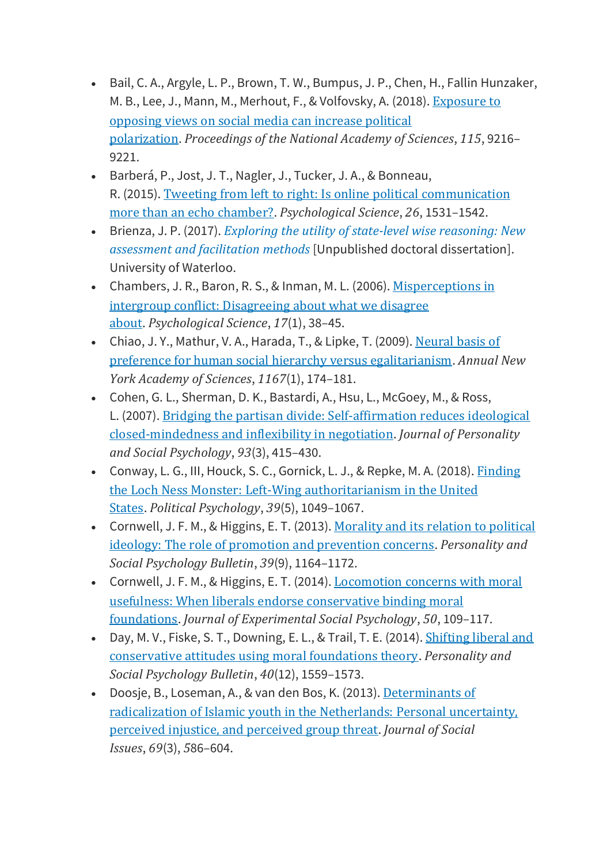- Bail, C. A., Argyle, L. P., Brown, T. W., Bumpus, J. P., Chen, H., Fallin Hunzaker, M. B., Lee, J., Mann, M., Merhout, F., & Volfovsky, A. (2018). [Exposure](https://doi.org/10.1073/pnas.1804840115) to [opposing](https://doi.org/10.1073/pnas.1804840115) views on social media can increase political [polarization](https://doi.org/10.1073/pnas.1804840115). *Proceedings of the National Academy of Sciences*, *115*, 9216– 9221.
- Barberá, P., Jost, J. T., Nagler, J., Tucker, J. A., & Bonneau, R. (2015). Tweeting from left to right: Is online political [communication](https://doi.org/10.1177/0956797615594620) more than an echo [chamber?](https://doi.org/10.1177/0956797615594620). *Psychological Science*, *26*, 1531–1542.
- Brienza, J. P. (2017). *Exploring the utility of state-level wise [reasoning:](https://uwspace-uwaterloo-ca.proxy.lib.uwaterloo.ca/handle/10012/12133) New [assessment](https://uwspace-uwaterloo-ca.proxy.lib.uwaterloo.ca/handle/10012/12133) and facilitation methods* [Unpublished doctoral dissertation]. University of Waterloo.
- Chambers, J. R., Baron, R. S., & Inman, M. L. (2006). [Misperceptions](https://doi.org/10.1111/j.1467-9280.2005.01662.x) in intergroup conflict: [Disagreeing](https://doi.org/10.1111/j.1467-9280.2005.01662.x) about what we disagree [about](https://doi.org/10.1111/j.1467-9280.2005.01662.x). *Psychological Science*, *17*(1), 38–45.
- Chiao, J. Y., Mathur, V. A., Harada, T., & Lipke, T. (2009). [Neural](https://doi.org/10.1111/j.1749-6632.2009.04508.x) basis of preference for human social hierarchy versus [egalitarianism](https://doi.org/10.1111/j.1749-6632.2009.04508.x). *Annual New York Academy of Sciences*, *1167*(1), 174–181.
- Cohen, G. L., Sherman, D. K., Bastardi, A., Hsu, L., McGoey, M., & Ross, L. (2007). Bridging the partisan divide: [Self-affirmation](https://doi.apa.org/doi/10.1037/0022-3514.93.3.415) reduces ideological [closed-mindedness](https://doi.apa.org/doi/10.1037/0022-3514.93.3.415) and inflexibility in negotiation. *Journal of Personality and Social Psychology*, *93*(3), 415–430.
- Conway, L. G., III, Houck, S. C., Gornick, L. J., & Repke, M. A. (2018). [Finding](https://doi.org/10.1111/pops.12470) the Loch Ness Monster: Left‐Wing [authoritarianism](https://doi.org/10.1111/pops.12470) in the United [States](https://doi.org/10.1111/pops.12470). *Political Psychology*, *39*(5), 1049–1067.
- Cornwell, J. F. M., & Higgins, E. T. (2013). [Morality](https://doi.org/10.1177/0146167213489036) and its relation to political ideology: The role of promotion and [prevention](https://doi.org/10.1177/0146167213489036) concerns. *Personality and Social Psychology Bulletin*, *39*(9), 1164–1172.
- Cornwell, J. F. M., & Higgins, E. T. (2014). [Locomotion](https://doi.org/10.1016/j.jesp.2013.09.007) concerns with moral usefulness: When liberals endorse [conservative](https://doi.org/10.1016/j.jesp.2013.09.007) binding moral [foundations](https://doi.org/10.1016/j.jesp.2013.09.007). *Journal of Experimental Social Psychology*, *50*, 109–117.
- Day, M. V., Fiske, S. T., Downing, E. L., & Trail, T. E. (2014). [Shifting](https://doi.org/10.1177/0146167214551152) liberal and [conservative](https://doi.org/10.1177/0146167214551152) attitudes using moral foundations theory. *Personality and Social Psychology Bulletin*, *40*(12), 1559–1573.
- Doosje, B., Loseman, A., & van den Bos, K. (2013). [Determinants](https://doi.org/10.1111/josi.12030) of [radicalization](https://doi.org/10.1111/josi.12030) of Islamic youth in the Netherlands: Personal uncertainty, perceived injustice, and [perceived](https://doi.org/10.1111/josi.12030) group threat. *Journal of Social Issues*, *69*(3), *5*86–604.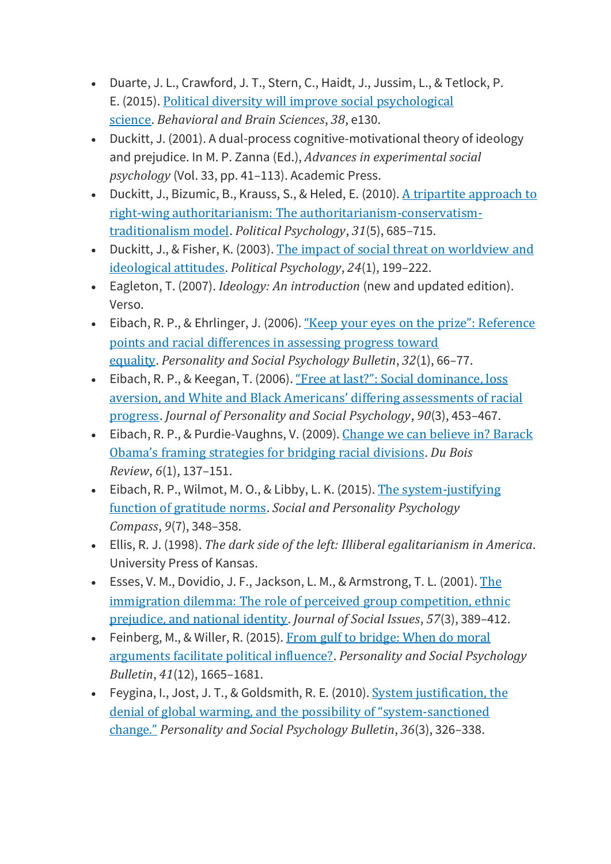- Duarte, J. L., Crawford, J. T., Stern, C., Haidt, J., Jussim, L., & Tetlock, P. E. (2015). Political diversity will improve social [psychological](https://doi.org/10.1017/S0140525X14000430) [science](https://doi.org/10.1017/S0140525X14000430). *Behavioral and Brain Sciences*, *38*, e130.
- Duckitt, J. (2001). A dual-process cognitive-motivational theory of ideology and prejudice. In M. P. Zanna (Ed.), *Advances in experimental social psychology* (Vol. 33, pp. 41–113). Academic Press.
- Duckitt, J., Bizumic, B., Krauss, S., & Heled, E. (2010). A tripartite [approach](http://www.jstor.org/stable/20779594) to right-wing authoritarianism: The [authoritarianism-conservatism](http://www.jstor.org/stable/20779594)[traditionalism](http://www.jstor.org/stable/20779594) model. *Political Psychology*, *31*(5), 685–715.
- Duckitt, J., & Fisher, K. (2003). The impact of social threat on [worldview](https://doi.org/10.1111/0162-895X.00322) and [ideological](https://doi.org/10.1111/0162-895X.00322) attitudes. *Political Psychology*, *24*(1), 199–222.
- Eagleton, T. (2007). *Ideology: An introduction* (new and updated edition). Verso.
- Eibach, R. P., & Ehrlinger, J. (2006). "Keep your eyes on the prize": [Reference](https://doi.org/10.1177/0146167205279585) points and racial [differences](https://doi.org/10.1177/0146167205279585) in assessing progress toward [equality](https://doi.org/10.1177/0146167205279585). *Personality and Social Psychology Bulletin*, *32*(1), 66–77.
- Eibach, R. P., & Keegan, T. (2006). "Free at last?": Social [dominance,](https://doi.org/10.1037/0022-3514.90.3.453) loss aversion, and White and Black Americans' differing [assessments](https://doi.org/10.1037/0022-3514.90.3.453) of racial [progress](https://doi.org/10.1037/0022-3514.90.3.453). *Journal of Personality and Social Psychology*, *90*(3), 453–467.
- Eibach, R. P., & Purdie-Vaughns, V. (2009). [Change](https://doi.org/10.1017/S1742058X09090080) we can believe in? Barack Obama's framing [strategies](https://doi.org/10.1017/S1742058X09090080) for bridging racial divisions. *Du Bois Review*, *6*(1), 137–151.
- Eibach, R. P., Wilmot, M. O., & Libby, L. K. (2015). The [system-justifying](https://doi.org/10.1111/spc3.12184) function of [gratitude](https://doi.org/10.1111/spc3.12184) norms. *Social and Personality Psychology Compass*, *9*(7), 348–358.
- Ellis, R. J. (1998). *The dark side of the left: Illiberal egalitarianism in America*. University Press of Kansas.
- Esses, V. M., Dovidio, J. F., Jackson, L. M., & Armstrong, T. L. (2001). [The](https://doi.org/10.1111/0022-4537.00220) immigration dilemma: The role of perceived group [competition,](https://doi.org/10.1111/0022-4537.00220) ethnic [prejudice,](https://doi.org/10.1111/0022-4537.00220) and national identity. *Journal of Social Issues*, *57*(3), 389–412.
- Feinberg, M., & Willer, R. (2015). From gulf to [bridge:](https://doi.org/10.1177/0146167215607842) When do moral [arguments](https://doi.org/10.1177/0146167215607842) facilitate political influence?. *Personality and Social Psychology Bulletin*, *41*(12), 1665–1681.
- Feygina, I., Jost, J. T., & Goldsmith, R. E. (2010). System [justification,](https://doi.org/10.1177/0146167209351435) the denial of global warming, and the possibility of "system[-sanctioned](https://doi.org/10.1177/0146167209351435) [change."](https://doi.org/10.1177/0146167209351435) *Personality and Social Psychology Bulletin*, *36*(3), 326–338.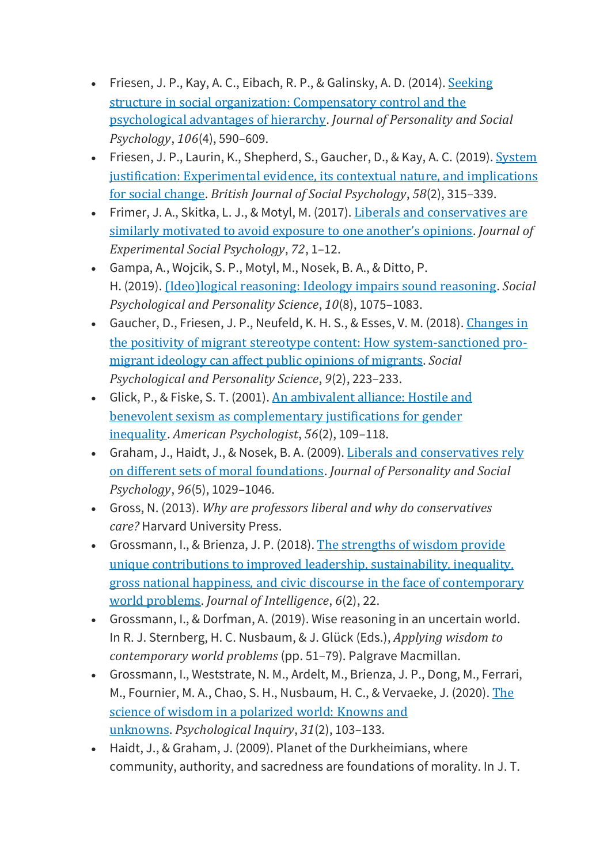- Friesen, J. P., Kay, A. C., Eibach, R. P., & Galinsky, A. D.  $(2014)$ . [Seeking](https://doi.apa.org/doi/10.1037/a0035620) structure in social organization: [Compensatory](https://doi.apa.org/doi/10.1037/a0035620) control and the [psychological](https://doi.apa.org/doi/10.1037/a0035620) advantages of hierarchy. *Journal of Personality and Social Psychology*, *106*(4), 590–609.
- Friesen, J. P., Laurin, K., Shepherd, S., Gaucher, D., & Kay, A. C. (2019). [System](https://doi.org/10.1111/bjso.12278) justification: [Experimental](https://doi.org/10.1111/bjso.12278) evidence, its contextual nature, and implications for social [change](https://doi.org/10.1111/bjso.12278). *British Journal of Social Psychology*, *58*(2), 315–339.
- Frimer, J. A., Skitka, L. J., & Motyl, M. (2017). Liberals and [conservatives](https://doi.org/10.1016/j.jesp.2017.04.003) are similarly [motivated](https://doi.org/10.1016/j.jesp.2017.04.003) to avoid exposure to one another's opinions. *Journal of Experimental Social Psychology*, *72*, 1–12.
- Gampa, A., Wojcik, S. P., Motyl, M., Nosek, B. A., & Ditto, P. H. (2019). [\(Ideo\)logical](https://doi.org/10.1177/1948550619829059) reasoning: Ideology impairs sound reasoning. *Social Psychological and Personality Science*, *10*(8), 1075–1083.
- Gaucher, D., Friesen, J. P., Neufeld, K. H. S., & Esses, V. M. (2018). [Changes](https://doi.org/10.1177/1948550617746463) in the positivity of migrant stereotype content: How [system-sanctioned](https://doi.org/10.1177/1948550617746463) promigrant ideology can affect public opinions of [migrants](https://doi.org/10.1177/1948550617746463). *Social Psychological and Personality Science*, *9*(2), 223–233.
- Glick, P., & Fiske, S. T. (2001). An [ambivalent](http://doi.org/10.1037/0003-066X.56.2.109) alliance: Hostile and benevolent sexism as [complementary](http://doi.org/10.1037/0003-066X.56.2.109) justifications for gender [inequality](http://doi.org/10.1037/0003-066X.56.2.109). *American Psychologist*, *56*(2), 109–118.
- Graham, J., Haidt, J., & Nosek, B. A. (2009). Liberals and [conservatives](http://doi.org/10.1037/a0015141) rely on different sets of moral [foundations](http://doi.org/10.1037/a0015141). *Journal of Personality and Social Psychology*, *96*(5), 1029–1046.
- Gross, N. (2013). *Why are professors liberal and why do conservatives care?* Harvard University Press.
- Grossmann, I., & Brienza, J. P. (2018). The [strengths](https://doi.org/10.3390/jintelligence6020022) of wisdom provide unique contributions to improved leadership, [sustainability,](https://doi.org/10.3390/jintelligence6020022) inequality, gross national happiness, and civic discourse in the face of [contemporary](https://doi.org/10.3390/jintelligence6020022) world [problems](https://doi.org/10.3390/jintelligence6020022). *Journal of Intelligence*, *6*(2), 22.
- Grossmann, I., & Dorfman, A. (2019). Wise reasoning in an uncertain world. In R. J. Sternberg, H. C. Nusbaum, & J. Glück (Eds.), *Applying wisdom to contemporary world problems* (pp. 51–79). Palgrave Macmillan.
- Grossmann, I., Weststrate, N. M., Ardelt, M., Brienza, J. P., Dong, M., Ferrari, M., Fournier, M. A., Chao, S. H., Nusbaum, H. C., & Vervaeke, J. (2020). [The](https://doi.org/10.1080/1047840X.2020.1750917) science of wisdom in a [polarized](https://doi.org/10.1080/1047840X.2020.1750917) world: Knowns and [unknowns](https://doi.org/10.1080/1047840X.2020.1750917). *Psychological Inquiry*, *31*(2), 103–133.
- Haidt, J., & Graham, J. (2009). Planet of the Durkheimians, where community, authority, and sacredness are foundations of morality. In J. T.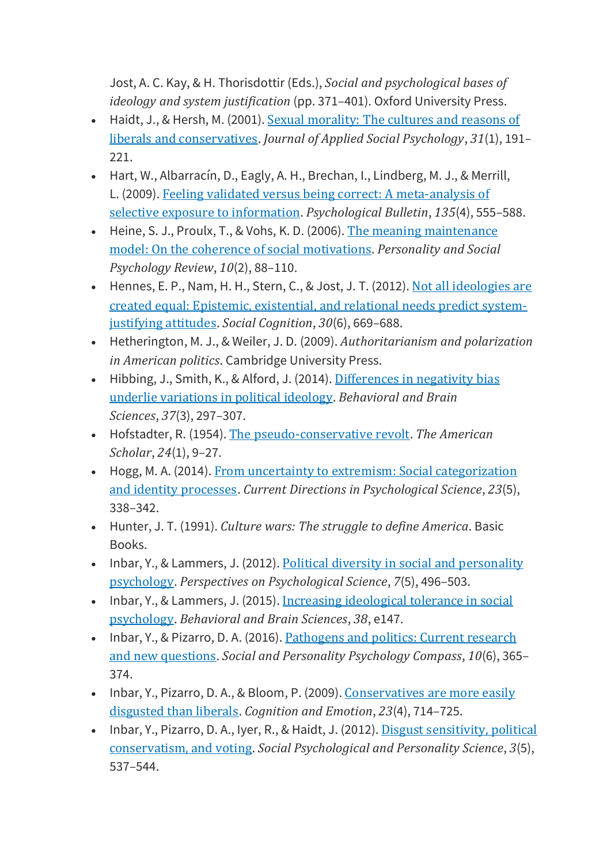Jost, A. C. Kay, & H. Thorisdottir (Eds.), *Social and psychological bases of ideology and system justification* (pp. 371–401). Oxford University Press.

- Haidt, J., & Hersh, M. (2001). Sexual [morality:](https://doi.org/10.1111/j.1559-1816.2001.tb02489.x) The cultures and reasons of liberals and [conservatives](https://doi.org/10.1111/j.1559-1816.2001.tb02489.x). *Journal of Applied Social Psychology*, *31*(1), 191– 221.
- Hart, W., Albarracín, D., Eagly, A. H., Brechan, I., Lindberg, M. J., & Merrill, L. (2009). Feeling validated versus being correct: A [meta-analysis](http://doi.org/10.1037/a0015701) of selective exposure to [information](http://doi.org/10.1037/a0015701). *Psychological Bulletin*, *135*(4), 555–588.
- Heine, S. J., Proulx, T., & Vohs, K. D. (2006). The meaning [maintenance](https://doi.org/10.1207/s15327957pspr1002_1) model: On the coherence of social [motivations](https://doi.org/10.1207/s15327957pspr1002_1). *Personality and Social Psychology Review*, *10*(2), 88–110.
- Hennes, E. P., Nam, H. H., Stern, C., & Jost, J. T. (2012). Not all [ideologies](https://doi.org/10.1521/soco.2012.30.6.669) are created equal: Epistemic, [existential,](https://doi.org/10.1521/soco.2012.30.6.669) and relational needs predict system[justifying](https://doi.org/10.1521/soco.2012.30.6.669) attitudes. *Social Cognition*, *30*(6), 669–688.
- Hetherington, M. J., & Weiler, J. D. (2009). *Authoritarianism and polarization in American politics*. Cambridge University Press.
- Hibbing, J., Smith, K., & Alford, J. (2014). [Differences](https://doi.org/10.1017/S0140525X13001192) in negativity bias underlie [variations](https://doi.org/10.1017/S0140525X13001192) in political ideology. *Behavioral and Brain Sciences*, *37*(3), 297–307.
- Hofstadter, R. (1954). The [pseudo-conservative](http://www.jstor.org/stable/41207907) revolt. *The American Scholar*, *24*(1), 9–27.
- Hogg, M. A. (2014). From uncertainty to extremism: Social [categorization](https://doi.org/10.1177/0963721414540168) and identity [processes](https://doi.org/10.1177/0963721414540168). *Current Directions in Psychological Science*, *23*(5), 338–342.
- Hunter, J. T. (1991). *Culture wars: The struggle to define America*. Basic Books.
- Inbar, Y., & Lammers, J. (2012). Political diversity in social and [personality](https://doi.org/10.1177/1745691612448792) [psychology](https://doi.org/10.1177/1745691612448792). *Perspectives on Psychological Science*, *7*(5), 496–503.
- Inbar, Y., & Lammers, J. (2015). Increasing [ideological](https://doi.org/10.1017/S0140525X1400123X) tolerance in social [psychology](https://doi.org/10.1017/S0140525X1400123X). *Behavioral and Brain Sciences*, *38*, e147.
- Inbar, Y., & Pizarro, D. A. (2016). [Pathogens](https://doi.org/10.1111/spc3.12250) and politics: Current research and new [questions](https://doi.org/10.1111/spc3.12250). *Social and Personality Psychology Compass*, *10*(6), 365– 374.
- Inbar, Y., Pizarro, D. A., & Bloom, P. (2009). [Conservatives](https://doi.org/10.1080/02699930802110007) are more easily [disgusted](https://doi.org/10.1080/02699930802110007) than liberals. *Cognition and Emotion*, *23*(4), 714–725.
- Inbar, Y., Pizarro, D. A., Iyer, R., & Haidt, J. (2012). Disgust [sensitivity,](https://doi.org/10.1177/1948550611429024) political [conservatism,](https://doi.org/10.1177/1948550611429024) and voting. *Social Psychological and Personality Science*, *3*(5), 537–544.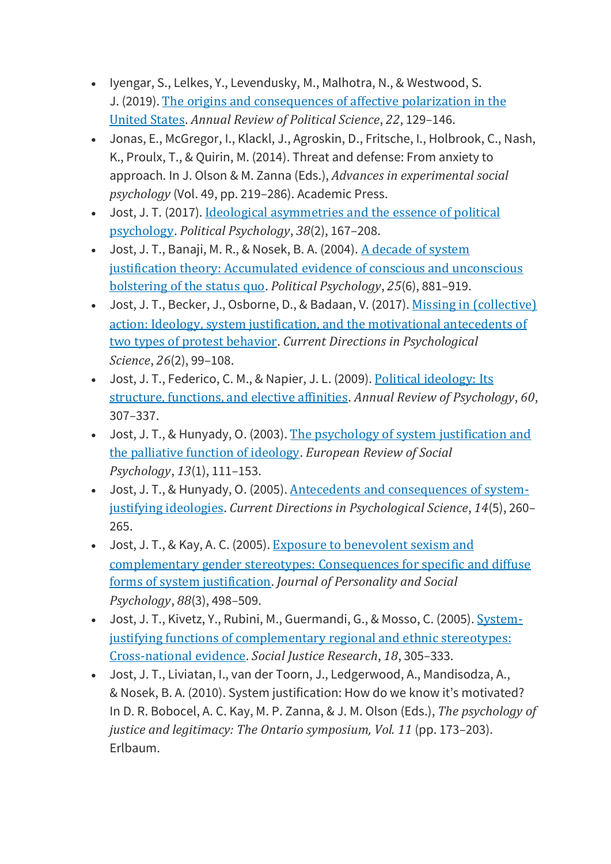- Iyengar, S., Lelkes, Y., Levendusky, M., Malhotra, N., & Westwood, S. J. (2019). The origins and [consequences](https://doi.org/10.1146/annurev-polisci-051117-073034) of affective polarization in the [United](https://doi.org/10.1146/annurev-polisci-051117-073034) States. *Annual Review of Political Science*, *22*, 129–146.
- Jonas, E., McGregor, I., Klackl, J., Agroskin, D., Fritsche, I., Holbrook, C., Nash, K., Proulx, T., & Quirin, M. (2014). Threat and defense: From anxiety to approach. In J. Olson & M. Zanna (Eds.), *Advances in experimental social psychology* (Vol. 49, pp. 219–286). Academic Press.
- Jost, J. T. (2017). Ideological [asymmetries](https://doi.org/10.1111/pops.12407) and the essence of political [psychology](https://doi.org/10.1111/pops.12407). *Political Psychology*, *38*(2), 167–208.
- Jost, J. T., Banaji, M. R., & Nosek, B. A. (2004). A decade of [system](https://doi.org/10.1111/j.1467-9221.2004.00402.x) justification theory: [Accumulated](https://doi.org/10.1111/j.1467-9221.2004.00402.x) evidence of conscious and unconscious [bolstering](https://doi.org/10.1111/j.1467-9221.2004.00402.x) of the status quo. *Political Psychology*, *25*(6), 881–919.
- Jost, J. T., Becker, J., Osborne, D., & Badaan, V. (2017). Missing in [\(collective\)](https://doi.org/10.1177/0963721417690633) action: Ideology, system justification, and the [motivational](https://doi.org/10.1177/0963721417690633) antecedents of two types of protest [behavior](https://doi.org/10.1177/0963721417690633). *Current Directions in Psychological Science*, *26*(2), 99–108.
- Jost, J. T., Federico, C. M., & Napier, J. L. (2009). Political [ideology:](https://doi.org/10.1146/annurev.psych.60.110707.163600) Its structure, [functions,](https://doi.org/10.1146/annurev.psych.60.110707.163600) and elective affinities. *Annual Review of Psychology*, *60*, 307–337.
- Jost, J. T., & Hunyady, O. (2003). The psychology of system [justification](https://doi.org/10.1080/10463280240000046) and the [palliative](https://doi.org/10.1080/10463280240000046) function of ideology. *European Review of Social Psychology*, *13*(1), 111–153.
- Jost, J. T., & Hunyady, O. (2005). Antecedents and [consequences](https://doi.org/10.1111/j.0963-7214.2005.00377.x) of systemjustifying [ideologies](https://doi.org/10.1111/j.0963-7214.2005.00377.x). *Current Directions in Psychological Science*, *14*(5), 260– 265.
- Jost, J. T., & Kay, A. C. (2005). Exposure to [benevolent](https://doi.org/10.1037/0022-3514.88.3.498) sexism and [complementary](https://doi.org/10.1037/0022-3514.88.3.498) gender stereotypes: Consequences for specific and diffuse forms of system [justification](https://doi.org/10.1037/0022-3514.88.3.498). *Journal of Personality and Social Psychology*, *88*(3), 498–509.
- Jost, J. T., Kivetz, Y., Rubini, M., Guermandi, G., & Mosso, C. (2005). [System](https://doi.org/10.1007/s11211-005-6827-z)justifying functions of [complementary](https://doi.org/10.1007/s11211-005-6827-z) regional and ethnic stereotypes: [Cross-national](https://doi.org/10.1007/s11211-005-6827-z) evidence. *Social Justice Research*, *18*, 305–333.
- Jost, J. T., Liviatan, I., van der Toorn, J., Ledgerwood, A., Mandisodza, A., & Nosek, B. A. (2010). System justification: How do we know it's motivated? In D. R. Bobocel, A. C. Kay, M. P. Zanna, & J. M. Olson (Eds.), *The psychology of justice and legitimacy: The Ontario symposium, Vol. 11* (pp. 173–203). Erlbaum.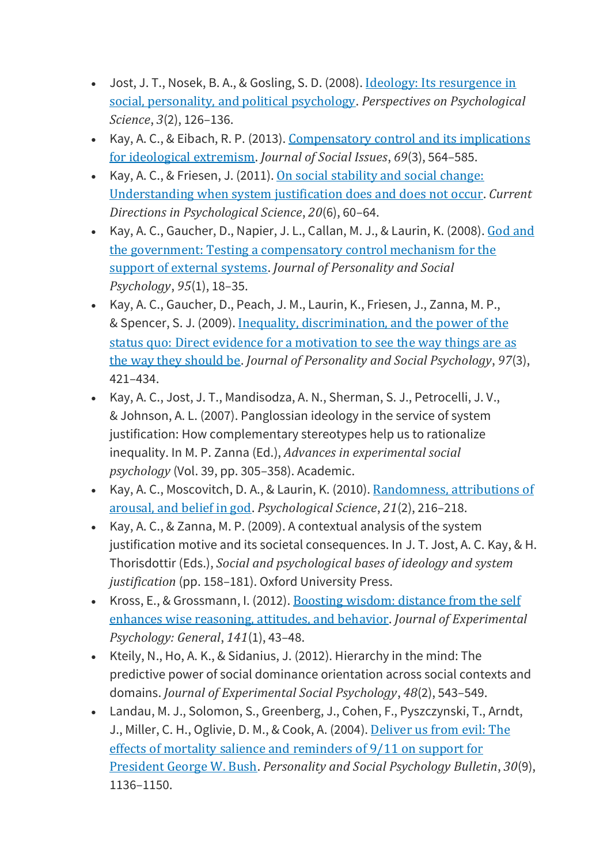- Jost, J. T., Nosek, B. A., & Gosling, S. D. (2008). <u>Ideology: Its [resurgence](https://doi.org/10.1111/j.1745-6916.2008.00070.x) in</u> social, [personality,](https://doi.org/10.1111/j.1745-6916.2008.00070.x) and political psychology. *Perspectives on Psychological Science*, *3*(2), 126–136.
- Kay, A. C., & Eibach, R. P. (2013). [Compensatory](https://doi.org/10.1111/josi.12029) control and its implications for [ideological](https://doi.org/10.1111/josi.12029) extremism. *Journal of Social Issues*, *69*(3), 564–585.
- Kay, A. C., & Friesen, J. (2011). On social [stability](https://doi.org/10.1177/0963721411422059) and social change: [Understanding](https://doi.org/10.1177/0963721411422059) when system justification does and does not occur. *Current Directions in Psychological Science*, *20*(6), 60–64.
- Kay, A. C., Gaucher, D., Napier, J. L., Callan, M. J., & Laurin, K. (2008). [God](https://doi.org/10.1037/0022-3514.95.1.18) and the government: Testing a [compensatory](https://doi.org/10.1037/0022-3514.95.1.18) control mechanism for the support of [external](https://doi.org/10.1037/0022-3514.95.1.18) systems. *Journal of Personality and Social Psychology*, *95*(1), 18–35.
- Kay, A. C., Gaucher, D., Peach, J. M., Laurin, K., Friesen, J., Zanna, M. P., & Spencer, S. J. (2009). Inequality, [discrimination,](https://doi.org/10.1037/a0015997) and the power of the status quo: Direct evidence for a [motivation](https://doi.org/10.1037/a0015997) to see the way things are as the way they [should](https://doi.org/10.1037/a0015997) be. *Journal of Personality and Social Psychology*, *97*(3), 421–434.
- Kay, A. C., Jost, J. T., Mandisodza, A. N., Sherman, S. J., Petrocelli, J. V., & Johnson, A. L. (2007). Panglossian ideology in the service of system justification: How complementary stereotypes help us to rationalize inequality. In M. P. Zanna (Ed.), *Advances in experimental social psychology* (Vol. 39, pp. 305–358). Academic.
- Kay, A. C., Moscovitch, D. A., & Laurin, K. (2010). [Randomness,](https://doi.org/10.1177/0956797609357750) attributions of [arousal,](https://doi.org/10.1177/0956797609357750) and belief in god. *Psychological Science*, *21*(2), 216–218.
- Kay, A. C., & Zanna, M. P. (2009). A contextual analysis of the system justification motive and its societal consequences. In J. T. Jost, A. C. Kay, & H. Thorisdottir (Eds.), *Social and psychological bases of ideology and system justification* (pp. 158–181). Oxford University Press.
- Kross, E., & Grossmann, I. (2012). [Boosting](https://doi-org.proxy.lib.uwaterloo.ca/10.1037/a0024158) wisdom: distance from the self enhances wise [reasoning,](https://doi-org.proxy.lib.uwaterloo.ca/10.1037/a0024158) attitudes, and behavior. *Journal of Experimental Psychology: General*, *141*(1), 43–48.
- Kteily, N., Ho, A. K., & Sidanius, J. (2012). Hierarchy in the mind: The predictive power of social dominance orientation across social contexts and domains. *Journal of Experimental Social Psychology*, *48*(2), 543–549.
- Landau, M. J., Solomon, S., Greenberg, J., Cohen, F., Pyszczynski, T., Arndt, J., Miller, C. H., Oglivie, D. M., & Cook, A. (2004). [Deliver](https://doi.org/10.1177%2F0146167204267988) us from evil: The effects of mortality salience and [reminders](https://doi.org/10.1177%2F0146167204267988) of 9/11 on support for [President](https://doi.org/10.1177%2F0146167204267988) George W. Bush. *Personality and Social Psychology Bulletin*, *30*(9), 1136–1150.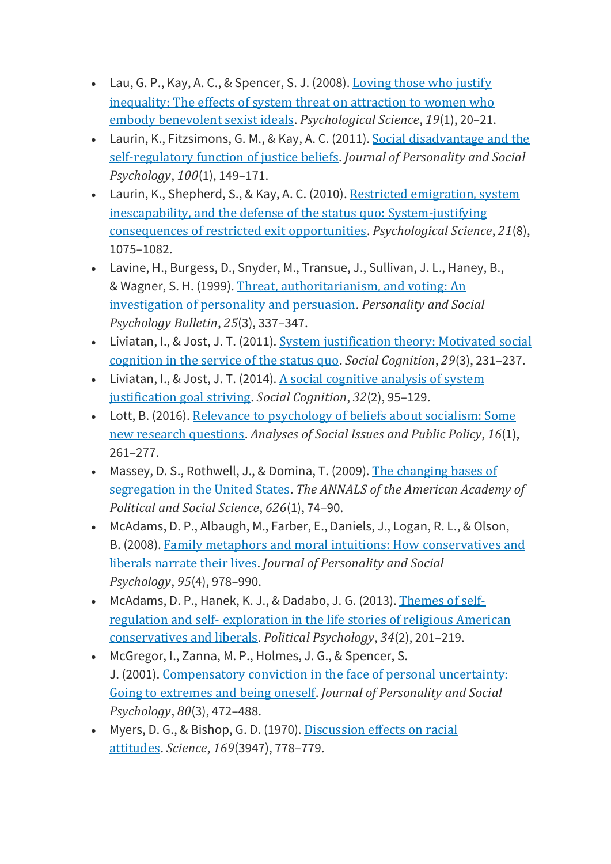- Lau, G. P., Kay, A. C., & Spencer, S. J. (2008). [Loving](https://doi.org/10.1111/j.1467-9280.2008.02040.x) those who justify [inequality:](https://doi.org/10.1111/j.1467-9280.2008.02040.x) The effects of system threat on attraction to women who embody [benevolent](https://doi.org/10.1111/j.1467-9280.2008.02040.x) sexist ideals. *Psychological Science*, *19*(1), 20–21.
- Laurin, K., Fitzsimons, G. M., & Kay, A. C. (2011). Social [disadvantage](https://doi.org/10.1037/a0021343) and the [self-regulatory](https://doi.org/10.1037/a0021343) function of justice beliefs. *Journal of Personality and Social Psychology*, *100*(1), 149–171.
- Laurin, K., Shepherd, S., & Kay, A. C. (2010). Restricted [emigration,](https://doi.org/10.1177/0956797610375448) system inescapability, and the defense of the status quo: [System-justifying](https://doi.org/10.1177/0956797610375448) [consequences](https://doi.org/10.1177/0956797610375448) of restricted exit opportunities. *Psychological Science*, *21*(8), 1075–1082.
- Lavine, H., Burgess, D., Snyder, M., Transue, J., Sullivan, J. L., Haney, B., & Wagner, S. H. (1999). Threat, [authoritarianism,](https://doi.org/10.1177/0146167299025003006) and voting: An [investigation](https://doi.org/10.1177/0146167299025003006) of personality and persuasion. *Personality and Social Psychology Bulletin*, *25*(3), 337–347.
- Liviatan, I., & Jost, J. T. (2011). System [justification](https://doi.org/10.1521/soco.2011.29.3.231) theory: Motivated social [cognition](https://doi.org/10.1521/soco.2011.29.3.231) in the service of the status quo. *Social Cognition*, *29*(3), 231–237.
- Liviatan, I., & Jost, J. T. (2014). A social [cognitive](https://doi.org/10.1521/soco.2014.32.2.95) analysis of system [justification](https://doi.org/10.1521/soco.2014.32.2.95) goal striving. *Social Cognition*, *32*(2), 95–129.
- Lott, B. (2016). Relevance to [psychology](https://doi.org/10.1111/asap.12092) of beliefs about socialism: Some new research [questions](https://doi.org/10.1111/asap.12092). *Analyses of Social Issues and Public Policy*, *16*(1), 261–277.
- Massey, D. S., Rothwell, J., & Domina, T. (2009). The [changing](https://doi.org/10.1177/0002716209343558) bases of [segregation](https://doi.org/10.1177/0002716209343558) in the United States. *The ANNALS of the American Academy of Political and Social Science*, *626*(1), 74–90.
- McAdams, D. P., Albaugh, M., Farber, E., Daniels, J., Logan, R. L., & Olson, B. (2008). Family metaphors and moral intuitions: How [conservatives](https://doi.org/10.1037/a0012650) and liberals [narrate](https://doi.org/10.1037/a0012650) their lives. *Journal of Personality and Social Psychology*, *95*(4), 978–990.
- McAdams, D. P., Hanek, K. J., & Dadabo, J. G. (2013). [Themes](https://doi.org/10.1111/j.1467-9221.2012.00933.x) of selfregulation and self‐ [exploration](https://doi.org/10.1111/j.1467-9221.2012.00933.x) in the life stories of religious American [conservatives](https://doi.org/10.1111/j.1467-9221.2012.00933.x) and liberals. *Political Psychology*, *34*(2), 201–219.
- McGregor, I., Zanna, M. P., Holmes, J. G., & Spencer, S. J. (2001). [Compensatory](https://doi.org/10.1037/0022-3514.80.3.472) conviction in the face of personal uncertainty: Going to [extremes](https://doi.org/10.1037/0022-3514.80.3.472) and being oneself. *Journal of Personality and Social Psychology*, *80*(3), 472–488.
- Myers, D. G., & Bishop, G. D. (1970). [Discussion](https://doi.org/10.1126/science.169.3947.778) effects on racial [attitudes](https://doi.org/10.1126/science.169.3947.778). *Science*, *169*(3947), 778–779.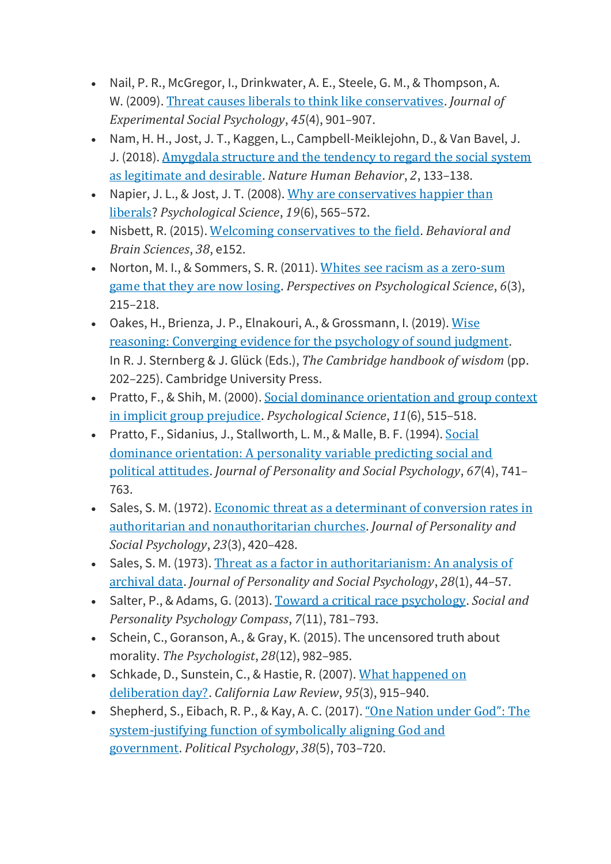- Nail, P. R., McGregor, I., Drinkwater, A. E., Steele, G. M., & Thompson, A. W. (2009). Threat causes liberals to think like [conservatives](https://doi.org/10.1016/j.jesp.2009.04.013). *Journal of Experimental Social Psychology*, *45*(4), 901–907.
- Nam, H. H., Jost, J. T., Kaggen, L., Campbell-Meiklejohn, D., & Van Bavel, J. J. (2018). [Amygdala](https://doi.org/10.1038/s41562-017-0248-5) structure and the tendency to regard the social system as [legitimate](https://doi.org/10.1038/s41562-017-0248-5) and desirable. *Nature Human Behavior*, *2*, 133–138.
- Napier, J. L., & Jost, J. T. (2008). Why are [conservatives](https://doi.org/10.1111/j.1467-9280.2008.02124.x) happier than [liberals](https://doi.org/10.1111/j.1467-9280.2008.02124.x)? *Psychological Science*, *19*(6), 565–572.
- Nisbett, R. (2015). Welcoming [conservatives](https://doi.org/10.1017/S0140525X14001277) to the field. *Behavioral and Brain Sciences*, *38*, e152.
- Norton, M. I., & Sommers, S. R. (2011). Whites see racism as a [zero-sum](https://doi.org/10.1177/1745691611406922) game that they are now [losing](https://doi.org/10.1177/1745691611406922). *Perspectives on Psychological Science*, *6*(3), 215–218.
- Oakes, H., Brienza, J. P., Elnakouri, A., & Grossmann, I. (2019). [Wise](https://doi.org/10.1017/9781108568272.011) reasoning: [Converging](https://doi.org/10.1017/9781108568272.011) evidence for the psychology of sound judgment. In R. J. Sternberg & J. Glück (Eds.), *The Cambridge handbook of wisdom* (pp. 202–225). Cambridge University Press.
- Pratto, F., & Shih, M. (2000). Social dominance [orientation](https://doi.org/10.1111/1467-9280.00299) and group context in implicit group [prejudice](https://doi.org/10.1111/1467-9280.00299). *Psychological Science*, *11*(6), 515–518.
- Pratto, F., Sidanius, J., Stallworth, L. M., & Malle, B. F. (1994). [Social](https://doi.org/10.1037/0022-3514.67.4.741) dominance [orientation:](https://doi.org/10.1037/0022-3514.67.4.741) A personality variable predicting social and political [attitudes](https://doi.org/10.1037/0022-3514.67.4.741). *Journal of Personality and Social Psychology*, *67*(4), 741– 763.
- Sales, S. M. (1972). Economic threat as a [determinant](https://doi.org/10.1037/h0033157) of conversion rates in authoritarian and [nonauthoritarian](https://doi.org/10.1037/h0033157) churches. *Journal of Personality and Social Psychology*, *23*(3), 420–428.
- Sales, S. M. (1973). Threat as a factor in [authoritarianism:](https://doi.org/10.1037/h0035588) An analysis of [archival](https://doi.org/10.1037/h0035588) data. *Journal of Personality and Social Psychology*, *28*(1), 44–57.
- Salter, P., & Adams, G. (2013). Toward a critical race [psychology](https://doi.org/10.1111/spc3.12068). *Social and Personality Psychology Compass*, *7*(11), 781–793.
- Schein, C., Goranson, A., & Gray, K. (2015). The uncensored truth about morality. *The Psychologist*, *28*(12), 982–985.
- Schkade, D., Sunstein, C., & Hastie, R. (2007). What [happened](https://doi.org/10.2307/20439113) on [deliberation](https://doi.org/10.2307/20439113) day?. *California Law Review*, *95*(3), 915–940.
- Shepherd, S., Eibach, R. P., & Kay, A. C. (2017). "One [Nation](https://doi.org/10.1111/pops.12353) under God": The [system‐justifying](https://doi.org/10.1111/pops.12353) function of symbolically aligning God and [government](https://doi.org/10.1111/pops.12353). *Political Psychology*, *38*(5), 703–720.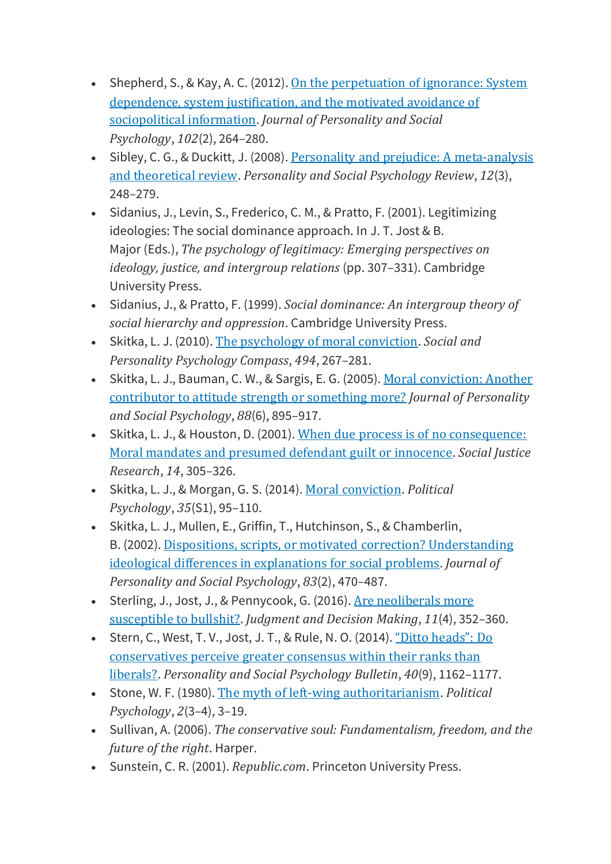- Shepherd, S., & Kay, A. C. (2012). On the [perpetuation](https://doi.org/10.1037/a0026272) of ignorance: System [dependence,](https://doi.org/10.1037/a0026272) system justification, and the motivated avoidance of [sociopolitical](https://doi.org/10.1037/a0026272) information. *Journal of Personality and Social Psychology*, *102*(2), 264–280.
- Sibley, C. G., & Duckitt, J. (2008). Personality and prejudice: A [meta-analysis](https://doi.org/10.1177/1088868308319226) and [theoretical](https://doi.org/10.1177/1088868308319226) review. *Personality and Social Psychology Review*, *12*(3), 248–279.
- Sidanius, J., Levin, S., Frederico, C. M., & Pratto, F. (2001). Legitimizing ideologies: The social dominance approach. In J. T. Jost & B. Major (Eds.), *The psychology of legitimacy: Emerging perspectives on ideology, justice, and intergroup relations* (pp. 307–331). Cambridge University Press.
- Sidanius, J., & Pratto, F. (1999). *Social dominance: An intergroup theory of social hierarchy and oppression*. Cambridge University Press.
- Skitka, L. J. (2010). The [psychology](https://doi.org/10.1111/j.1751-9004.2010.00254.x) of moral conviction. *Social and Personality Psychology Compass*, *494*, 267–281.
- Skitka, L. J., Bauman, C. W., & Sargis, E. G. (2005). Moral [conviction:](https://doi.org/10.1037/0022-3514.88.6.895) Another [contributor](https://doi.org/10.1037/0022-3514.88.6.895) to attitude strength or something more? *Journal of Personality and Social Psychology*, *88*(6), 895–917.
- Skitka, L. J., & Houston, D. (2001). When due process is of no [consequence:](https://doi.org/10.1023/A:1014372008257) Moral mandates and presumed [defendant](https://doi.org/10.1023/A:1014372008257) guilt or innocence. *Social Justice Research*, *14*, 305–326.
- Skitka, L. J., & Morgan, G. S. (2014). Moral [conviction](https://doi.org/10.1111/pops.12166). *Political Psychology*, *35*(S1), 95–110.
- Skitka, L. J., Mullen, E., Griffin, T., Hutchinson, S., & Chamberlin, B. (2002). Dispositions, scripts, or motivated correction? [Understanding](https://doi.org/10.1037/0022-3514.83.2.470) ideological differences in [explanations](https://doi.org/10.1037/0022-3514.83.2.470) for social problems. *Journal of Personality and Social Psychology*, *83*(2), 470–487.
- Sterling, J., Jost, J., & Pennycook, G. (2016). Are [neoliberals](http://search.proquest.com/docview/1808897386/) more [susceptible](http://search.proquest.com/docview/1808897386/) to bullshit?. *Judgment and Decision Making*, *11*(4), 352–360.
- Stern, C., West, T. V., Jost, J. T., & Rule, N. O. (2014). "Ditto [heads":](https://doi.org/10.1177/0146167214537834) Do [conservatives](https://doi.org/10.1177/0146167214537834) perceive greater consensus within their ranks than [liberals?](https://doi.org/10.1177/0146167214537834). *Personality and Social Psychology Bulletin*, *40*(9), 1162–1177.
- Stone, W. F. (1980). The myth of left-wing [authoritarianism](https://doi.org/10.2307/3790998). *Political Psychology*, *2*(3–4), 3–19.
- Sullivan, A. (2006). *The conservative soul: Fundamentalism, freedom, and the future of the right*. Harper.
- Sunstein, C. R. (2001). *Republic.com*. Princeton University Press.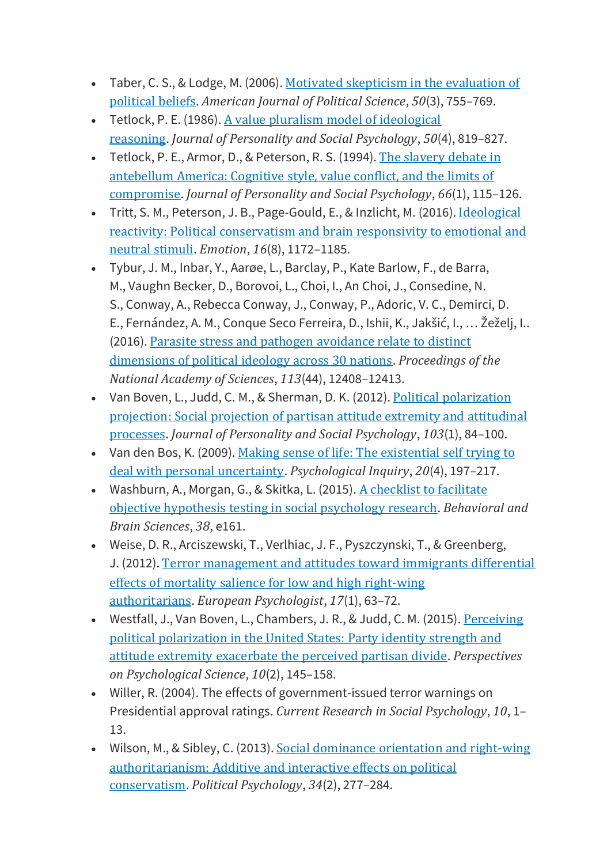- Taber, C. S., & Lodge, M. (2006). Motivated [skepticism](https://doi.org/10.1111/j.1540-5907.2006.00214.x) in the evaluation of [political](https://doi.org/10.1111/j.1540-5907.2006.00214.x) beliefs. *American Journal of Political Science*, *50*(3), 755–769.
- Tetlock, P. E. (1986). A value pluralism model of [ideological](https://doi.org/10.1037/0022-3514.50.4.819) [reasoning](https://doi.org/10.1037/0022-3514.50.4.819). *Journal of Personality and Social Psychology*, *50*(4), 819–827.
- Tetlock, P. E., Armor, D., & Peterson, R. S. (1994). The [slavery](https://doi.org/10.1037/0022-3514.66.1.115) debate in [antebellum](https://doi.org/10.1037/0022-3514.66.1.115) America: Cognitive style, value conflict, and the limits of [compromise](https://doi.org/10.1037/0022-3514.66.1.115). *Journal of Personality and Social Psychology*, *66*(1), 115–126.
- Tritt, S. M., Peterson, J. B., Page-Gould, E., & Inzlicht, M. (2016). [Ideological](https://doi.org/10.1037/emo0000150) reactivity: Political [conservatism](https://doi.org/10.1037/emo0000150) and brain responsivity to emotional and [neutral](https://doi.org/10.1037/emo0000150) stimuli. *Emotion*, *16*(8), 1172–1185.
- Tybur, J. M., Inbar, Y., Aarøe, L., Barclay, P., Kate Barlow, F., de Barra, M., Vaughn Becker, D., Borovoi, L., Choi, I., An Choi, J., Consedine, N. S., Conway, A., Rebecca Conway, J., Conway, P., Adoric, V. C., Demirci, D. E., Fernández, A. M., Conque Seco Ferreira, D., Ishii, K., Jakšić, I., … Žeželj, I.. (2016). Parasite stress and pathogen [avoidance](https://doi.org/10.1073/pnas.1607398113) relate to distinct [dimensions](https://doi.org/10.1073/pnas.1607398113) of political ideology across 30 nations. *Proceedings of the National Academy of Sciences*, *113*(44), 12408–12413.
- Van Boven, L., Judd, C. M., & Sherman, D. K. (2012). Political [polarization](https://doi.org/10.1037/a0028145) [projection:](https://doi.org/10.1037/a0028145) Social projection of partisan attitude extremity and attitudinal [processes](https://doi.org/10.1037/a0028145). *Journal of Personality and Social Psychology*, *103*(1), 84–100.
- Van den Bos, K. (2009). Making sense of life: The [existential](https://doi.org/10.1080/10478400903333411) self trying to deal with personal [uncertainty](https://doi.org/10.1080/10478400903333411). *Psychological Inquiry*, *20*(4), 197–217.
- Washburn, A., Morgan, G., & Skitka, L. (2015). A [checklist](https://doi.org/10.1017/S0140525X14001435) to facilitate objective hypothesis testing in social [psychology](https://doi.org/10.1017/S0140525X14001435) research. *Behavioral and Brain Sciences*, *38*, e161.
- Weise, D. R., Arciszewski, T., Verlhiac, J. F., Pyszczynski, T., & Greenberg, J. (2012). Terror [management](http://doi.org/10.1027/1016-9040/A000056) and attitudes toward immigrants differential effects of mortality salience for low and high [right-wing](http://doi.org/10.1027/1016-9040/A000056) [authoritarians](http://doi.org/10.1027/1016-9040/A000056). *European Psychologist*, *17*(1), 63–72.
- Westfall, J., Van Boven, L., Chambers, J. R., & Judd, C. M. (2015). [Perceiving](https://doi.org/10.1177/1745691615569849) political [polarization](https://doi.org/10.1177/1745691615569849) in the United States: Party identity strength and attitude extremity [exacerbate](https://doi.org/10.1177/1745691615569849) the perceived partisan divide. *Perspectives on Psychological Science*, *10*(2), 145–158.
- Willer, R. (2004). The effects of government-issued terror warnings on Presidential approval ratings. *Current Research in Social Psychology*, *10*, 1– 13.
- Wilson, M., & Sibley, C. (2013). Social dominance [orientation](https://doi.org/10.1111/j.1467-9221.2012.00929.x) and right-wing [authoritarianism:](https://doi.org/10.1111/j.1467-9221.2012.00929.x) Additive and interactive effects on political [conservatism](https://doi.org/10.1111/j.1467-9221.2012.00929.x). *Political Psychology*, *34*(2), 277–284.